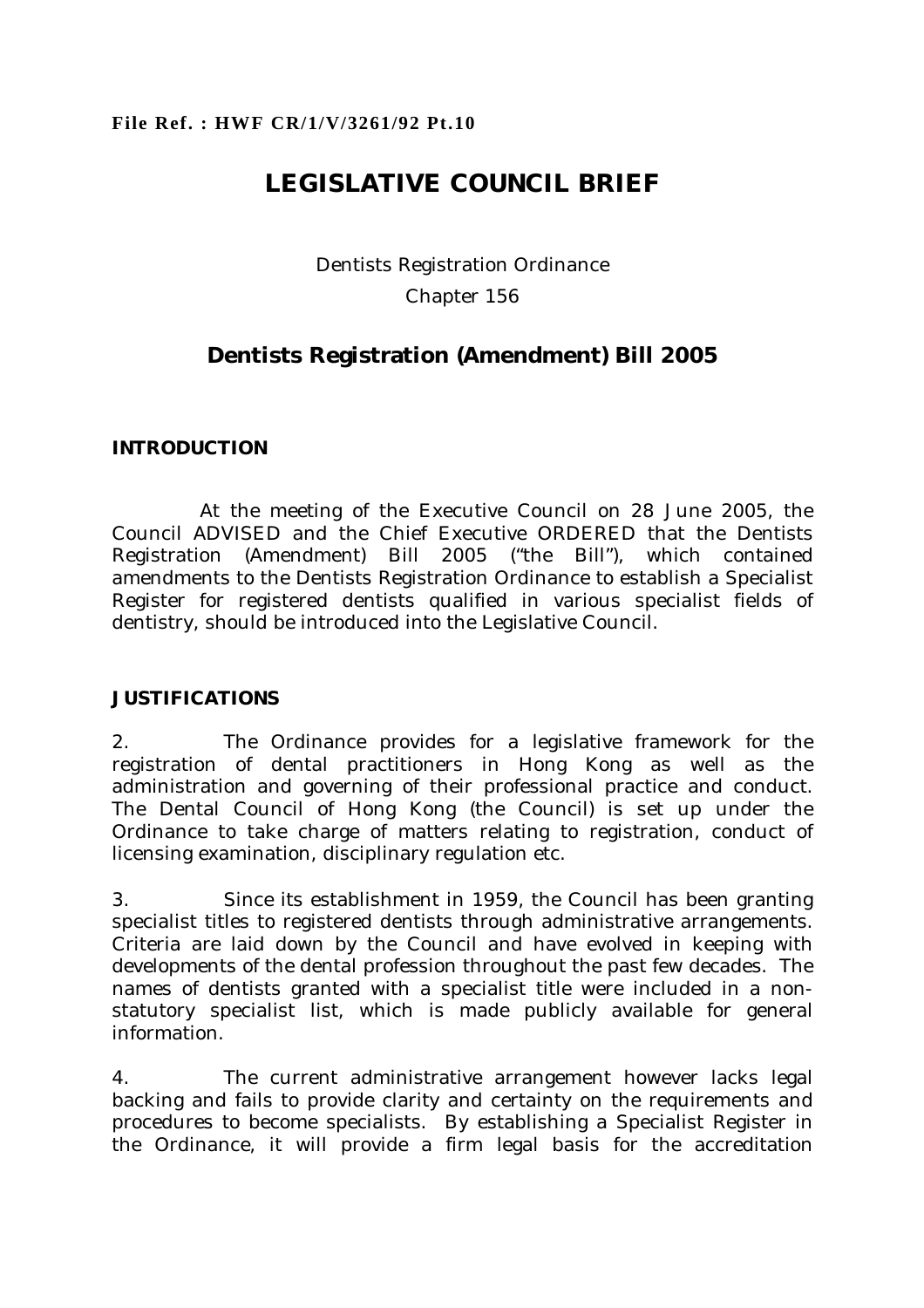# **LEGISLATIVE COUNCIL BRIEF**

Dentists Registration Ordinance Chapter 156

## **Dentists Registration (Amendment) Bill 2005**

## **INTRODUCTION**

 At the meeting of the Executive Council on 28 June 2005, the Council ADVISED and the Chief Executive ORDERED that the Dentists Registration (Amendment) Bill 2005 ("the Bill"), which contained amendments to the Dentists Registration Ordinance to establish a Specialist Register for registered dentists qualified in various specialist fields of dentistry, should be introduced into the Legislative Council.

## **JUSTIFICATIONS**

2. The Ordinance provides for a legislative framework for the registration of dental practitioners in Hong Kong as well as the administration and governing of their professional practice and conduct. The Dental Council of Hong Kong (the Council) is set up under the Ordinance to take charge of matters relating to registration, conduct of licensing examination, disciplinary regulation etc.

3. Since its establishment in 1959, the Council has been granting specialist titles to registered dentists through administrative arrangements. Criteria are laid down by the Council and have evolved in keeping with developments of the dental profession throughout the past few decades. The names of dentists granted with a specialist title were included in a nonstatutory specialist list, which is made publicly available for general information.

4. The current administrative arrangement however lacks legal backing and fails to provide clarity and certainty on the requirements and procedures to become specialists. By establishing a Specialist Register in the Ordinance, it will provide a firm legal basis for the accreditation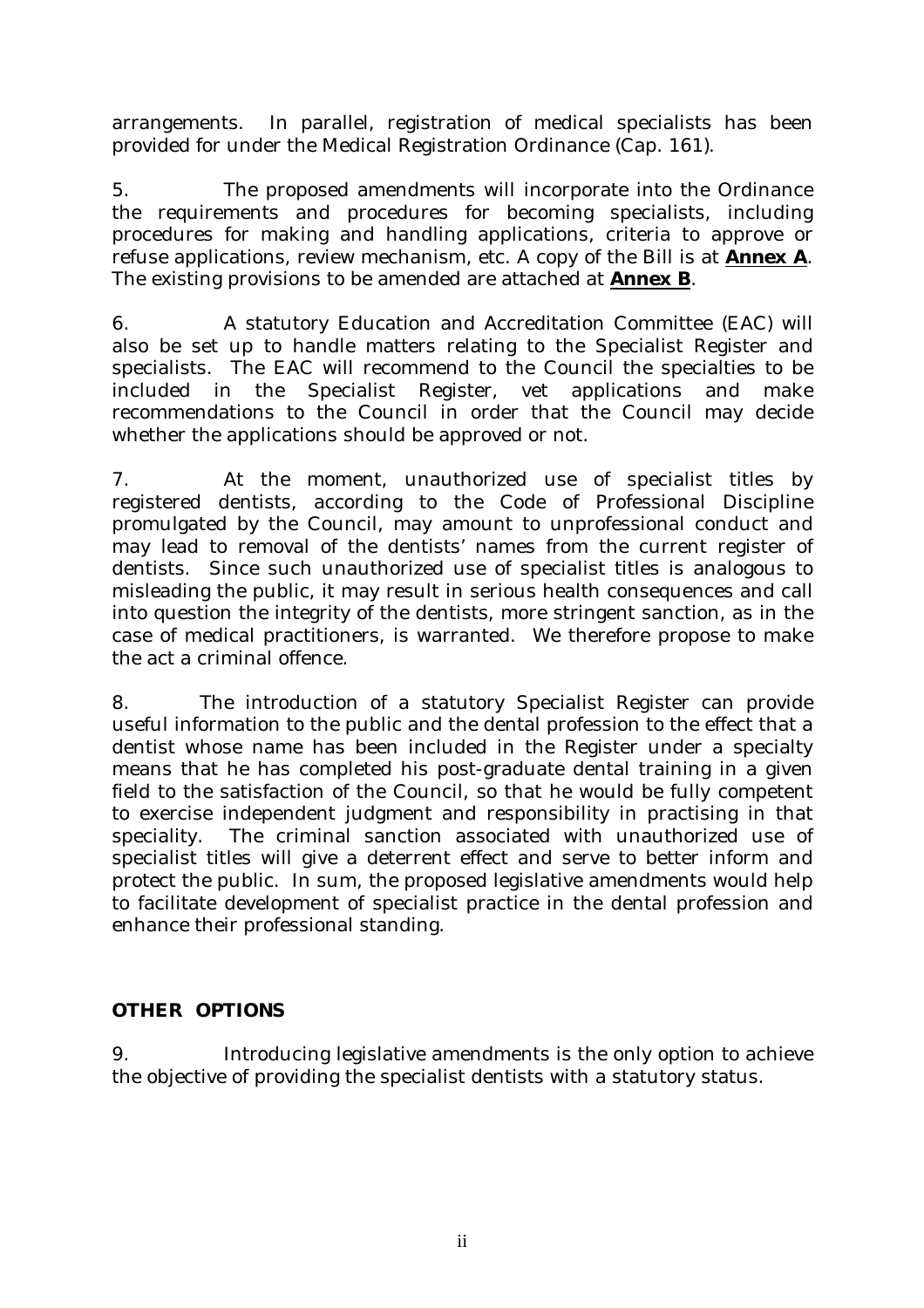arrangements. In parallel, registration of medical specialists has been provided for under the Medical Registration Ordinance (Cap. 161).

5. The proposed amendments will incorporate into the Ordinance the requirements and procedures for becoming specialists, including procedures for making and handling applications, criteria to approve or refuse applications, review mechanism, etc. A copy of the Bill is at **Annex A**. The existing provisions to be amended are attached at **Annex B**.

6. A statutory Education and Accreditation Committee (EAC) will also be set up to handle matters relating to the Specialist Register and specialists. The EAC will recommend to the Council the specialties to be included in the Specialist Register, vet applications and make recommendations to the Council in order that the Council may decide whether the applications should be approved or not.

7. At the moment, unauthorized use of specialist titles by registered dentists, according to the Code of Professional Discipline promulgated by the Council, may amount to unprofessional conduct and may lead to removal of the dentists' names from the current register of dentists. Since such unauthorized use of specialist titles is analogous to misleading the public, it may result in serious health consequences and call into question the integrity of the dentists, more stringent sanction, as in the case of medical practitioners, is warranted. We therefore propose to make the act a criminal offence.

8. The introduction of a statutory Specialist Register can provide useful information to the public and the dental profession to the effect that a dentist whose name has been included in the Register under a specialty means that he has completed his post-graduate dental training in a given field to the satisfaction of the Council, so that he would be fully competent to exercise independent judgment and responsibility in practising in that speciality. The criminal sanction associated with unauthorized use of specialist titles will give a deterrent effect and serve to better inform and protect the public. In sum, the proposed legislative amendments would help to facilitate development of specialist practice in the dental profession and enhance their professional standing.

## **OTHER OPTIONS**

9. Introducing legislative amendments is the only option to achieve the objective of providing the specialist dentists with a statutory status.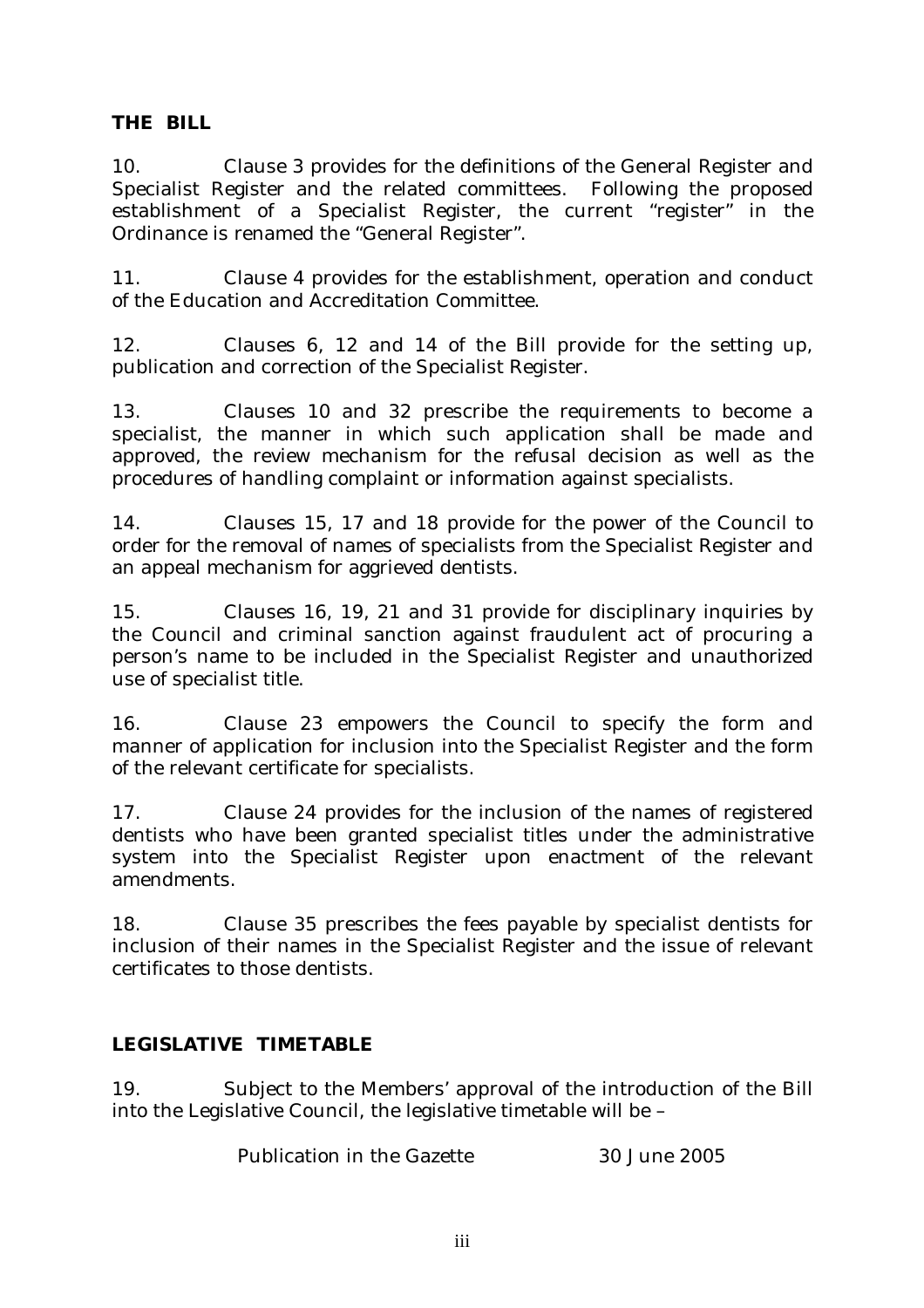## **THE BILL**

10. Clause 3 provides for the definitions of the General Register and Specialist Register and the related committees. Following the proposed establishment of a Specialist Register, the current "register" in the Ordinance is renamed the "General Register".

11. Clause 4 provides for the establishment, operation and conduct of the Education and Accreditation Committee.

12. Clauses 6, 12 and 14 of the Bill provide for the setting up, publication and correction of the Specialist Register.

13. Clauses 10 and 32 prescribe the requirements to become a specialist, the manner in which such application shall be made and approved, the review mechanism for the refusal decision as well as the procedures of handling complaint or information against specialists.

14. Clauses 15, 17 and 18 provide for the power of the Council to order for the removal of names of specialists from the Specialist Register and an appeal mechanism for aggrieved dentists.

15. Clauses 16, 19, 21 and 31 provide for disciplinary inquiries by the Council and criminal sanction against fraudulent act of procuring a person's name to be included in the Specialist Register and unauthorized use of specialist title.

16. Clause 23 empowers the Council to specify the form and manner of application for inclusion into the Specialist Register and the form of the relevant certificate for specialists.

17. Clause 24 provides for the inclusion of the names of registered dentists who have been granted specialist titles under the administrative system into the Specialist Register upon enactment of the relevant amendments.

18. Clause 35 prescribes the fees payable by specialist dentists for inclusion of their names in the Specialist Register and the issue of relevant certificates to those dentists.

## **LEGISLATIVE TIMETABLE**

19. Subject to the Members' approval of the introduction of the Bill into the Legislative Council, the legislative timetable will be –

Publication in the Gazette 30 June 2005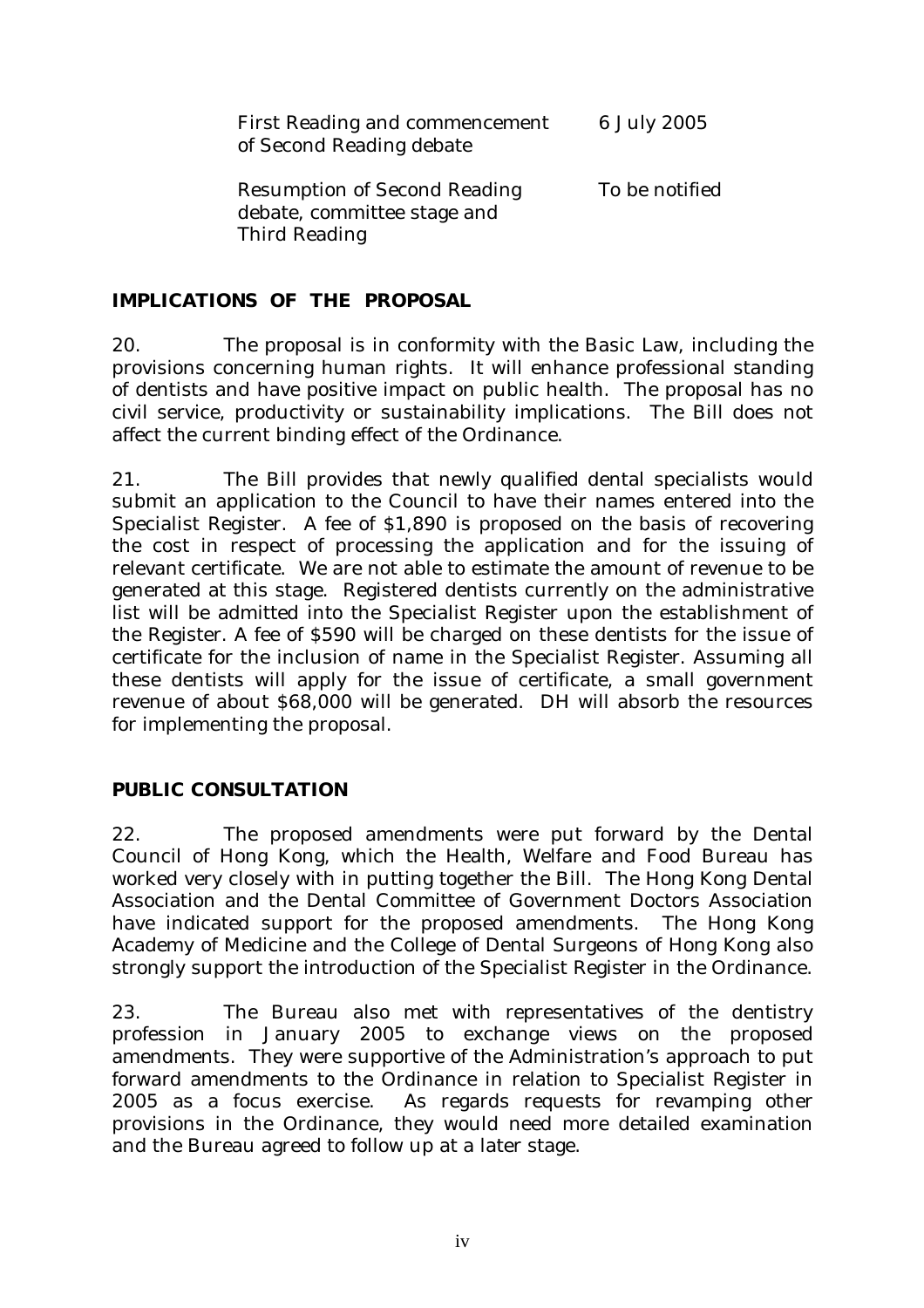| First Reading and commencement<br>of Second Reading debate                          | 6 July 2005    |
|-------------------------------------------------------------------------------------|----------------|
| <b>Resumption of Second Reading</b><br>debate, committee stage and<br>Third Reading | To be notified |

## **IMPLICATIONS OF THE PROPOSAL**

20. The proposal is in conformity with the Basic Law, including the provisions concerning human rights. It will enhance professional standing of dentists and have positive impact on public health. The proposal has no civil service, productivity or sustainability implications. The Bill does not affect the current binding effect of the Ordinance.

21. The Bill provides that newly qualified dental specialists would submit an application to the Council to have their names entered into the Specialist Register. A fee of \$1,890 is proposed on the basis of recovering the cost in respect of processing the application and for the issuing of relevant certificate. We are not able to estimate the amount of revenue to be generated at this stage. Registered dentists currently on the administrative list will be admitted into the Specialist Register upon the establishment of the Register. A fee of \$590 will be charged on these dentists for the issue of certificate for the inclusion of name in the Specialist Register. Assuming all these dentists will apply for the issue of certificate, a small government revenue of about \$68,000 will be generated. DH will absorb the resources for implementing the proposal.

## **PUBLIC CONSULTATION**

22. The proposed amendments were put forward by the Dental Council of Hong Kong, which the Health, Welfare and Food Bureau has worked very closely with in putting together the Bill. The Hong Kong Dental Association and the Dental Committee of Government Doctors Association have indicated support for the proposed amendments. The Hong Kong Academy of Medicine and the College of Dental Surgeons of Hong Kong also strongly support the introduction of the Specialist Register in the Ordinance.

23. The Bureau also met with representatives of the dentistry profession in January 2005 to exchange views on the proposed amendments. They were supportive of the Administration's approach to put forward amendments to the Ordinance in relation to Specialist Register in 2005 as a focus exercise. As regards requests for revamping other provisions in the Ordinance, they would need more detailed examination and the Bureau agreed to follow up at a later stage.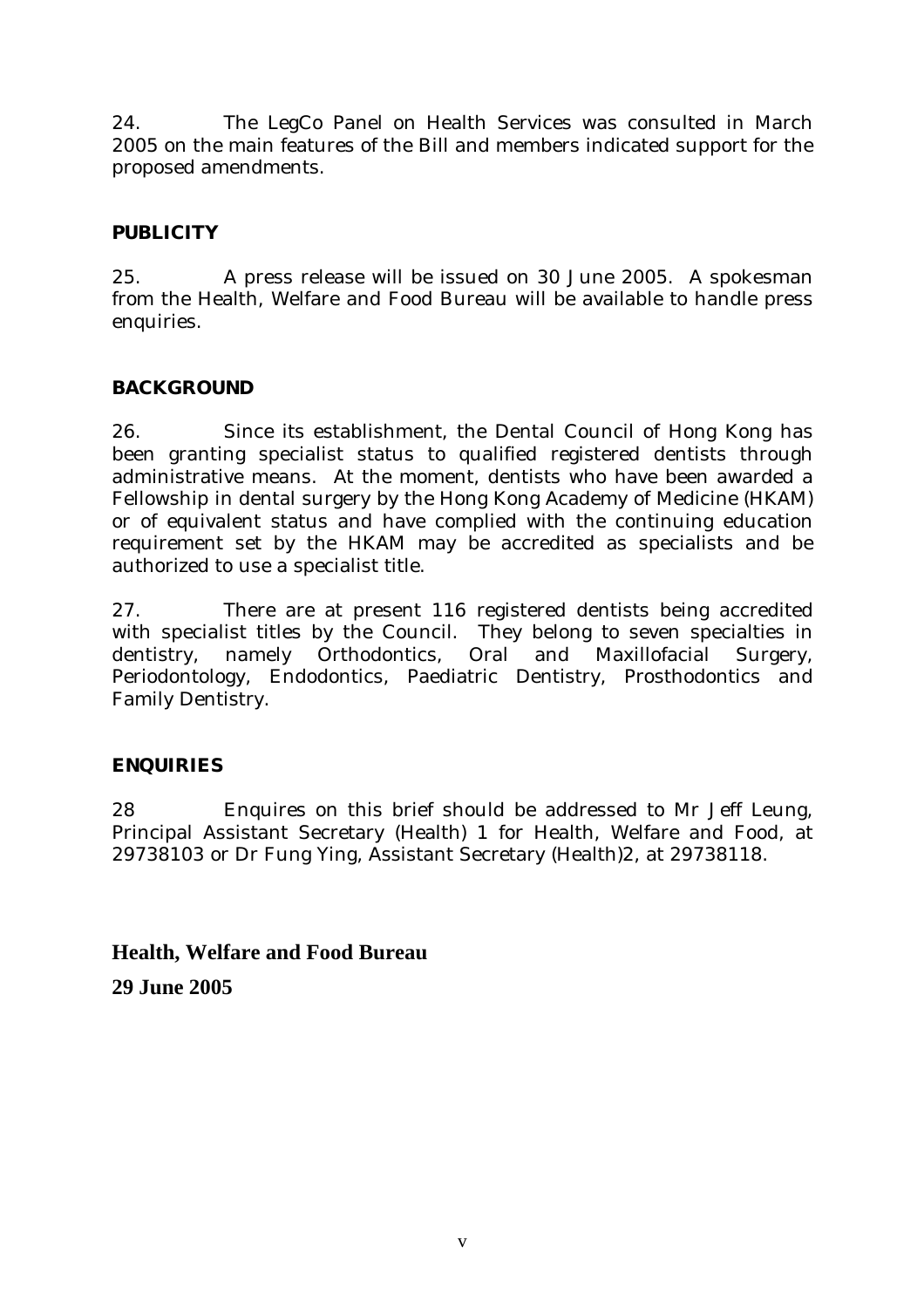24. The LegCo Panel on Health Services was consulted in March 2005 on the main features of the Bill and members indicated support for the proposed amendments.

## **PUBLICITY**

25. A press release will be issued on 30 June 2005. A spokesman from the Health, Welfare and Food Bureau will be available to handle press enquiries.

## **BACKGROUND**

26. Since its establishment, the Dental Council of Hong Kong has been granting specialist status to qualified registered dentists through administrative means. At the moment, dentists who have been awarded a Fellowship in dental surgery by the Hong Kong Academy of Medicine (HKAM) or of equivalent status and have complied with the continuing education requirement set by the HKAM may be accredited as specialists and be authorized to use a specialist title.

27. There are at present 116 registered dentists being accredited with specialist titles by the Council. They belong to seven specialties in dentistry, namely Orthodontics, Oral and Maxillofacial Surgery, Periodontology, Endodontics, Paediatric Dentistry, Prosthodontics and Family Dentistry.

## **ENQUIRIES**

28 Enquires on this brief should be addressed to Mr Jeff Leung, Principal Assistant Secretary (Health) 1 for Health, Welfare and Food, at 29738103 or Dr Fung Ying, Assistant Secretary (Health)2, at 29738118.

**Health, Welfare and Food Bureau** 

**29 June 2005**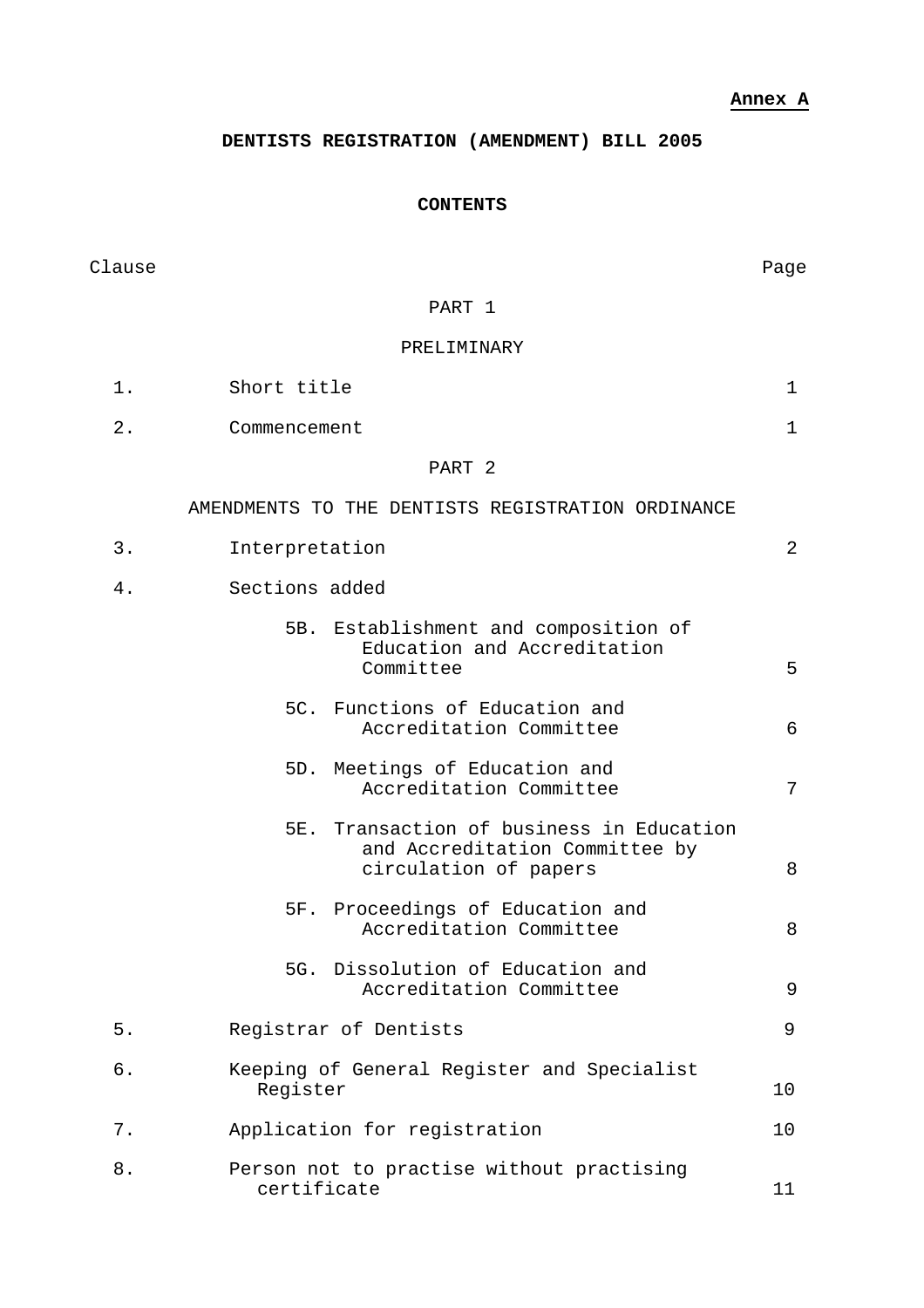**Annex A**

**DENTISTS REGISTRATION (AMENDMENT) BILL 2005** 

## **CONTENTS**

| Clause |                                                                                                     | Page |
|--------|-----------------------------------------------------------------------------------------------------|------|
|        | PART 1                                                                                              |      |
|        | PRELIMINARY                                                                                         |      |
| $1$ .  | Short title                                                                                         | 1    |
| 2.     | Commencement                                                                                        | 1    |
|        | PART <sub>2</sub>                                                                                   |      |
|        | AMENDMENTS TO THE DENTISTS REGISTRATION ORDINANCE                                                   |      |
| 3.     | Interpretation                                                                                      | 2    |
| 4.     | Sections added                                                                                      |      |
|        | 5B. Establishment and composition of<br>Education and Accreditation<br>Committee                    | 5    |
|        | 5C. Functions of Education and<br>Accreditation Committee                                           | 6    |
|        | 5D. Meetings of Education and<br>Accreditation Committee                                            | 7    |
|        | 5E. Transaction of business in Education<br>and Accreditation Committee by<br>circulation of papers | 8    |
|        | 5F. Proceedings of Education and<br>Accreditation Committee                                         | 8    |
|        | 5G. Dissolution of Education and<br>Accreditation Committee                                         | 9    |
| 5.     | Registrar of Dentists                                                                               | 9    |
| б.     | Keeping of General Register and Specialist<br>Register                                              | 10   |
| 7.     | Application for registration                                                                        | 10   |
| 8.     | Person not to practise without practising<br>certificate                                            | 11   |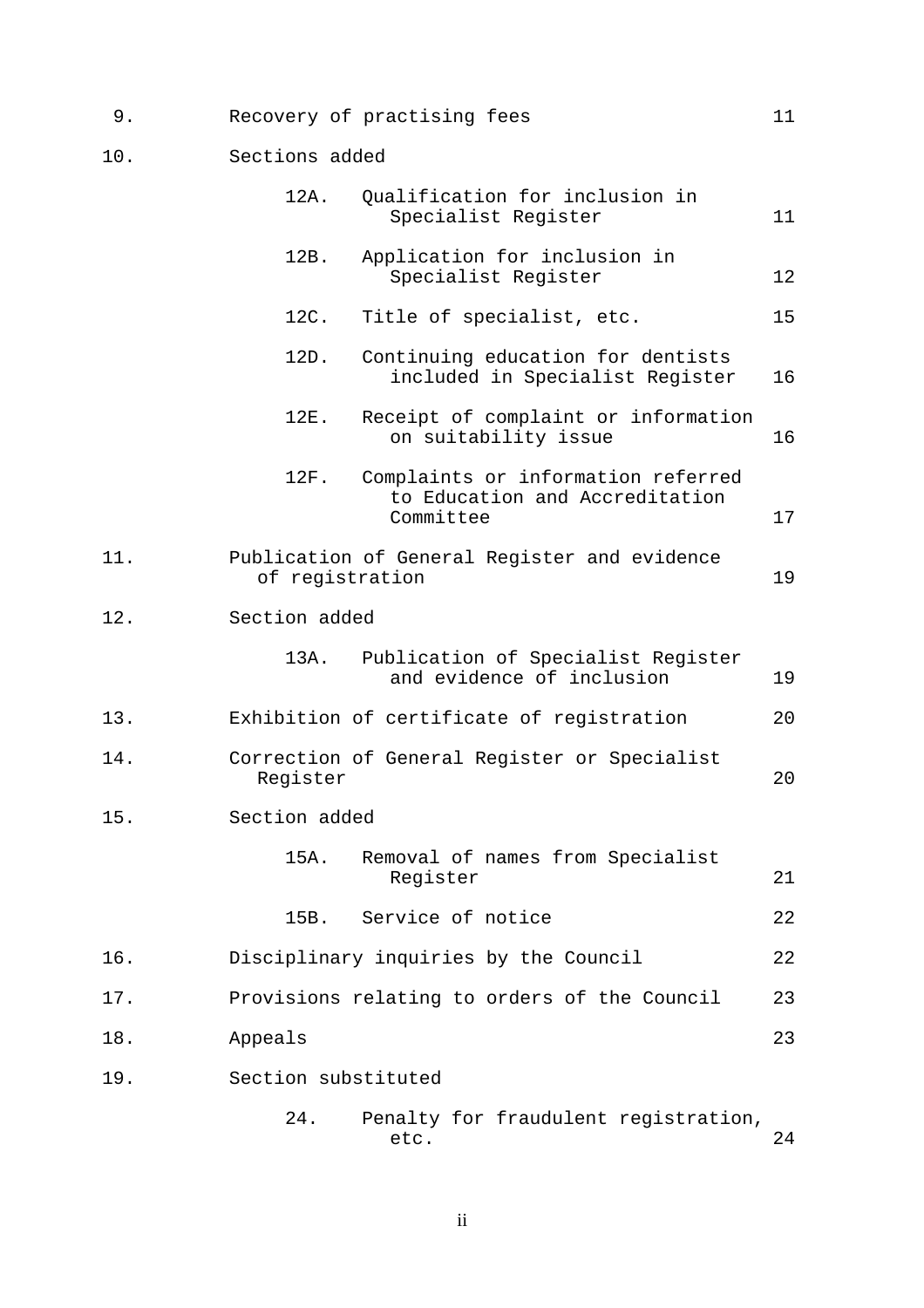- 9. Recovery of practising fees 11
- 10. Sections added

|     | 12A.<br>Qualification for inclusion in<br>Specialist Register                             | 11 |
|-----|-------------------------------------------------------------------------------------------|----|
|     | 12B.<br>Application for inclusion in<br>Specialist Register                               | 12 |
|     | 12C.<br>Title of specialist, etc.                                                         | 15 |
|     | 12D.<br>Continuing education for dentists<br>included in Specialist Register              | 16 |
|     | 12E.<br>Receipt of complaint or information<br>on suitability issue                       | 16 |
|     | 12F.<br>Complaints or information referred<br>to Education and Accreditation<br>Committee | 17 |
| 11. | Publication of General Register and evidence<br>of registration                           | 19 |
| 12. | Section added                                                                             |    |
|     | 13A.<br>Publication of Specialist Register<br>and evidence of inclusion                   | 19 |
| 13. | Exhibition of certificate of registration                                                 | 20 |
| 14. | Correction of General Register or Specialist<br>Register                                  | 20 |
| 15. | Section added                                                                             |    |
|     | 15A.<br>Removal of names from Specialist<br>Register                                      | 21 |
|     | Service of notice<br>15B.                                                                 | 22 |
| 16. | Disciplinary inquiries by the Council                                                     | 22 |
| 17. | Provisions relating to orders of the Council                                              | 23 |
| 18. | Appeals                                                                                   | 23 |
| 19. | Section substituted                                                                       |    |
|     | 24.<br>Penalty for fraudulent registration,<br>etc.                                       | 24 |

ii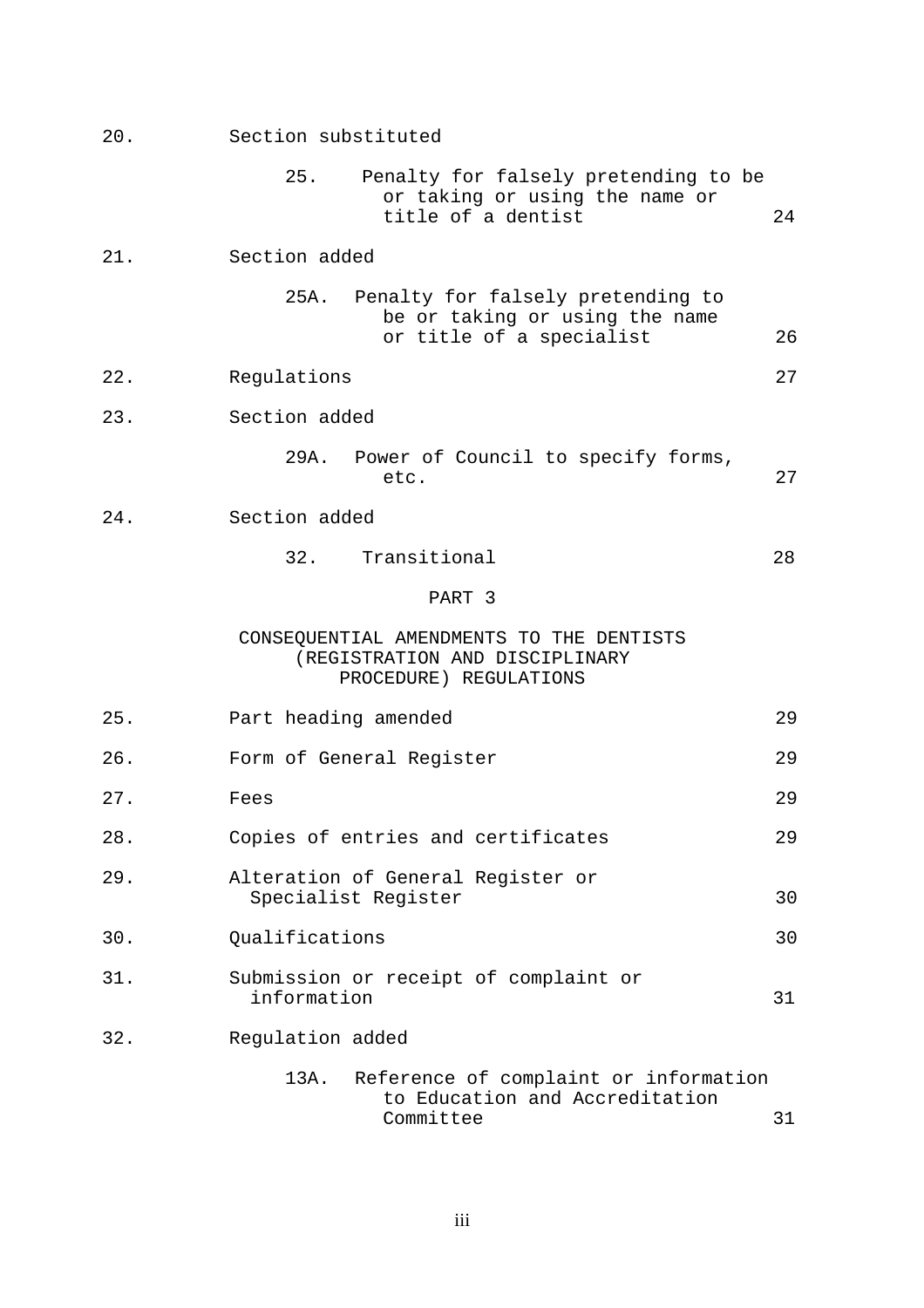| 20. | Section substituted                                                                                     |    |
|-----|---------------------------------------------------------------------------------------------------------|----|
|     | 25.<br>Penalty for falsely pretending to be<br>or taking or using the name or<br>title of a dentist     | 24 |
| 21. | Section added                                                                                           |    |
|     | 25A.<br>Penalty for falsely pretending to<br>be or taking or using the name<br>or title of a specialist | 26 |
| 22. | Regulations                                                                                             | 27 |
| 23. | Section added                                                                                           |    |
|     | 29A.<br>Power of Council to specify forms,<br>etc.                                                      | 27 |
| 24. | Section added                                                                                           |    |
|     | 32.<br>Transitional                                                                                     | 28 |
|     | PART 3                                                                                                  |    |
|     | CONSEQUENTIAL AMENDMENTS TO THE DENTISTS<br>(REGISTRATION AND DISCIPLINARY<br>PROCEDURE) REGULATIONS    |    |
| 25. | Part heading amended                                                                                    | 29 |
| 26. | Form of General Register                                                                                | 29 |
| 27. | Fees                                                                                                    | 29 |
| 28. | Copies of entries and certificates                                                                      | 29 |
| 29. | Alteration of General Register or<br>Specialist Register                                                | 30 |
| 30. | Qualifications                                                                                          | 30 |
| 31. | Submission or receipt of complaint or<br>information                                                    | 31 |
| 32. | Regulation added                                                                                        |    |
|     | 13A.<br>Reference of complaint or information<br>to Education and Accreditation<br>Committee            | 31 |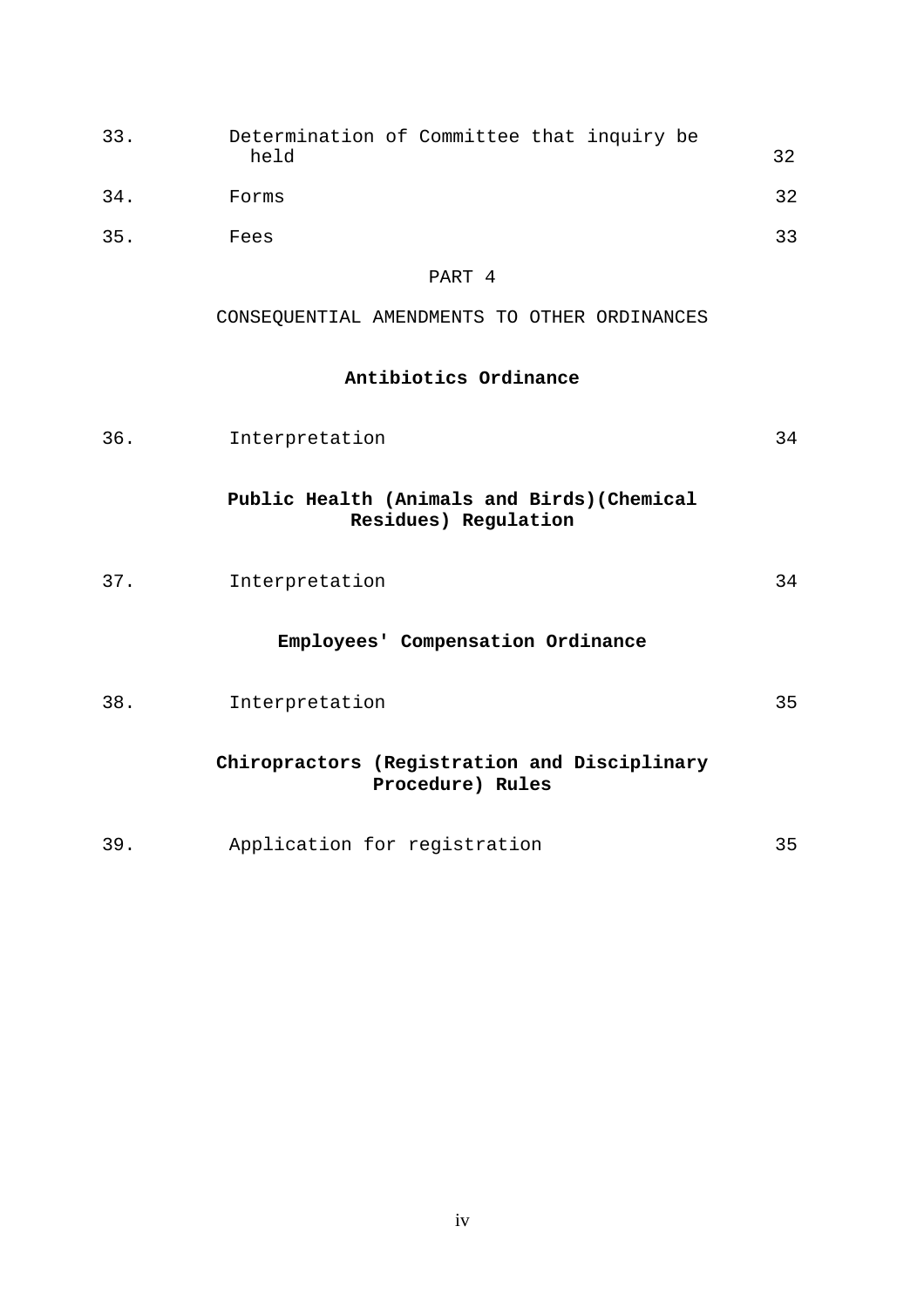| 33. | Determination of Committee that inquiry be<br>held | 32 |  |
|-----|----------------------------------------------------|----|--|
| 34. | Forms                                              | 32 |  |
| 35. | Fees                                               | っっ |  |

PART 4

CONSEQUENTIAL AMENDMENTS TO OTHER ORDINANCES

## **Antibiotics Ordinance**

| 36. | Interpretation                                                      | 34 |
|-----|---------------------------------------------------------------------|----|
|     | Public Health (Animals and Birds) (Chemical<br>Residues) Regulation |    |
| 37. | Interpretation                                                      | 34 |
|     | Employees' Compensation Ordinance                                   |    |
| 38. | Interpretation                                                      | 35 |
|     | Chiropractors (Registration and Disciplinary<br>Procedure) Rules    |    |
| 39. | Application for registration                                        | 35 |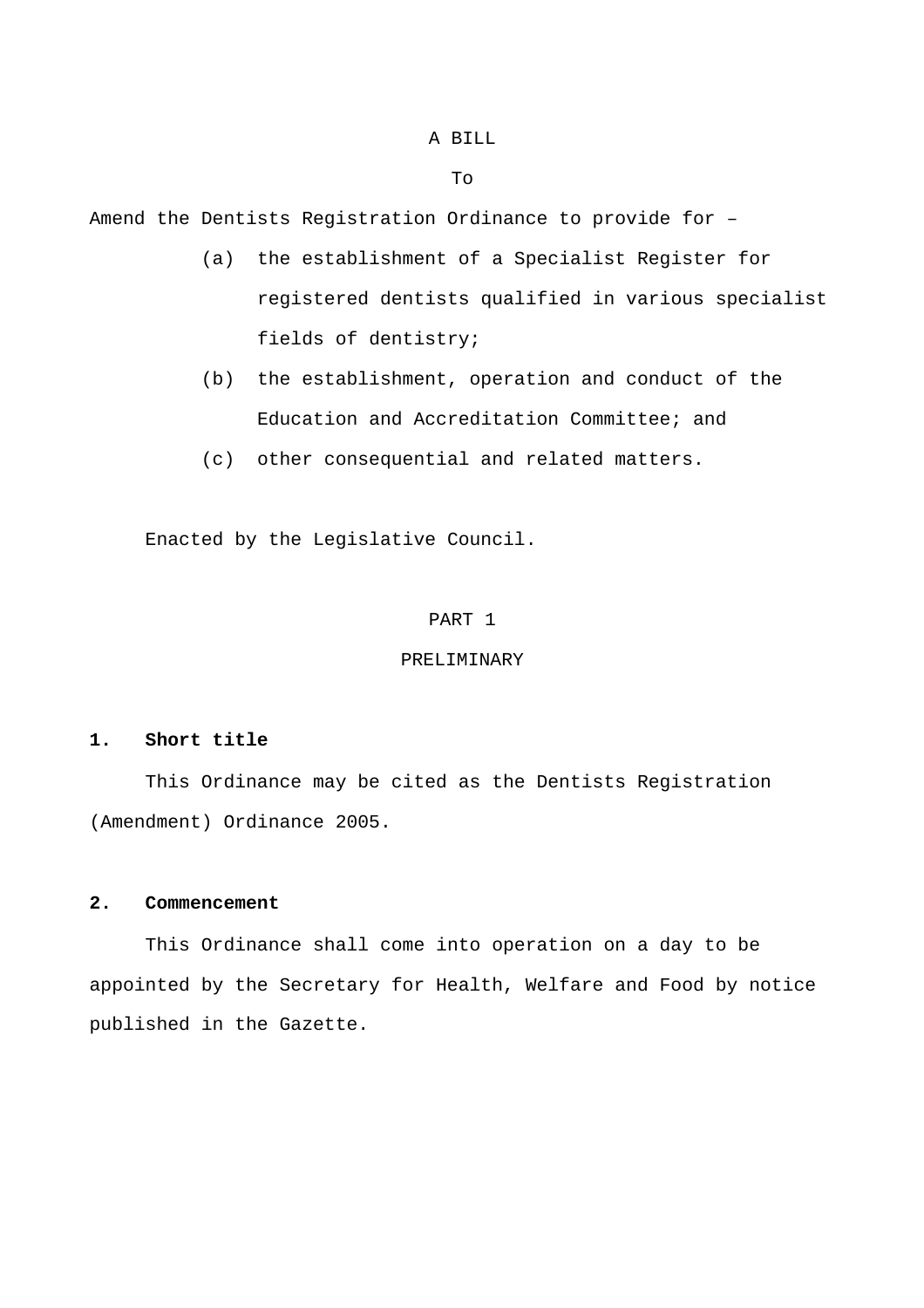#### A BILL

To

Amend the Dentists Registration Ordinance to provide for –

- (a) the establishment of a Specialist Register for registered dentists qualified in various specialist fields of dentistry;
- (b) the establishment, operation and conduct of the Education and Accreditation Committee; and
- (c) other consequential and related matters.

Enacted by the Legislative Council.

#### PART 1

### PRELIMINARY

## **1. Short title**

 This Ordinance may be cited as the Dentists Registration (Amendment) Ordinance 2005.

#### **2. Commencement**

 This Ordinance shall come into operation on a day to be appointed by the Secretary for Health, Welfare and Food by notice published in the Gazette.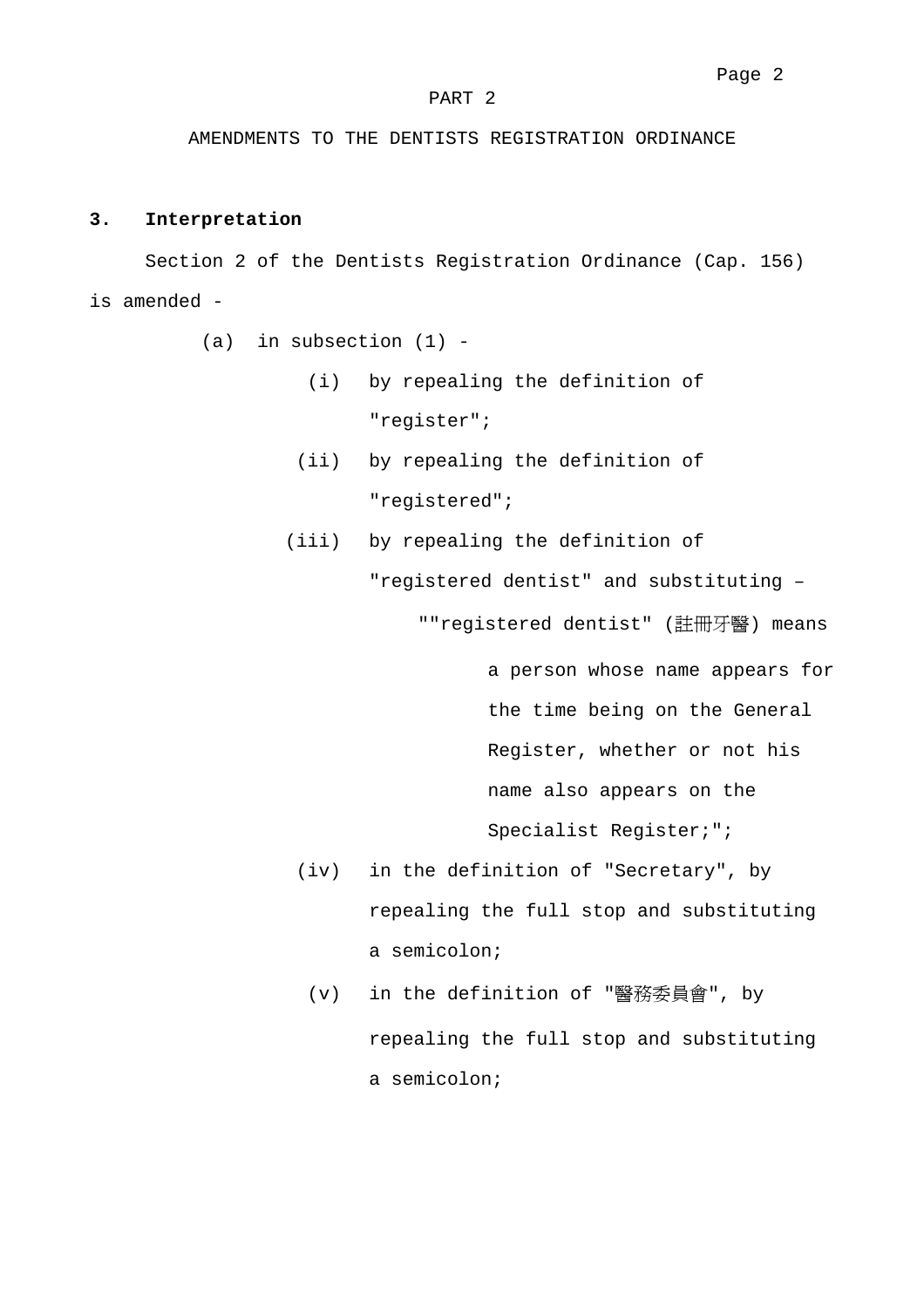#### PART 2

AMENDMENTS TO THE DENTISTS REGISTRATION ORDINANCE

### **3. Interpretation**

Section 2 of the Dentists Registration Ordinance (Cap. 156) is amended -

- $(a)$  in subsection  $(1)$  -
	- (i) by repealing the definition of "register";
	- (ii) by repealing the definition of "registered";
	- (iii) by repealing the definition of

"registered dentist" and substituting – ""registered dentist" (註冊牙醫) means

> a person whose name appears for the time being on the General Register, whether or not his name also appears on the Specialist Register;";

- (iv) in the definition of "Secretary", by repealing the full stop and substituting a semicolon;
	- (v) in the definition of "醫務委員會", by repealing the full stop and substituting a semicolon;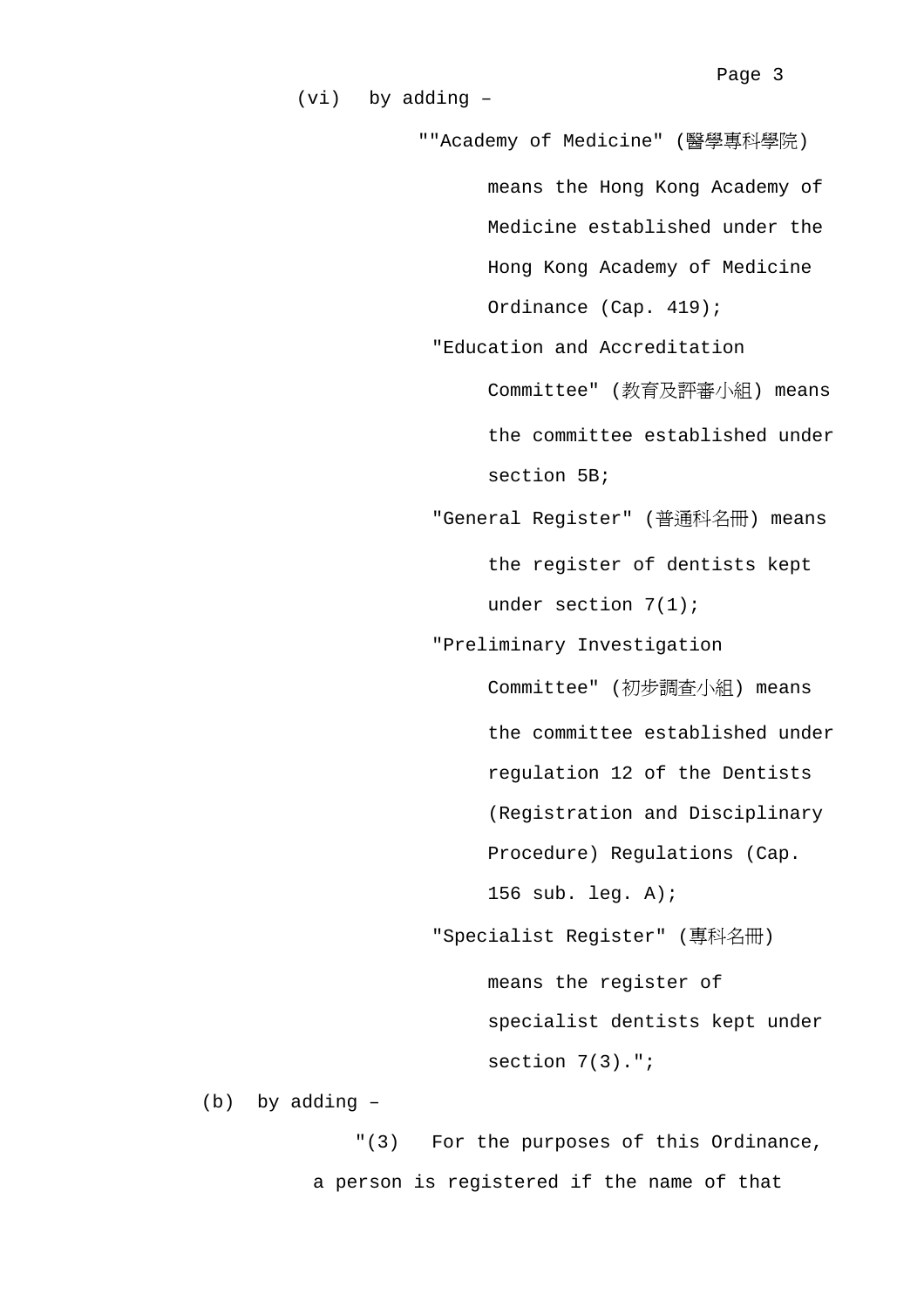""Academy of Medicine" (醫學專科學院) means the Hong Kong Academy of Medicine established under the Hong Kong Academy of Medicine Ordinance (Cap. 419); "Education and Accreditation Committee" (教育及評審小組) means the committee established under section 5B; "General Register" (普通科名冊) means the register of dentists kept under section 7(1); "Preliminary Investigation Committee" (初步調查小組) means the committee established under regulation 12 of the Dentists (Registration and Disciplinary Procedure) Regulations (Cap. 156 sub. leg. A); "Specialist Register" (專科名冊) means the register of specialist dentists kept under section 7(3).";

(vi) by adding –

(b) by adding –

"(3) For the purposes of this Ordinance, a person is registered if the name of that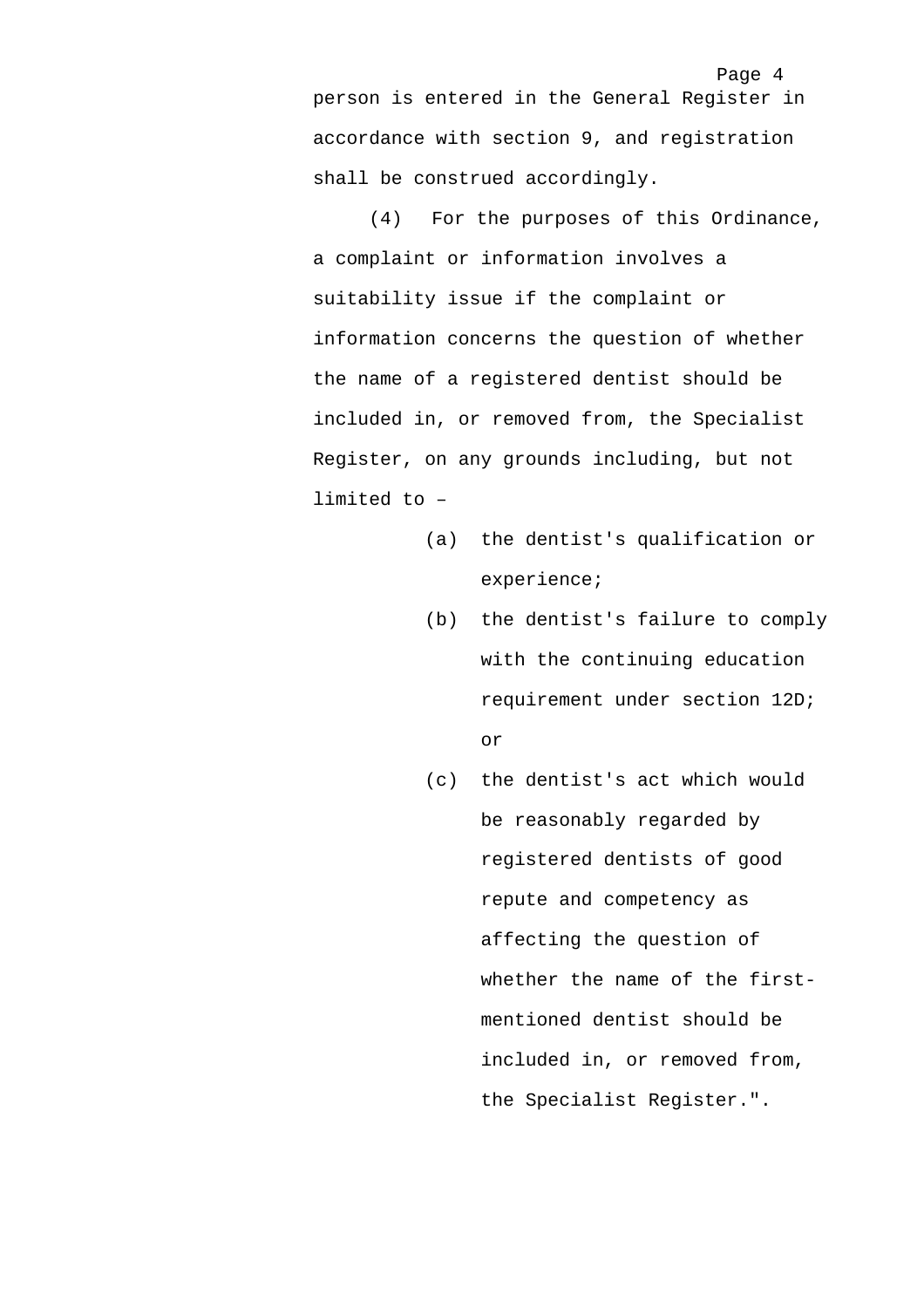Page 4 person is entered in the General Register in accordance with section 9, and registration shall be construed accordingly.

(4) For the purposes of this Ordinance, a complaint or information involves a suitability issue if the complaint or information concerns the question of whether the name of a registered dentist should be included in, or removed from, the Specialist Register, on any grounds including, but not limited to –

- (a) the dentist's qualification or experience;
- (b) the dentist's failure to comply with the continuing education requirement under section 12D; or
- (c) the dentist's act which would be reasonably regarded by registered dentists of good repute and competency as affecting the question of whether the name of the firstmentioned dentist should be included in, or removed from, the Specialist Register.".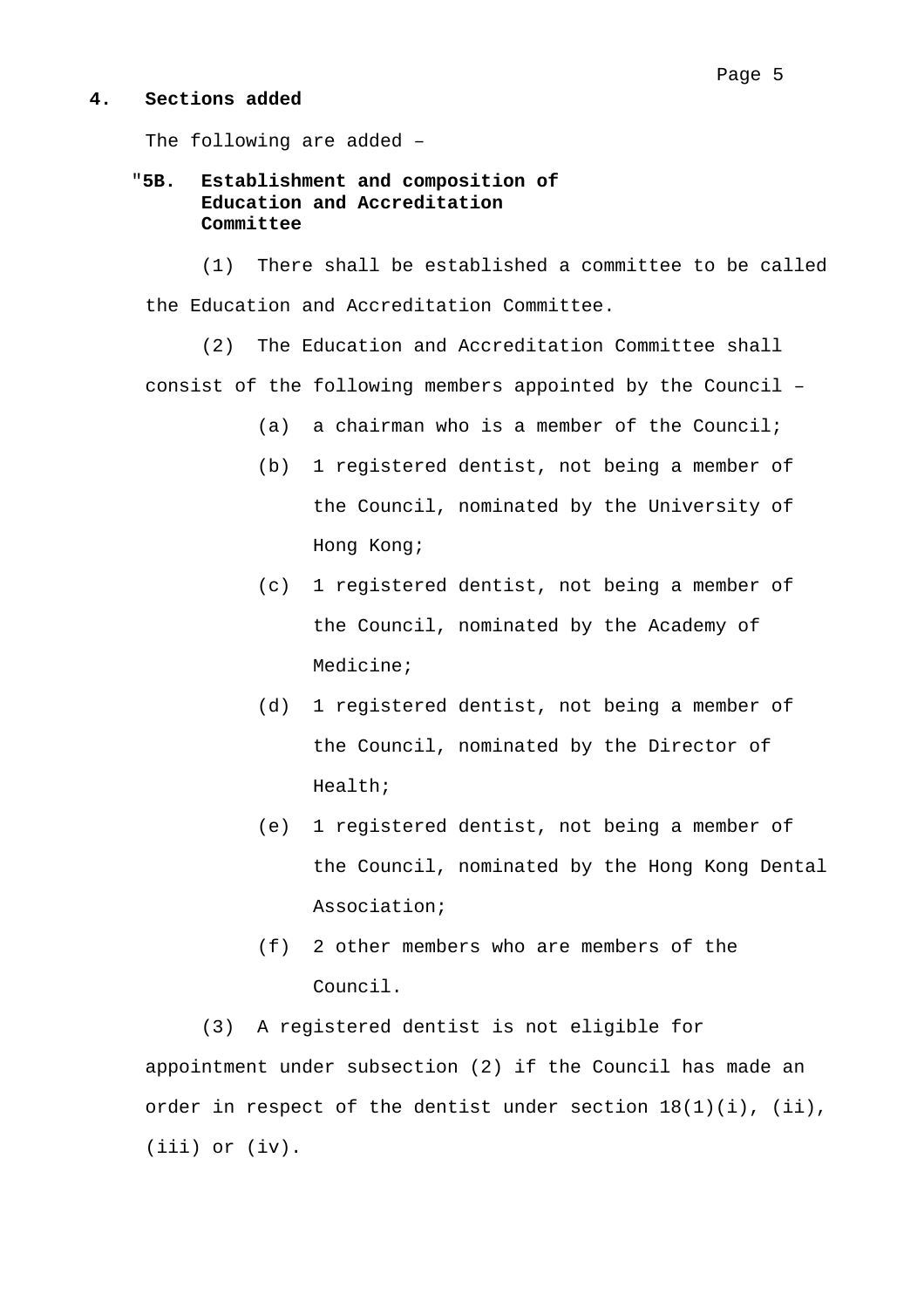#### **4. Sections added**

The following are added –

## "**5B. Establishment and composition of Education and Accreditation Committee**

(1) There shall be established a committee to be called the Education and Accreditation Committee.

(2) The Education and Accreditation Committee shall consist of the following members appointed by the Council –

- (a) a chairman who is a member of the Council;
- (b) 1 registered dentist, not being a member of the Council, nominated by the University of Hong Kong;
- (c) 1 registered dentist, not being a member of the Council, nominated by the Academy of Medicine;
- (d) 1 registered dentist, not being a member of the Council, nominated by the Director of Health;
- (e) 1 registered dentist, not being a member of the Council, nominated by the Hong Kong Dental Association;
- (f) 2 other members who are members of the Council.

(3) A registered dentist is not eligible for appointment under subsection (2) if the Council has made an order in respect of the dentist under section 18(1)(i), (ii), (iii) or (iv).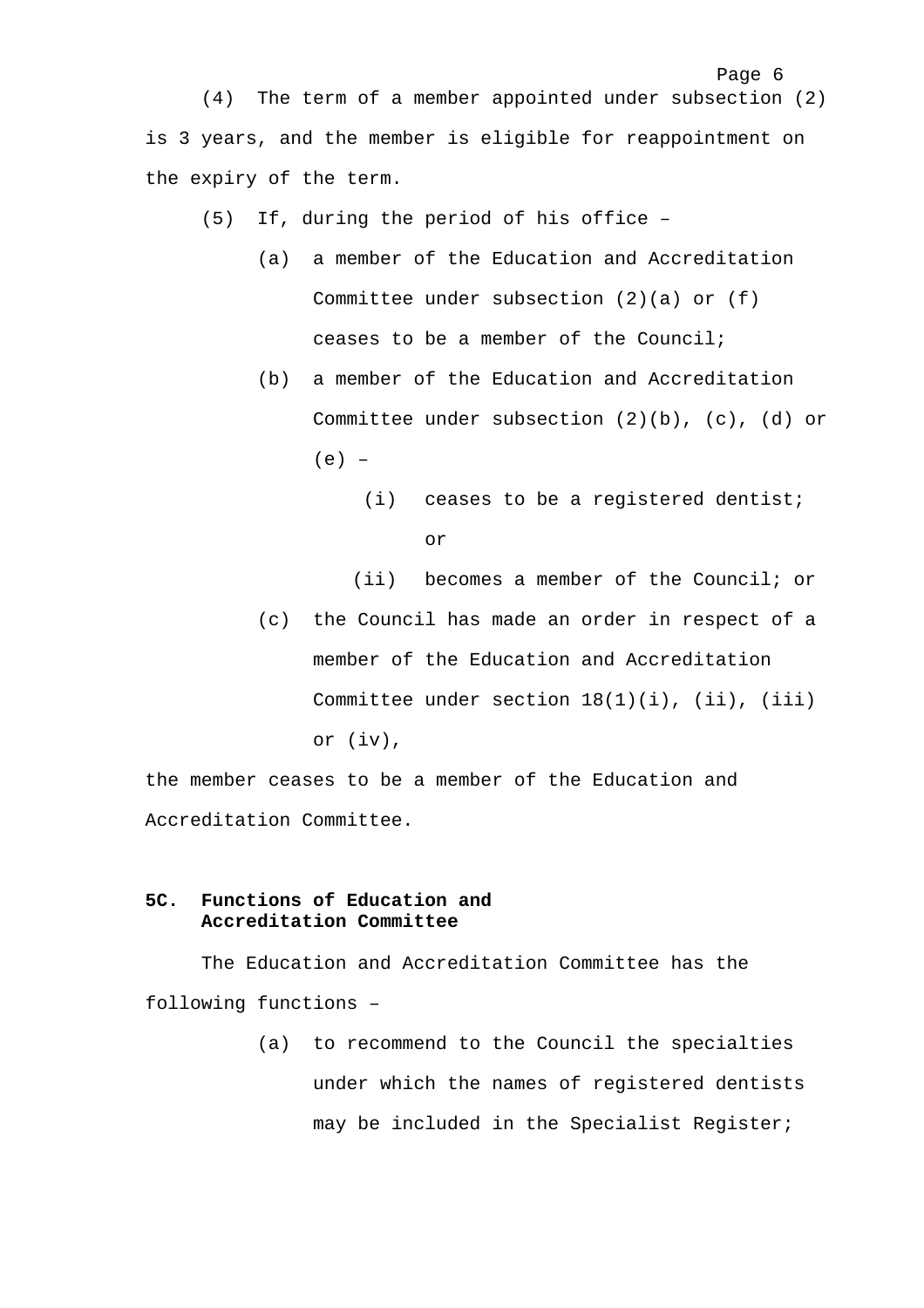(4) The term of a member appointed under subsection (2) is 3 years, and the member is eligible for reappointment on the expiry of the term.

- (5) If, during the period of his office
	- (a) a member of the Education and Accreditation Committee under subsection (2)(a) or (f) ceases to be a member of the Council;
	- (b) a member of the Education and Accreditation Committee under subsection (2)(b), (c), (d) or  $(e) -$ 
		- (i) ceases to be a registered dentist; or

Page 6

(ii) becomes a member of the Council; or

(c) the Council has made an order in respect of a member of the Education and Accreditation Committee under section  $18(1)(i)$ ,  $(ii)$ ,  $(iii)$ or (iv),

the member ceases to be a member of the Education and Accreditation Committee.

## **5C. Functions of Education and Accreditation Committee**

The Education and Accreditation Committee has the following functions –

> (a) to recommend to the Council the specialties under which the names of registered dentists may be included in the Specialist Register;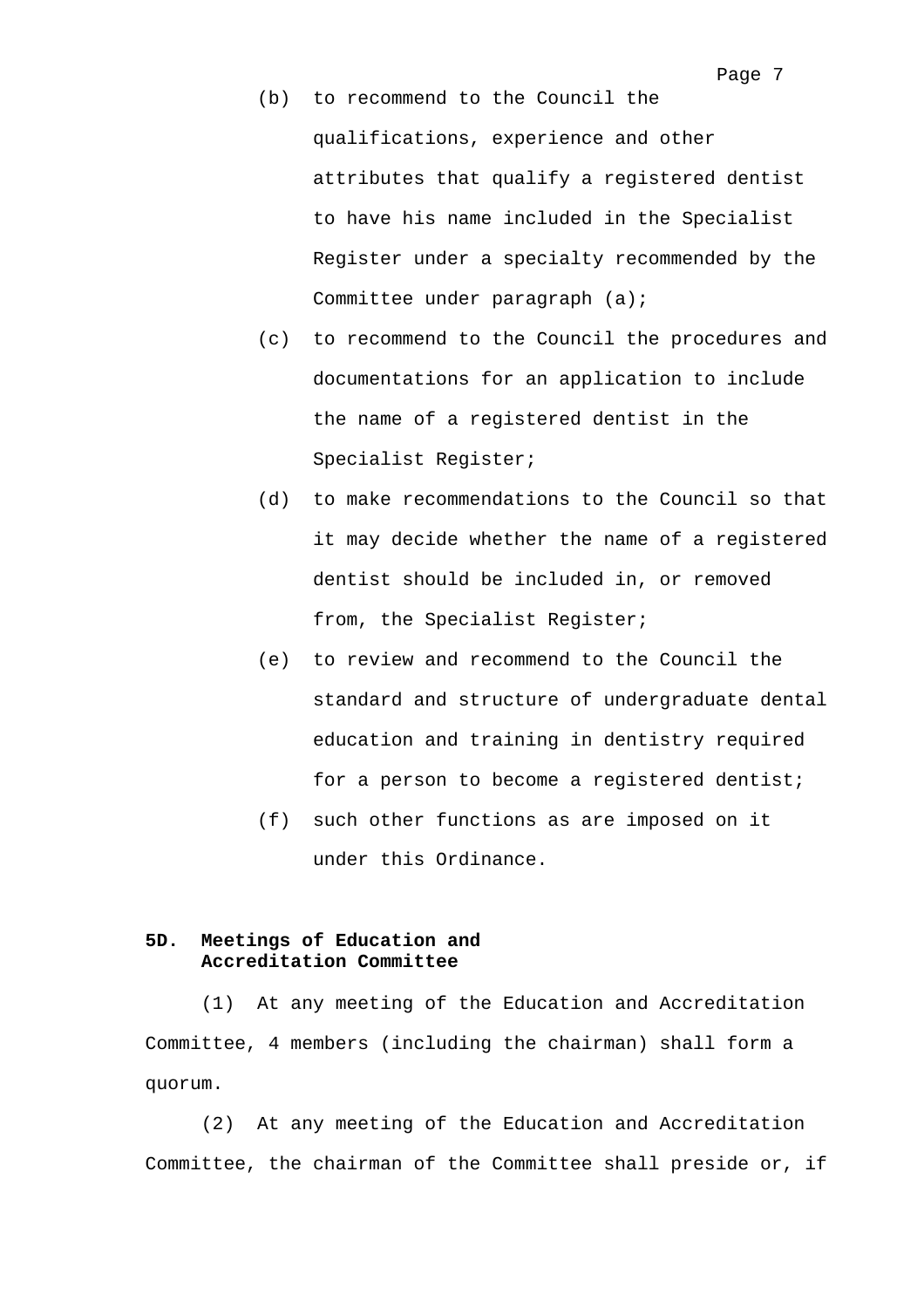- (b) to recommend to the Council the qualifications, experience and other attributes that qualify a registered dentist to have his name included in the Specialist Register under a specialty recommended by the Committee under paragraph (a);
- (c) to recommend to the Council the procedures and documentations for an application to include the name of a registered dentist in the Specialist Register;
- (d) to make recommendations to the Council so that it may decide whether the name of a registered dentist should be included in, or removed from, the Specialist Register;
- (e) to review and recommend to the Council the standard and structure of undergraduate dental education and training in dentistry required for a person to become a registered dentist;
- (f) such other functions as are imposed on it under this Ordinance.

### **5D. Meetings of Education and Accreditation Committee**

(1) At any meeting of the Education and Accreditation Committee, 4 members (including the chairman) shall form a quorum.

(2) At any meeting of the Education and Accreditation Committee, the chairman of the Committee shall preside or, if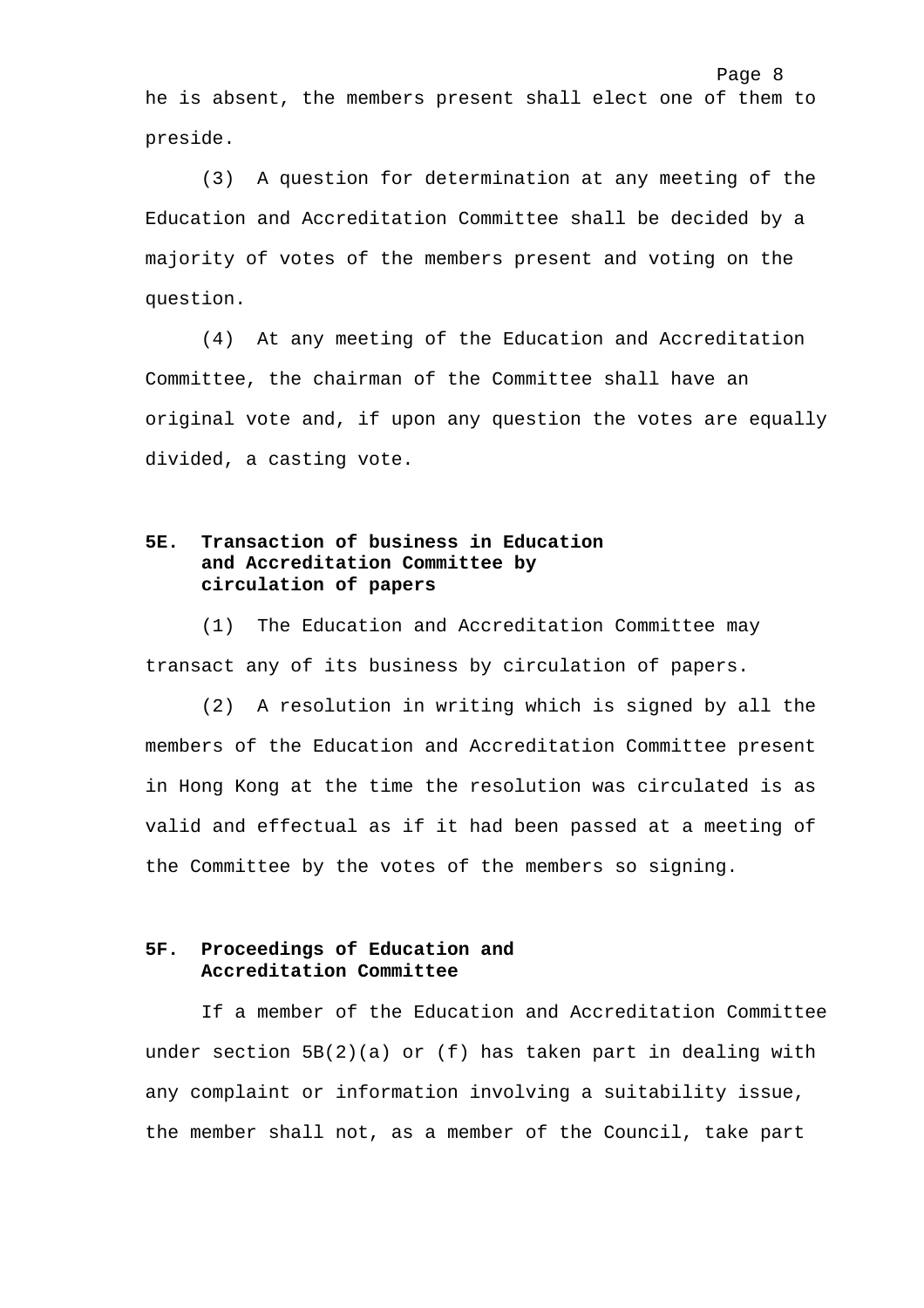he is absent, the members present shall elect one of them to preside.

(3) A question for determination at any meeting of the Education and Accreditation Committee shall be decided by a majority of votes of the members present and voting on the question.

(4) At any meeting of the Education and Accreditation Committee, the chairman of the Committee shall have an original vote and, if upon any question the votes are equally divided, a casting vote.

## **5E. Transaction of business in Education and Accreditation Committee by circulation of papers**

(1) The Education and Accreditation Committee may transact any of its business by circulation of papers.

(2) A resolution in writing which is signed by all the members of the Education and Accreditation Committee present in Hong Kong at the time the resolution was circulated is as valid and effectual as if it had been passed at a meeting of the Committee by the votes of the members so signing.

## **5F. Proceedings of Education and Accreditation Committee**

If a member of the Education and Accreditation Committee under section  $5B(2)(a)$  or (f) has taken part in dealing with any complaint or information involving a suitability issue, the member shall not, as a member of the Council, take part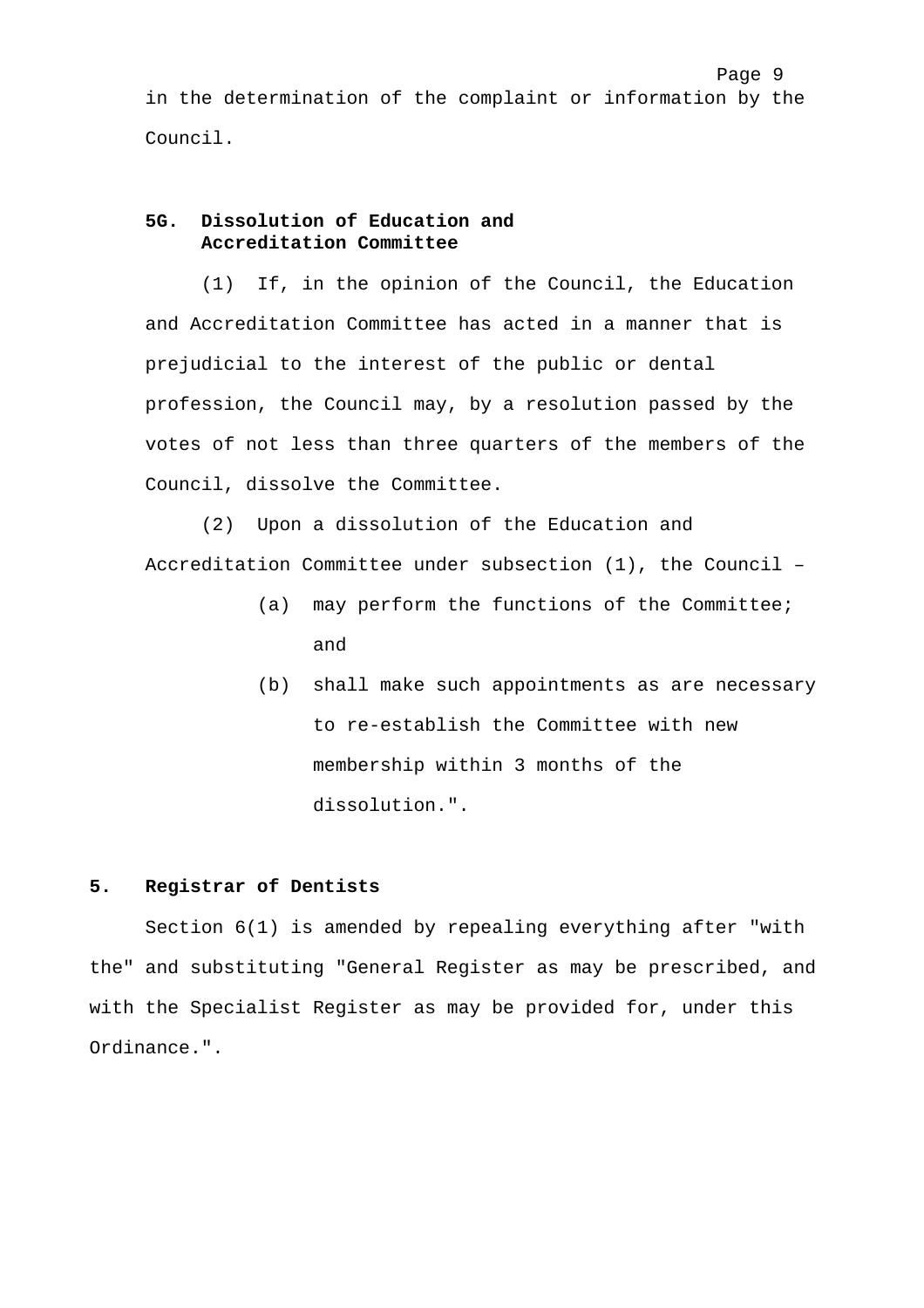in the determination of the complaint or information by the Council.

## **5G. Dissolution of Education and Accreditation Committee**

(1) If, in the opinion of the Council, the Education and Accreditation Committee has acted in a manner that is prejudicial to the interest of the public or dental profession, the Council may, by a resolution passed by the votes of not less than three quarters of the members of the Council, dissolve the Committee.

(2) Upon a dissolution of the Education and Accreditation Committee under subsection (1), the Council –

- (a) may perform the functions of the Committee; and
- (b) shall make such appointments as are necessary to re-establish the Committee with new membership within 3 months of the dissolution.".

### **5. Registrar of Dentists**

Section 6(1) is amended by repealing everything after "with the" and substituting "General Register as may be prescribed, and with the Specialist Register as may be provided for, under this Ordinance.".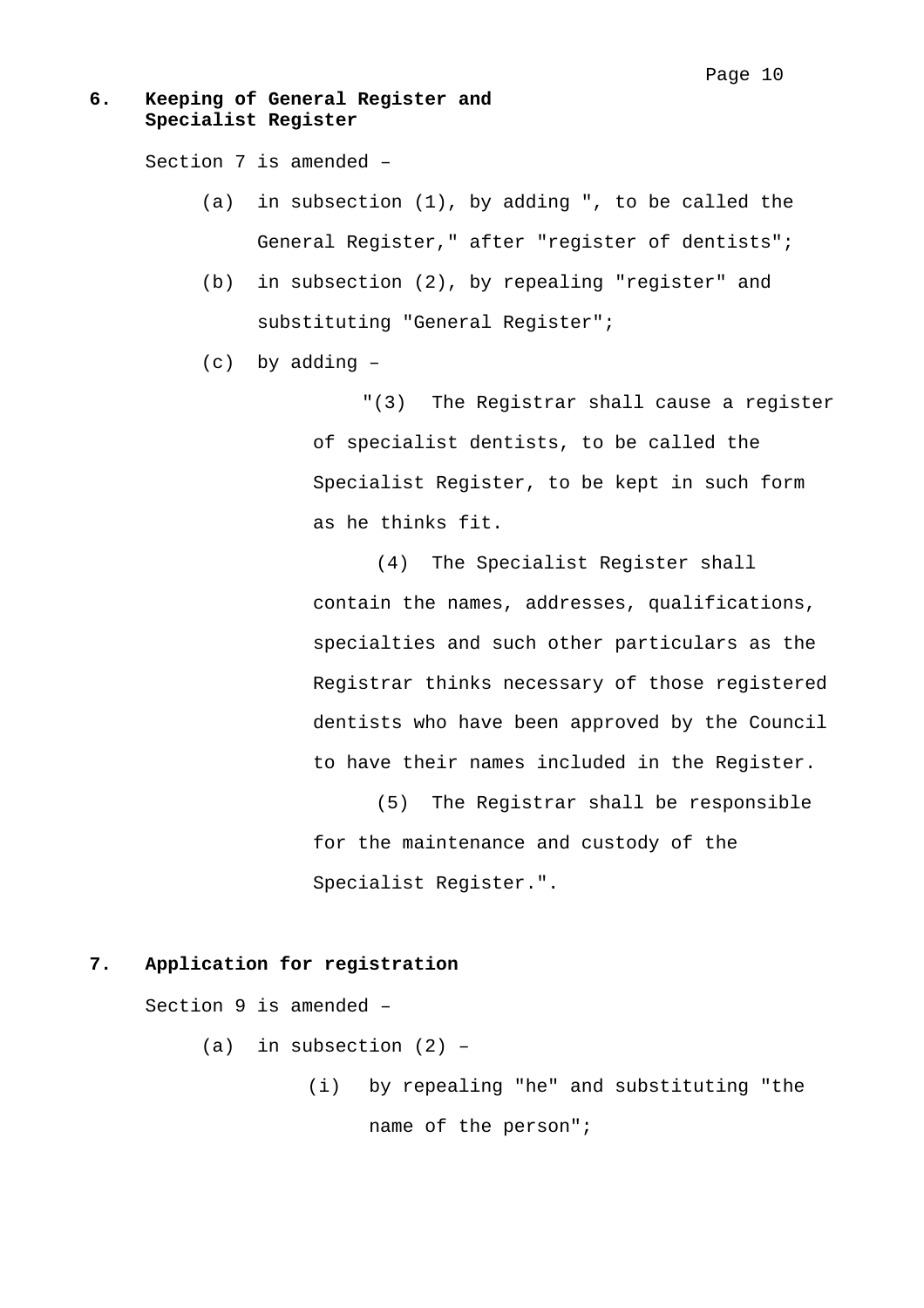## **6. Keeping of General Register and Specialist Register**

Section 7 is amended –

- (a) in subsection (1), by adding ", to be called the General Register," after "register of dentists";
- (b) in subsection (2), by repealing "register" and substituting "General Register";
- (c) by adding –

"(3) The Registrar shall cause a register of specialist dentists, to be called the Specialist Register, to be kept in such form as he thinks fit.

(4) The Specialist Register shall contain the names, addresses, qualifications, specialties and such other particulars as the Registrar thinks necessary of those registered dentists who have been approved by the Council to have their names included in the Register.

(5) The Registrar shall be responsible for the maintenance and custody of the Specialist Register.".

### **7. Application for registration**

Section 9 is amended –

(a) in subsection  $(2)$  -

 (i) by repealing "he" and substituting "the name of the person";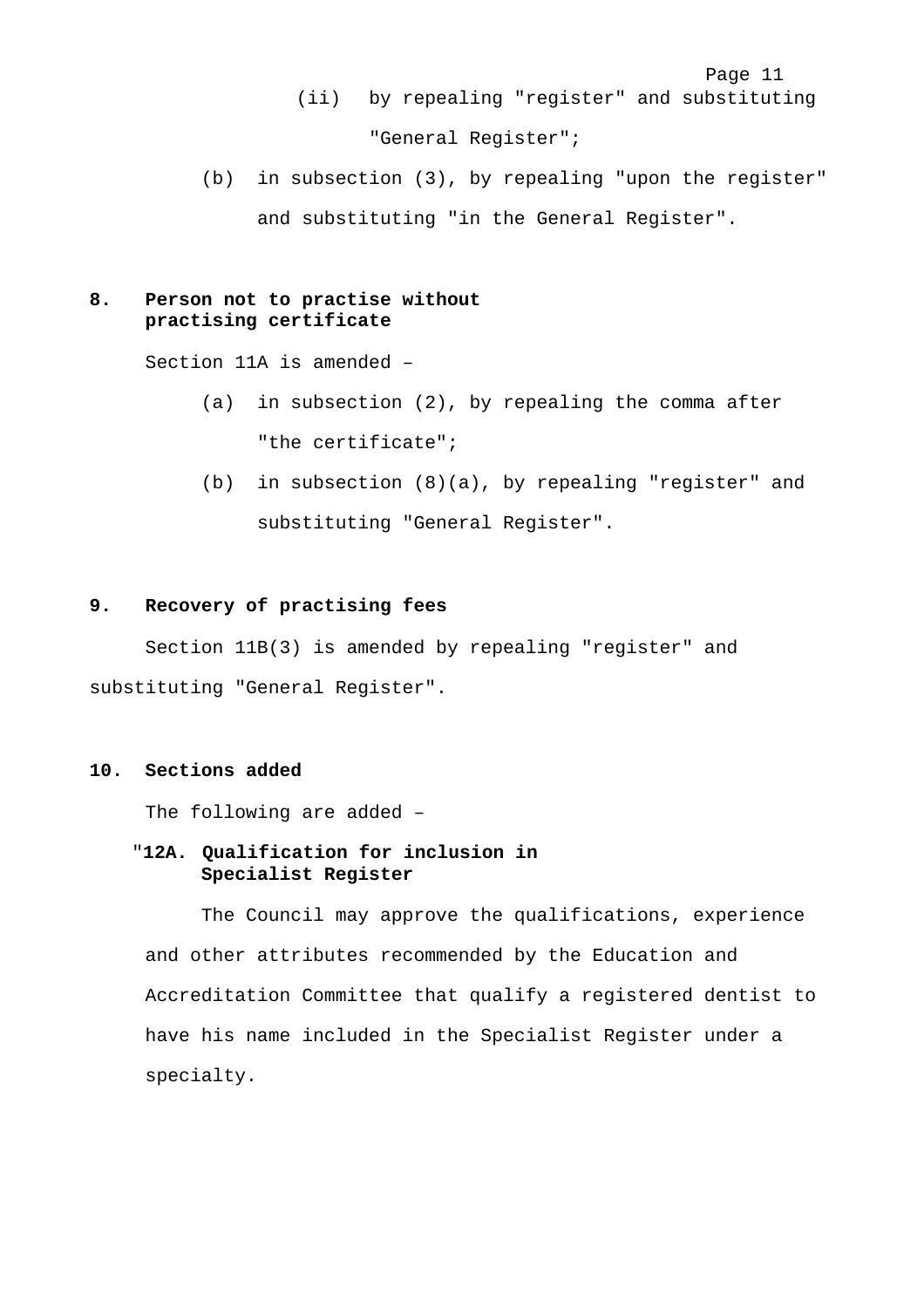- (ii) by repealing "register" and substituting "General Register";
- (b) in subsection (3), by repealing "upon the register" and substituting "in the General Register".

### **8. Person not to practise without practising certificate**

Section 11A is amended –

- (a) in subsection (2), by repealing the comma after "the certificate";
- (b) in subsection (8)(a), by repealing "register" and substituting "General Register".

### **9. Recovery of practising fees**

Section 11B(3) is amended by repealing "register" and substituting "General Register".

#### **10. Sections added**

The following are added –

## "**12A. Qualification for inclusion in Specialist Register**

The Council may approve the qualifications, experience and other attributes recommended by the Education and Accreditation Committee that qualify a registered dentist to have his name included in the Specialist Register under a specialty.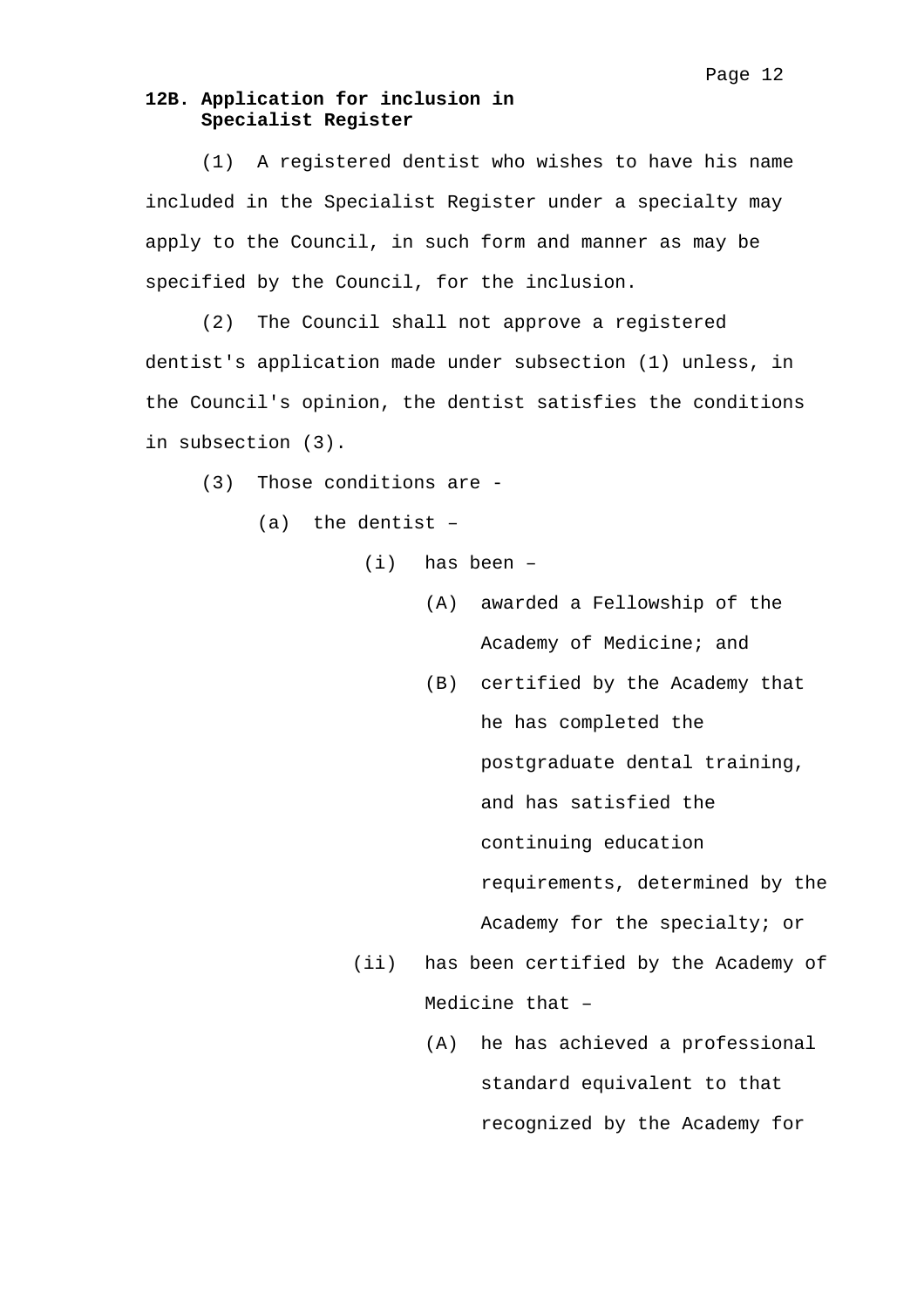## **12B. Application for inclusion in Specialist Register**

(1) A registered dentist who wishes to have his name included in the Specialist Register under a specialty may apply to the Council, in such form and manner as may be specified by the Council, for the inclusion.

(2) The Council shall not approve a registered dentist's application made under subsection (1) unless, in the Council's opinion, the dentist satisfies the conditions in subsection (3).

(3) Those conditions are -

(a) the dentist –

- (i) has been
	- (A) awarded a Fellowship of the Academy of Medicine; and
	- (B) certified by the Academy that he has completed the postgraduate dental training, and has satisfied the continuing education requirements, determined by the Academy for the specialty; or
- (ii) has been certified by the Academy of Medicine that –
	- (A) he has achieved a professional standard equivalent to that recognized by the Academy for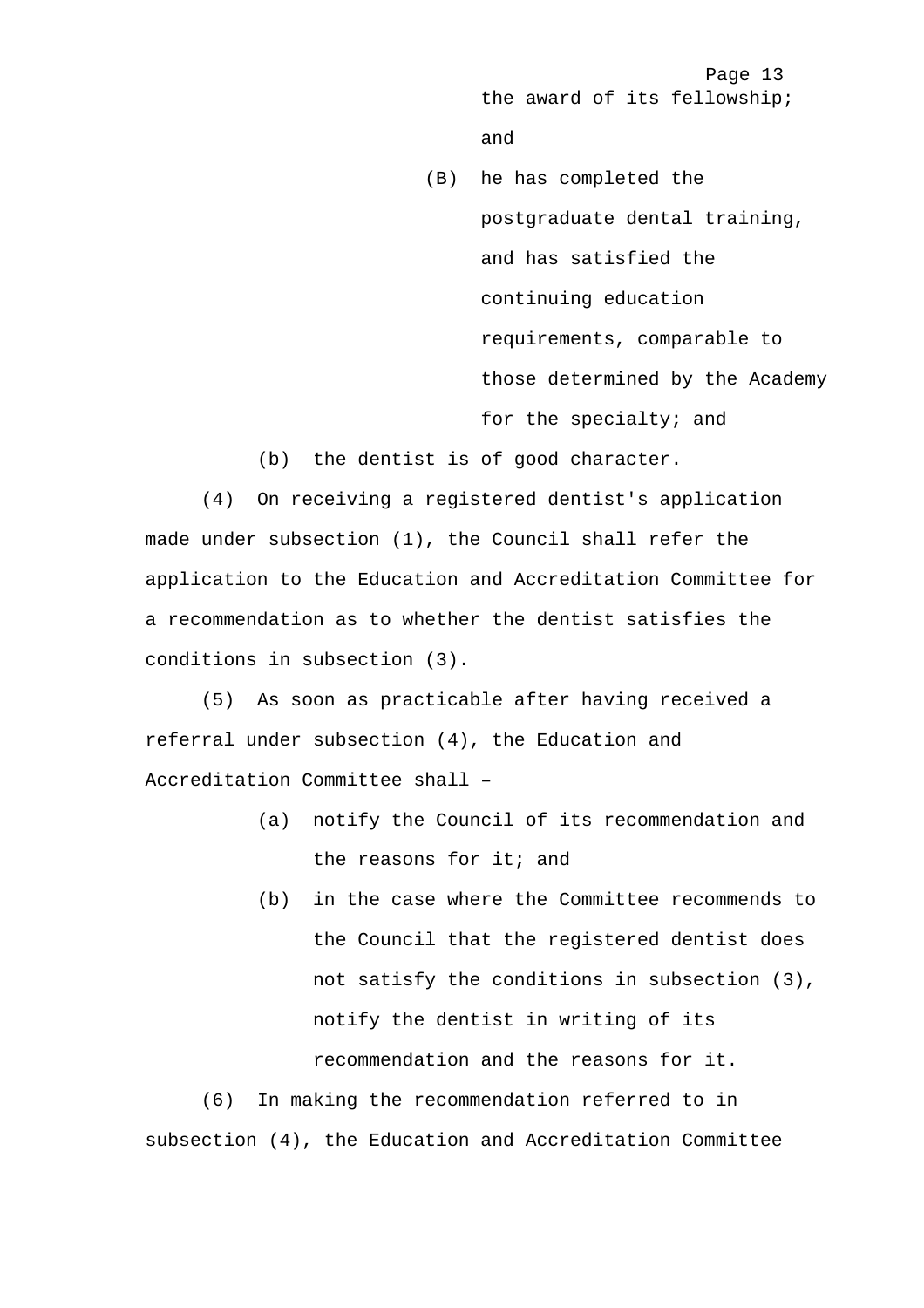Page 13 the award of its fellowship; and

- (B) he has completed the postgraduate dental training, and has satisfied the continuing education requirements, comparable to those determined by the Academy for the specialty; and
- (b) the dentist is of good character.

(4) On receiving a registered dentist's application made under subsection (1), the Council shall refer the application to the Education and Accreditation Committee for a recommendation as to whether the dentist satisfies the conditions in subsection (3).

(5) As soon as practicable after having received a referral under subsection (4), the Education and Accreditation Committee shall –

- (a) notify the Council of its recommendation and the reasons for it; and
- (b) in the case where the Committee recommends to the Council that the registered dentist does not satisfy the conditions in subsection (3), notify the dentist in writing of its recommendation and the reasons for it.

(6) In making the recommendation referred to in subsection (4), the Education and Accreditation Committee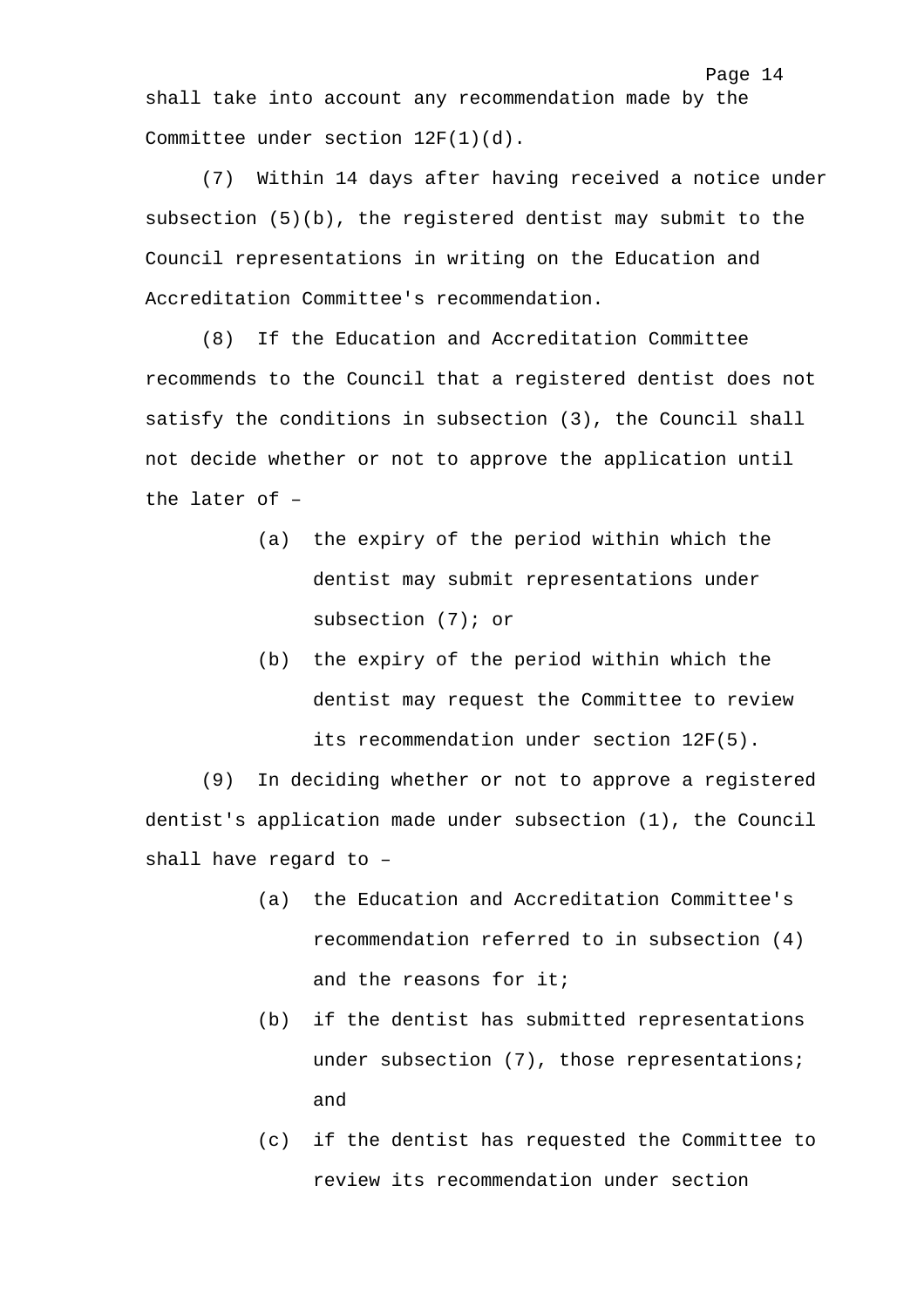shall take into account any recommendation made by the Committee under section 12F(1)(d).

(7) Within 14 days after having received a notice under subsection (5)(b), the registered dentist may submit to the Council representations in writing on the Education and Accreditation Committee's recommendation.

(8) If the Education and Accreditation Committee recommends to the Council that a registered dentist does not satisfy the conditions in subsection (3), the Council shall not decide whether or not to approve the application until the later of –

- (a) the expiry of the period within which the dentist may submit representations under subsection (7); or
- (b) the expiry of the period within which the dentist may request the Committee to review its recommendation under section 12F(5).

(9) In deciding whether or not to approve a registered dentist's application made under subsection (1), the Council shall have regard to –

- (a) the Education and Accreditation Committee's recommendation referred to in subsection (4) and the reasons for it;
- (b) if the dentist has submitted representations under subsection (7), those representations; and
- (c) if the dentist has requested the Committee to review its recommendation under section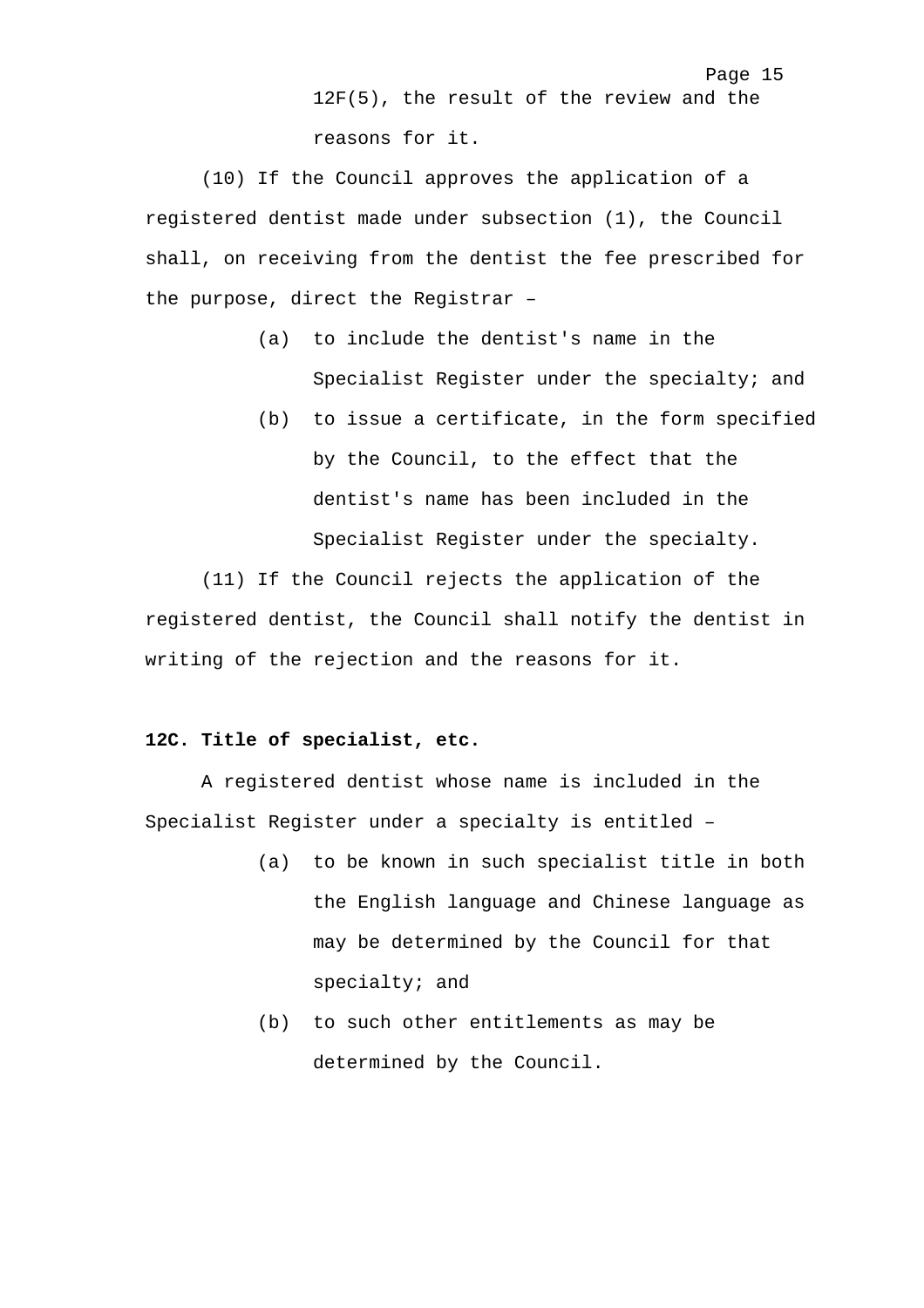12F(5), the result of the review and the reasons for it.

Page 15

(10) If the Council approves the application of a registered dentist made under subsection (1), the Council shall, on receiving from the dentist the fee prescribed for the purpose, direct the Registrar –

- (a) to include the dentist's name in the Specialist Register under the specialty; and
- (b) to issue a certificate, in the form specified by the Council, to the effect that the dentist's name has been included in the Specialist Register under the specialty.

(11) If the Council rejects the application of the registered dentist, the Council shall notify the dentist in writing of the rejection and the reasons for it.

#### **12C. Title of specialist, etc.**

A registered dentist whose name is included in the Specialist Register under a specialty is entitled –

- (a) to be known in such specialist title in both the English language and Chinese language as may be determined by the Council for that specialty; and
- (b) to such other entitlements as may be determined by the Council.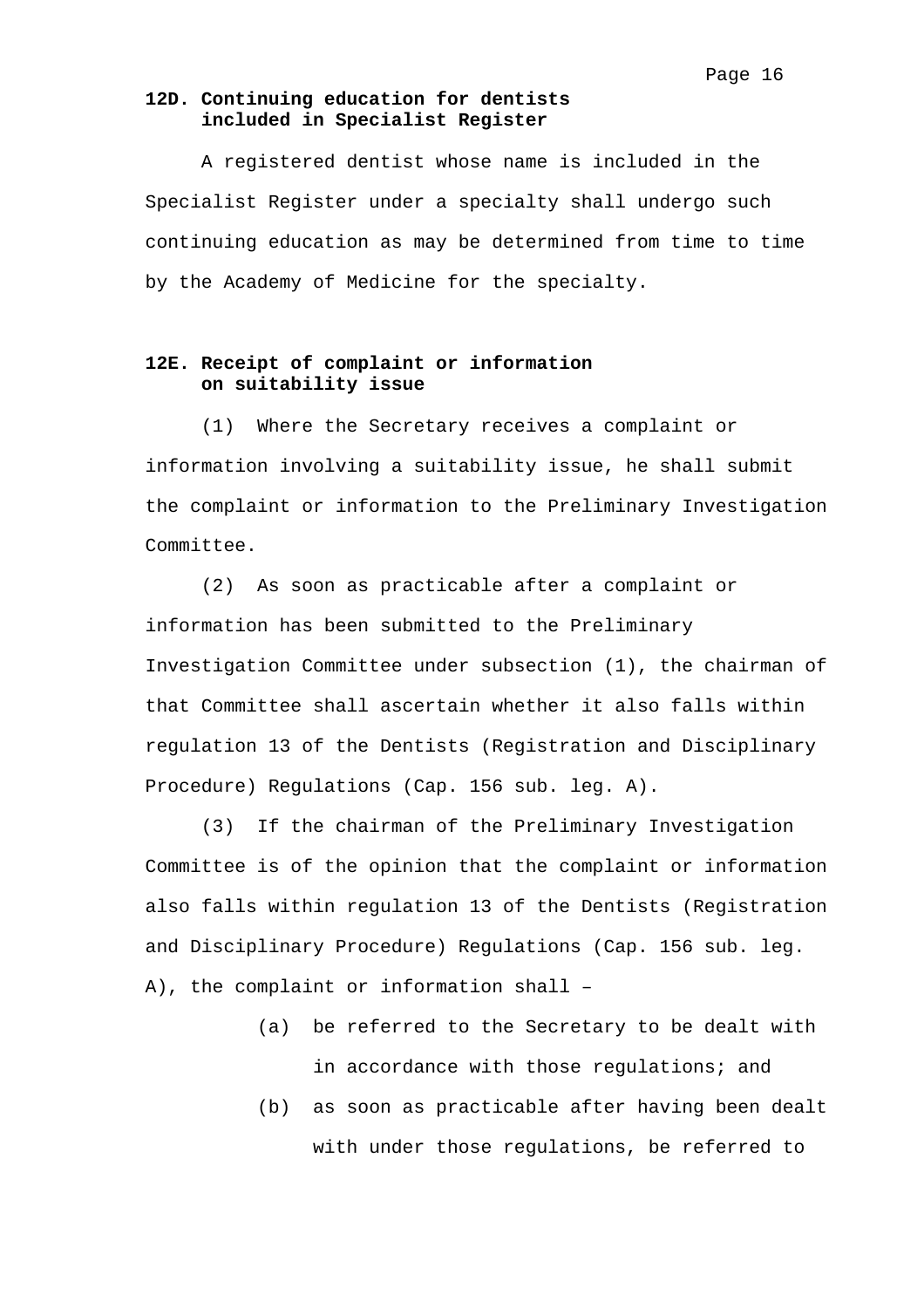### **12D. Continuing education for dentists included in Specialist Register**

A registered dentist whose name is included in the Specialist Register under a specialty shall undergo such continuing education as may be determined from time to time by the Academy of Medicine for the specialty.

## **12E. Receipt of complaint or information on suitability issue**

(1) Where the Secretary receives a complaint or information involving a suitability issue, he shall submit the complaint or information to the Preliminary Investigation Committee.

(2) As soon as practicable after a complaint or information has been submitted to the Preliminary Investigation Committee under subsection (1), the chairman of that Committee shall ascertain whether it also falls within regulation 13 of the Dentists (Registration and Disciplinary Procedure) Regulations (Cap. 156 sub. leg. A).

(3) If the chairman of the Preliminary Investigation Committee is of the opinion that the complaint or information also falls within regulation 13 of the Dentists (Registration and Disciplinary Procedure) Regulations (Cap. 156 sub. leg. A), the complaint or information shall –

- (a) be referred to the Secretary to be dealt with in accordance with those regulations; and
- (b) as soon as practicable after having been dealt with under those regulations, be referred to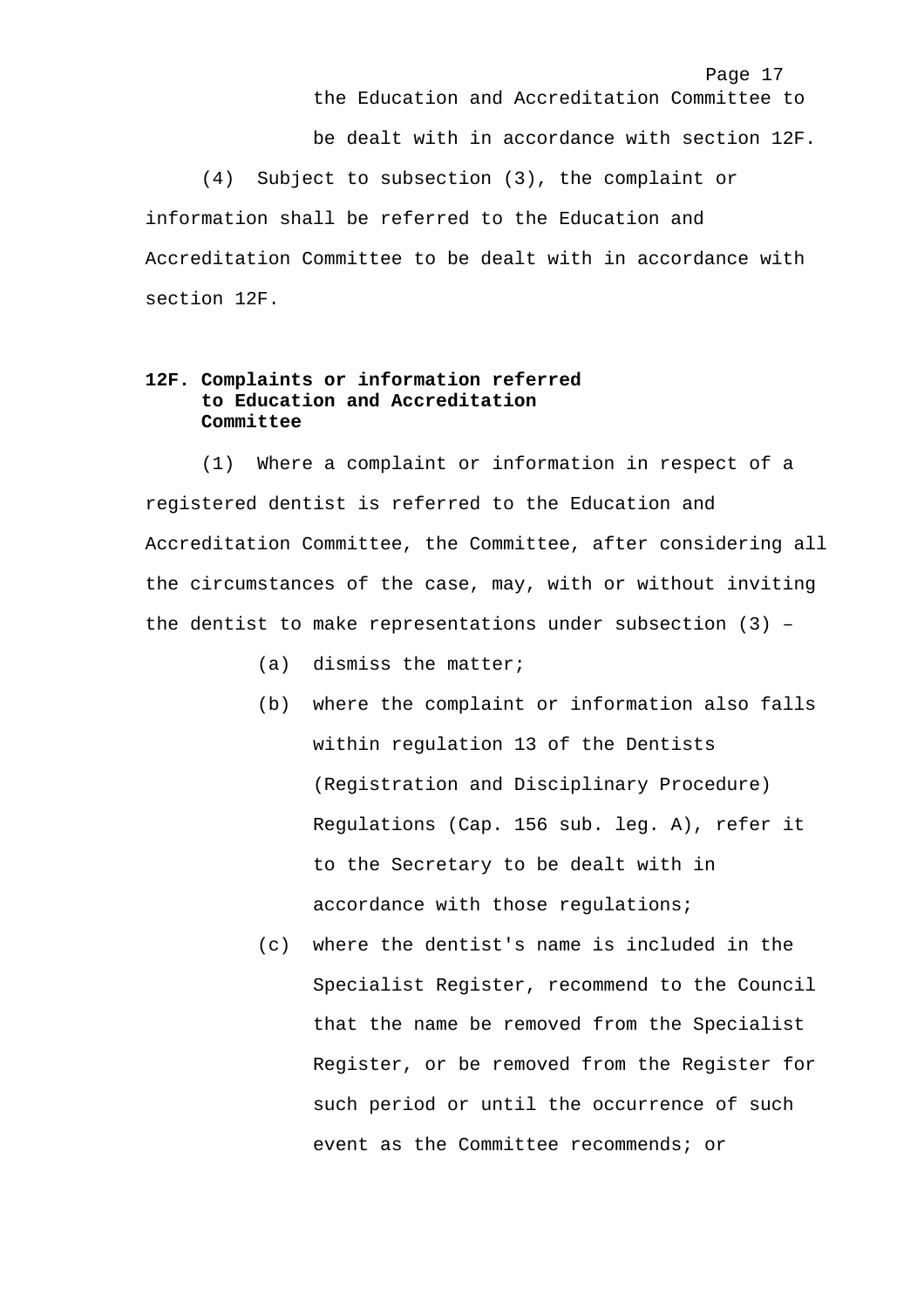the Education and Accreditation Committee to be dealt with in accordance with section 12F. (4) Subject to subsection (3), the complaint or information shall be referred to the Education and Accreditation Committee to be dealt with in accordance with section 12F.

Page 17

## **12F. Complaints or information referred to Education and Accreditation Committee**

(1) Where a complaint or information in respect of a registered dentist is referred to the Education and Accreditation Committee, the Committee, after considering all the circumstances of the case, may, with or without inviting the dentist to make representations under subsection (3) –

- (a) dismiss the matter;
- (b) where the complaint or information also falls within regulation 13 of the Dentists (Registration and Disciplinary Procedure) Regulations (Cap. 156 sub. leg. A), refer it to the Secretary to be dealt with in accordance with those regulations;
- (c) where the dentist's name is included in the Specialist Register, recommend to the Council that the name be removed from the Specialist Register, or be removed from the Register for such period or until the occurrence of such event as the Committee recommends; or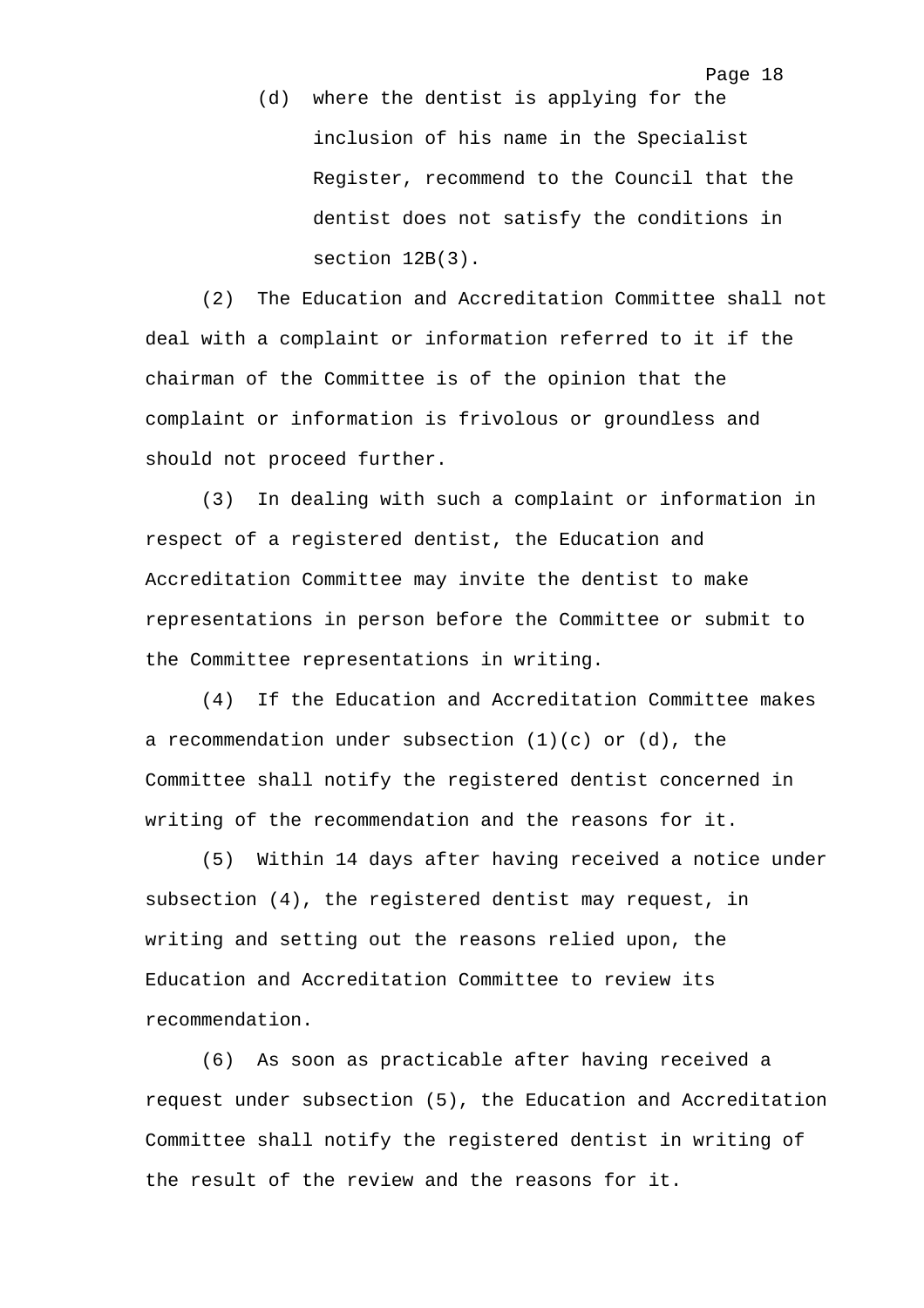(d) where the dentist is applying for the inclusion of his name in the Specialist Register, recommend to the Council that the dentist does not satisfy the conditions in section 12B(3).

(2) The Education and Accreditation Committee shall not deal with a complaint or information referred to it if the chairman of the Committee is of the opinion that the complaint or information is frivolous or groundless and should not proceed further.

(3) In dealing with such a complaint or information in respect of a registered dentist, the Education and Accreditation Committee may invite the dentist to make representations in person before the Committee or submit to the Committee representations in writing.

(4) If the Education and Accreditation Committee makes a recommendation under subsection  $(1)(c)$  or  $(d)$ , the Committee shall notify the registered dentist concerned in writing of the recommendation and the reasons for it.

(5) Within 14 days after having received a notice under subsection (4), the registered dentist may request, in writing and setting out the reasons relied upon, the Education and Accreditation Committee to review its recommendation.

(6) As soon as practicable after having received a request under subsection (5), the Education and Accreditation Committee shall notify the registered dentist in writing of the result of the review and the reasons for it.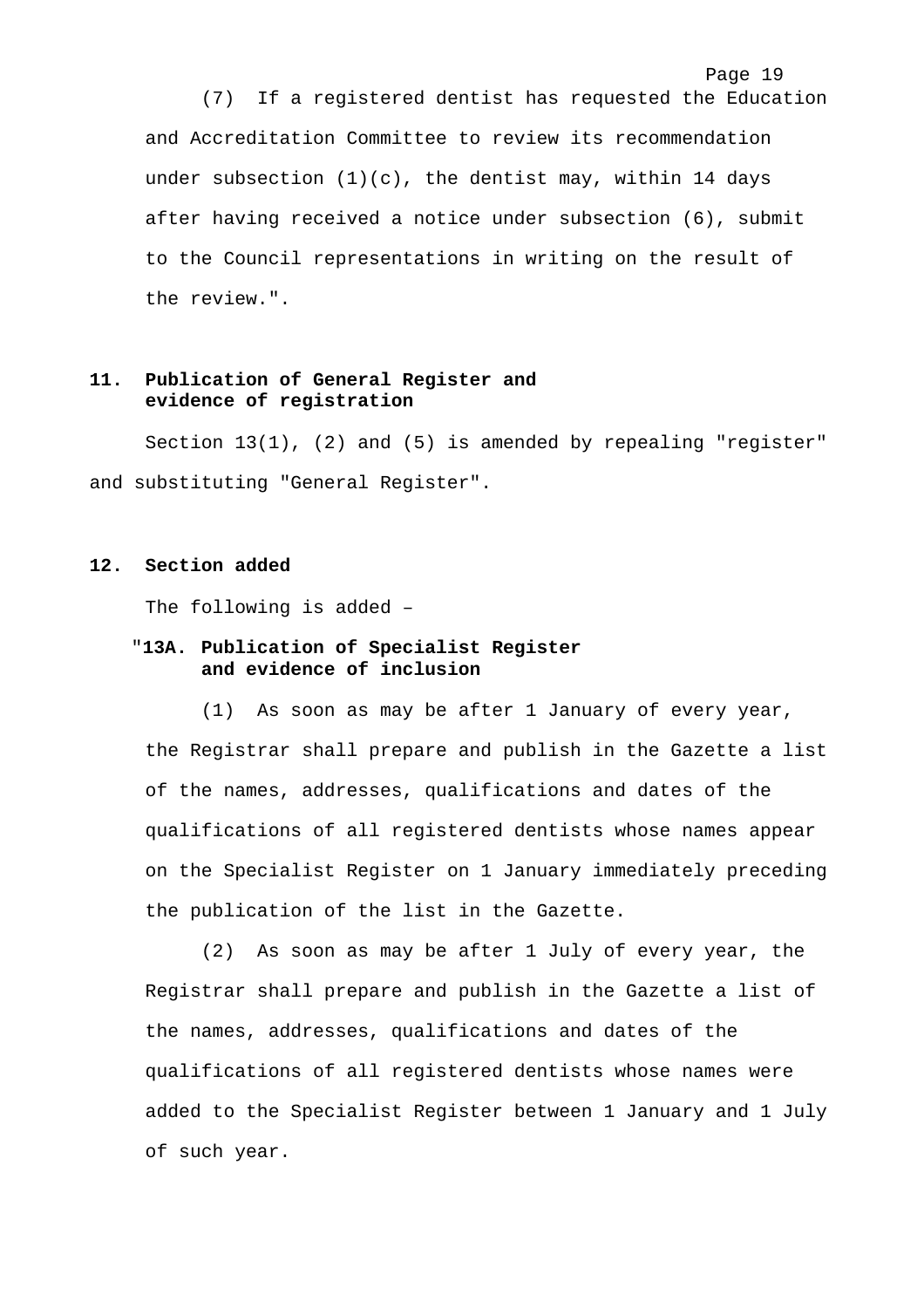(7) If a registered dentist has requested the Education and Accreditation Committee to review its recommendation under subsection  $(1)(c)$ , the dentist may, within 14 days after having received a notice under subsection (6), submit to the Council representations in writing on the result of the review.".

Page 19

## **11. Publication of General Register and evidence of registration**

Section 13(1), (2) and (5) is amended by repealing "register" and substituting "General Register".

### **12. Section added**

The following is added –

## "**13A. Publication of Specialist Register and evidence of inclusion**

(1) As soon as may be after 1 January of every year, the Registrar shall prepare and publish in the Gazette a list of the names, addresses, qualifications and dates of the qualifications of all registered dentists whose names appear on the Specialist Register on 1 January immediately preceding the publication of the list in the Gazette.

(2) As soon as may be after 1 July of every year, the Registrar shall prepare and publish in the Gazette a list of the names, addresses, qualifications and dates of the qualifications of all registered dentists whose names were added to the Specialist Register between 1 January and 1 July of such year.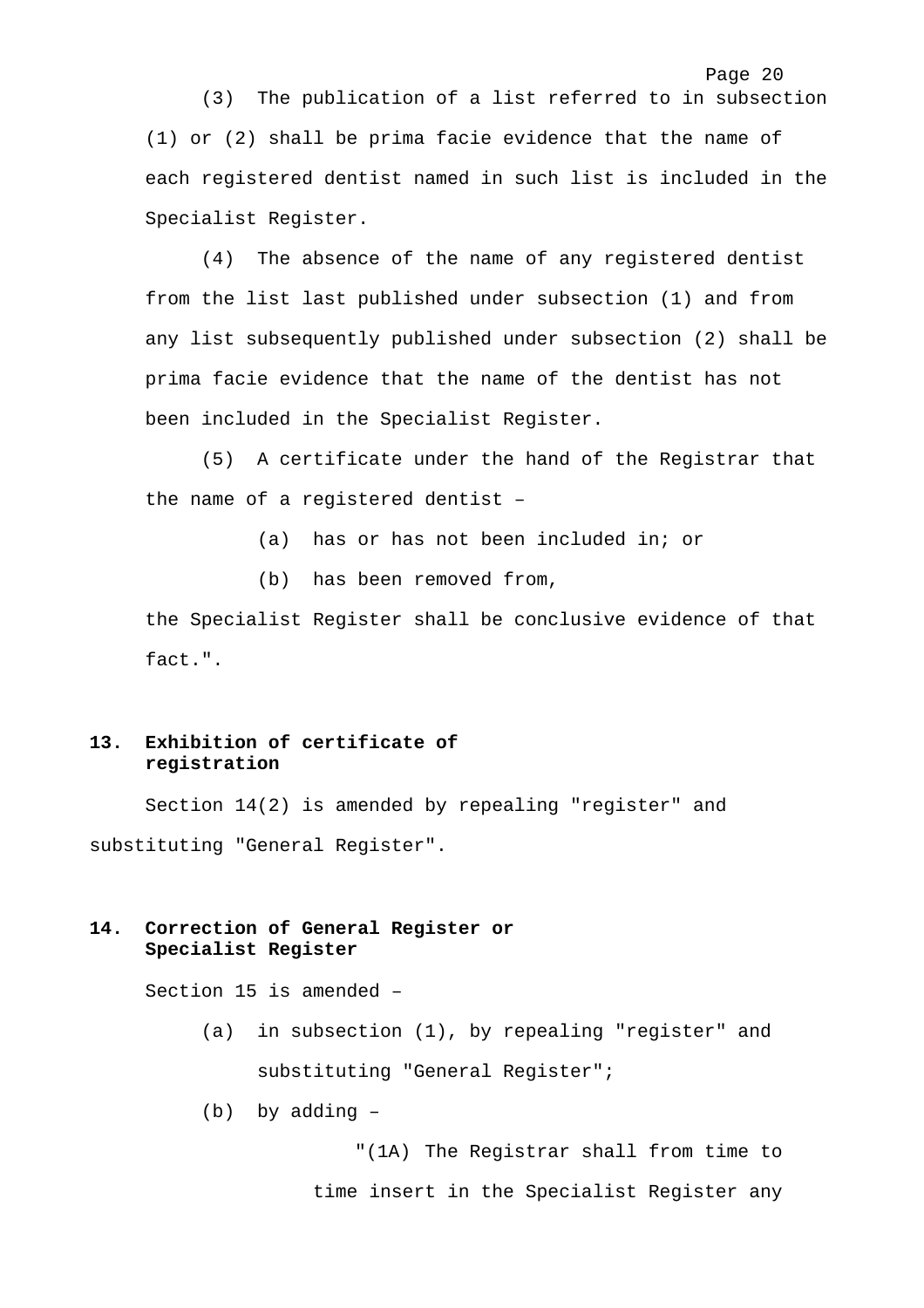(3) The publication of a list referred to in subsection (1) or (2) shall be prima facie evidence that the name of each registered dentist named in such list is included in the Specialist Register.

Page 20

(4) The absence of the name of any registered dentist from the list last published under subsection (1) and from any list subsequently published under subsection (2) shall be prima facie evidence that the name of the dentist has not been included in the Specialist Register.

(5) A certificate under the hand of the Registrar that the name of a registered dentist –

(a) has or has not been included in; or

(b) has been removed from,

the Specialist Register shall be conclusive evidence of that fact.".

## **13. Exhibition of certificate of registration**

Section 14(2) is amended by repealing "register" and substituting "General Register".

## **14. Correction of General Register or Specialist Register**

Section 15 is amended –

(a) in subsection (1), by repealing "register" and substituting "General Register";

(b) by adding –

"(1A) The Registrar shall from time to time insert in the Specialist Register any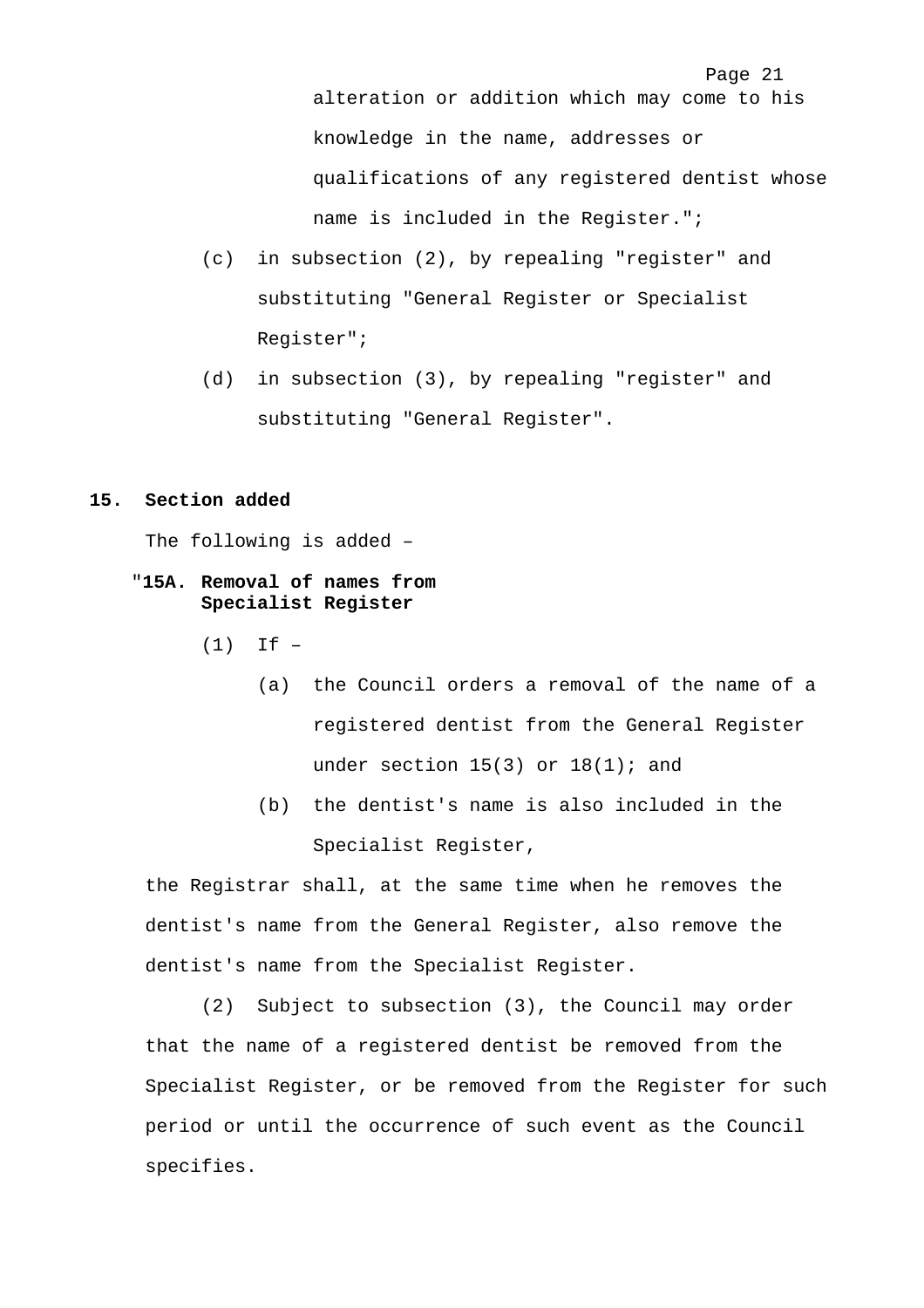Page 21 alteration or addition which may come to his knowledge in the name, addresses or qualifications of any registered dentist whose name is included in the Register.";

- (c) in subsection (2), by repealing "register" and substituting "General Register or Specialist Register";
- (d) in subsection (3), by repealing "register" and substituting "General Register".

### **15. Section added**

The following is added –

## "**15A. Removal of names from Specialist Register**

 $(1)$  If  $-$ 

- (a) the Council orders a removal of the name of a registered dentist from the General Register under section  $15(3)$  or  $18(1)$ ; and
- (b) the dentist's name is also included in the Specialist Register,

the Registrar shall, at the same time when he removes the dentist's name from the General Register, also remove the dentist's name from the Specialist Register.

(2) Subject to subsection (3), the Council may order that the name of a registered dentist be removed from the Specialist Register, or be removed from the Register for such period or until the occurrence of such event as the Council specifies.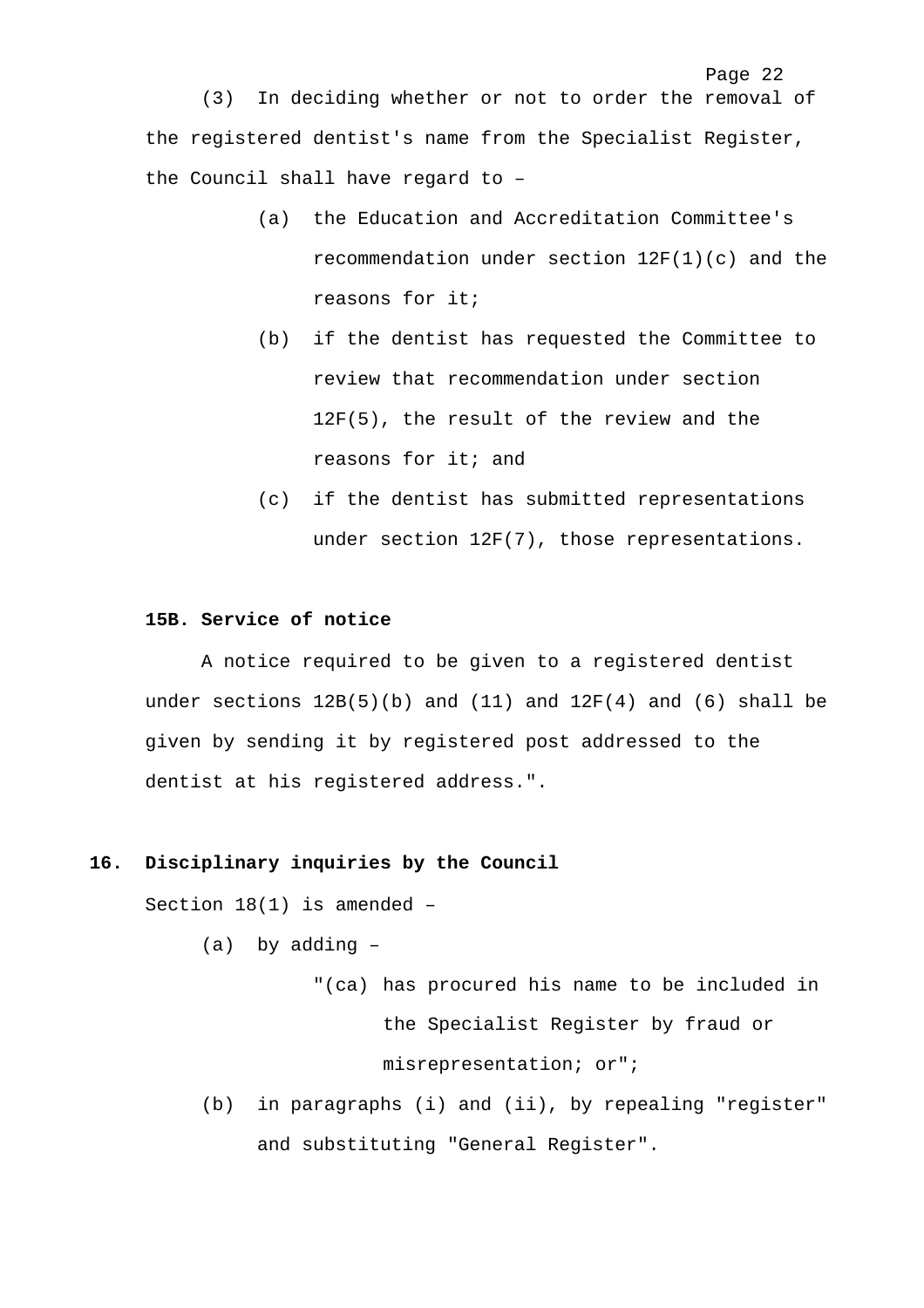(3) In deciding whether or not to order the removal of the registered dentist's name from the Specialist Register, the Council shall have regard to –

- (a) the Education and Accreditation Committee's recommendation under section 12F(1)(c) and the reasons for it;
- (b) if the dentist has requested the Committee to review that recommendation under section 12F(5), the result of the review and the reasons for it; and
- (c) if the dentist has submitted representations under section 12F(7), those representations.

### **15B. Service of notice**

A notice required to be given to a registered dentist under sections  $12B(5)(b)$  and  $(11)$  and  $12F(4)$  and  $(6)$  shall be given by sending it by registered post addressed to the dentist at his registered address.".

#### **16. Disciplinary inquiries by the Council**

Section 18(1) is amended –

- (a) by adding
	- "(ca) has procured his name to be included in the Specialist Register by fraud or misrepresentation; or";
- (b) in paragraphs (i) and (ii), by repealing "register" and substituting "General Register".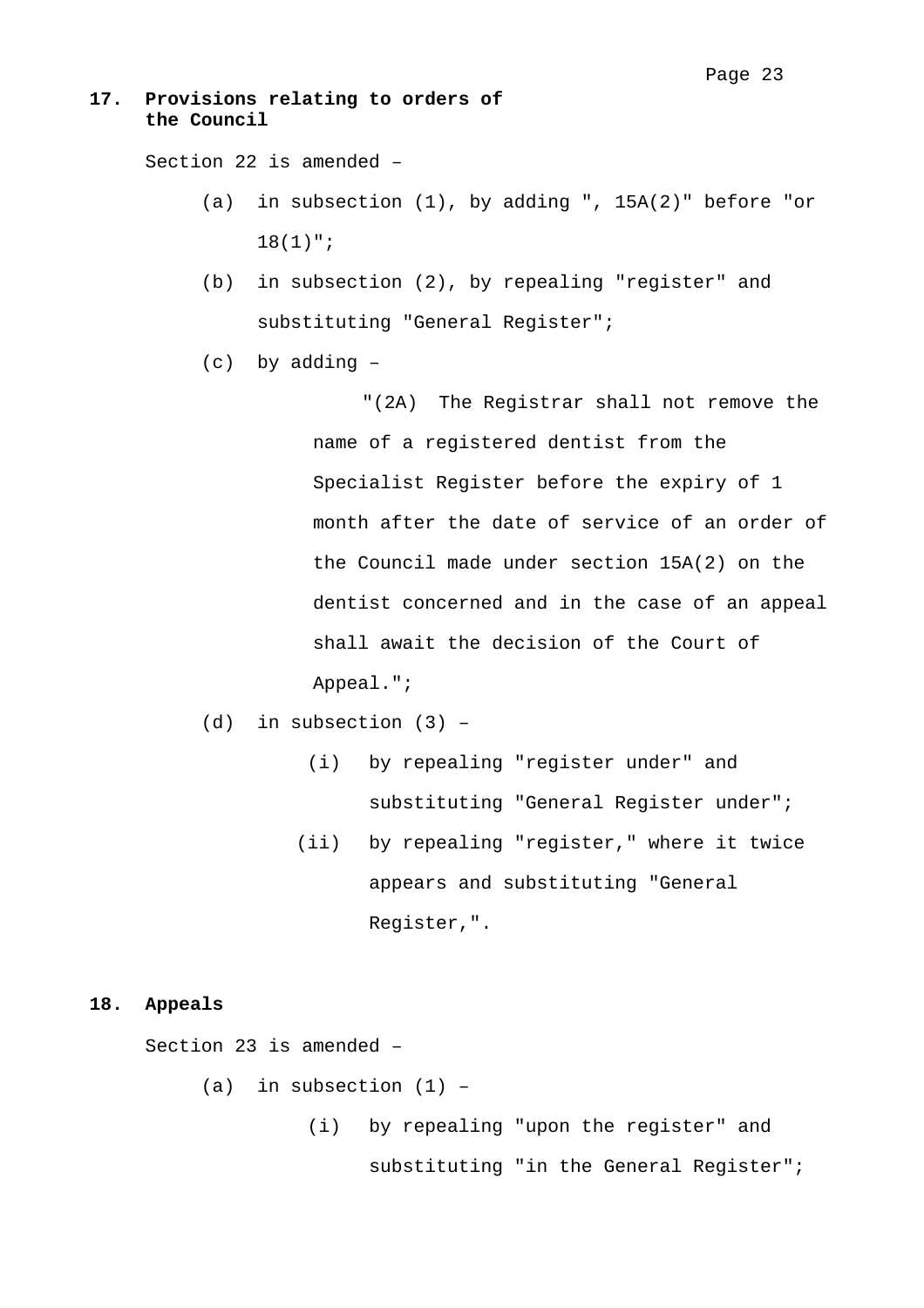## **17. Provisions relating to orders of the Council**

Section 22 is amended –

- (a) in subsection (1), by adding ", 15A(2)" before "or 18(1)";
- (b) in subsection (2), by repealing "register" and substituting "General Register";
- (c) by adding –

"(2A) The Registrar shall not remove the name of a registered dentist from the Specialist Register before the expiry of 1 month after the date of service of an order of the Council made under section 15A(2) on the dentist concerned and in the case of an appeal shall await the decision of the Court of Appeal.";

- (d) in subsection (3)
	- (i) by repealing "register under" and substituting "General Register under";
	- (ii) by repealing "register," where it twice appears and substituting "General Register,".

#### **18. Appeals**

Section 23 is amended –

 $(a)$  in subsection  $(1)$  -

 (i) by repealing "upon the register" and substituting "in the General Register";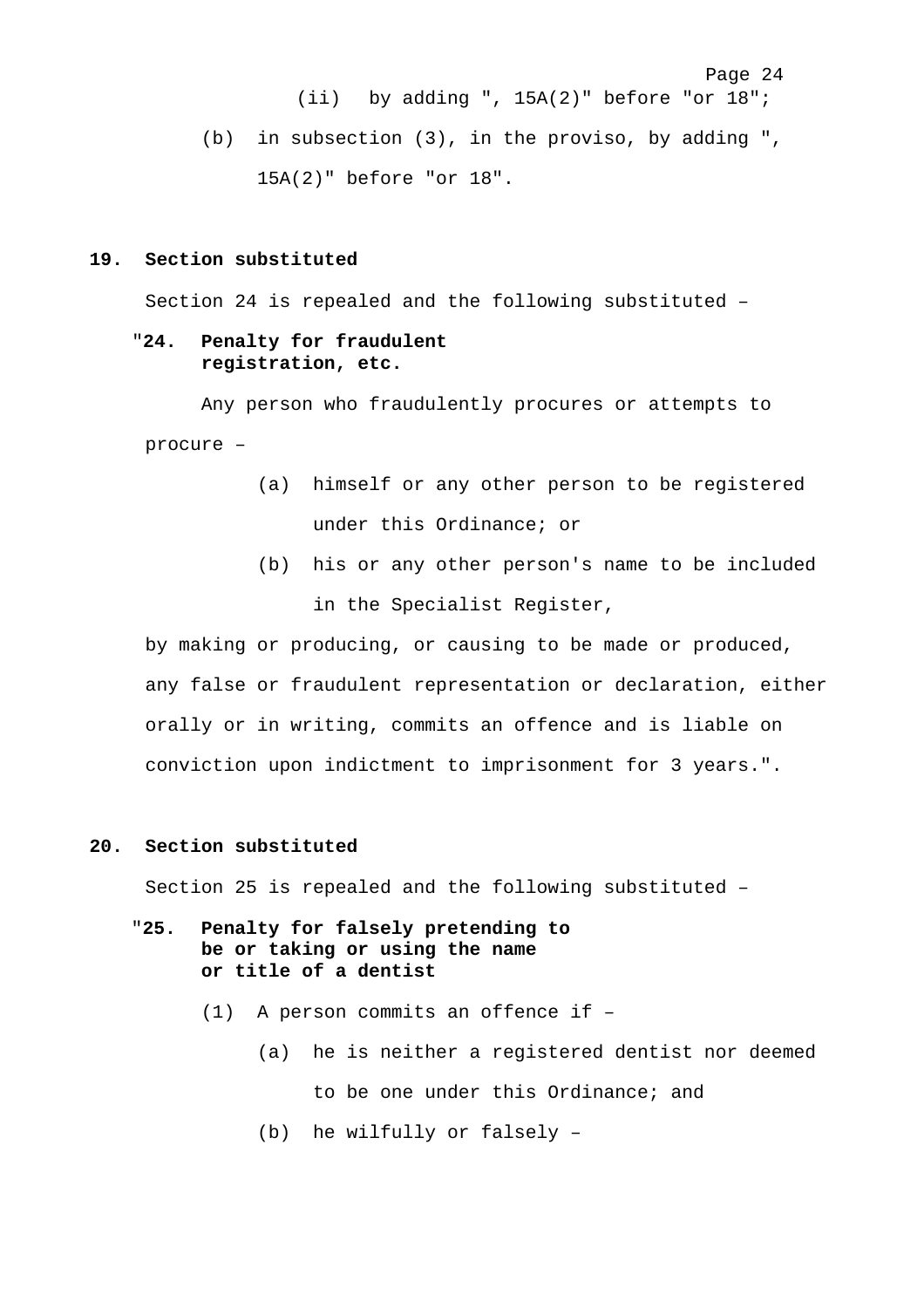Page 24 (ii) by adding ", 15A(2)" before "or 18"; (b) in subsection (3), in the proviso, by adding ", 15A(2)" before "or 18".

#### **19. Section substituted**

Section 24 is repealed and the following substituted –

### "**24. Penalty for fraudulent registration, etc.**

Any person who fraudulently procures or attempts to procure –

- (a) himself or any other person to be registered under this Ordinance; or
- (b) his or any other person's name to be included in the Specialist Register,

by making or producing, or causing to be made or produced, any false or fraudulent representation or declaration, either orally or in writing, commits an offence and is liable on conviction upon indictment to imprisonment for 3 years.".

## **20. Section substituted**

Section 25 is repealed and the following substituted –

- "**25. Penalty for falsely pretending to be or taking or using the name or title of a dentist**
	- (1) A person commits an offence if
		- (a) he is neither a registered dentist nor deemed to be one under this Ordinance; and
		- (b) he wilfully or falsely –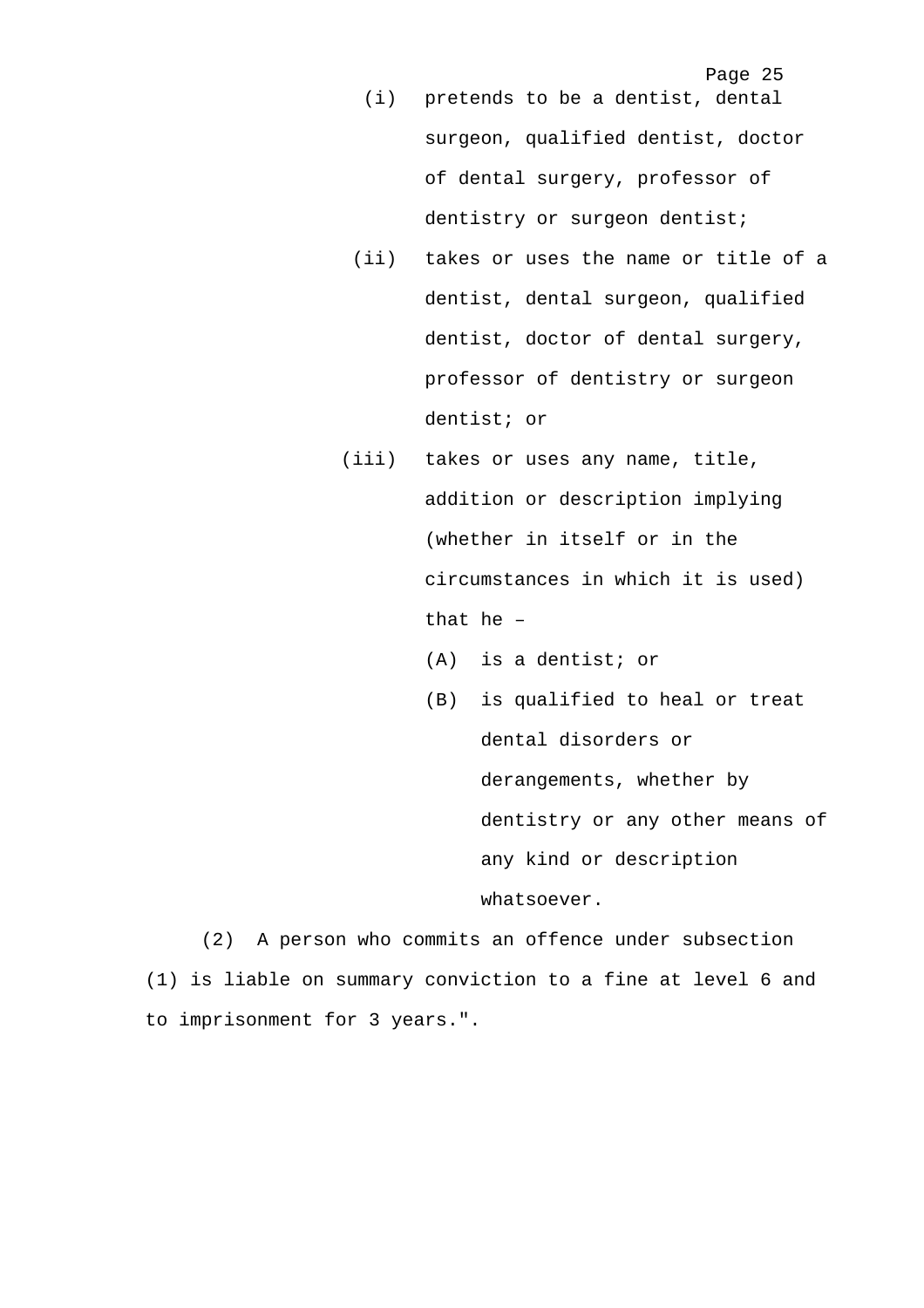Page 25

- (i) pretends to be a dentist, dental surgeon, qualified dentist, doctor of dental surgery, professor of dentistry or surgeon dentist;
- (ii) takes or uses the name or title of a dentist, dental surgeon, qualified dentist, doctor of dental surgery, professor of dentistry or surgeon dentist; or
- (iii) takes or uses any name, title, addition or description implying (whether in itself or in the circumstances in which it is used) that he –
	- (A) is a dentist; or
	- (B) is qualified to heal or treat dental disorders or derangements, whether by dentistry or any other means of any kind or description whatsoever.

(2) A person who commits an offence under subsection (1) is liable on summary conviction to a fine at level 6 and to imprisonment for 3 years.".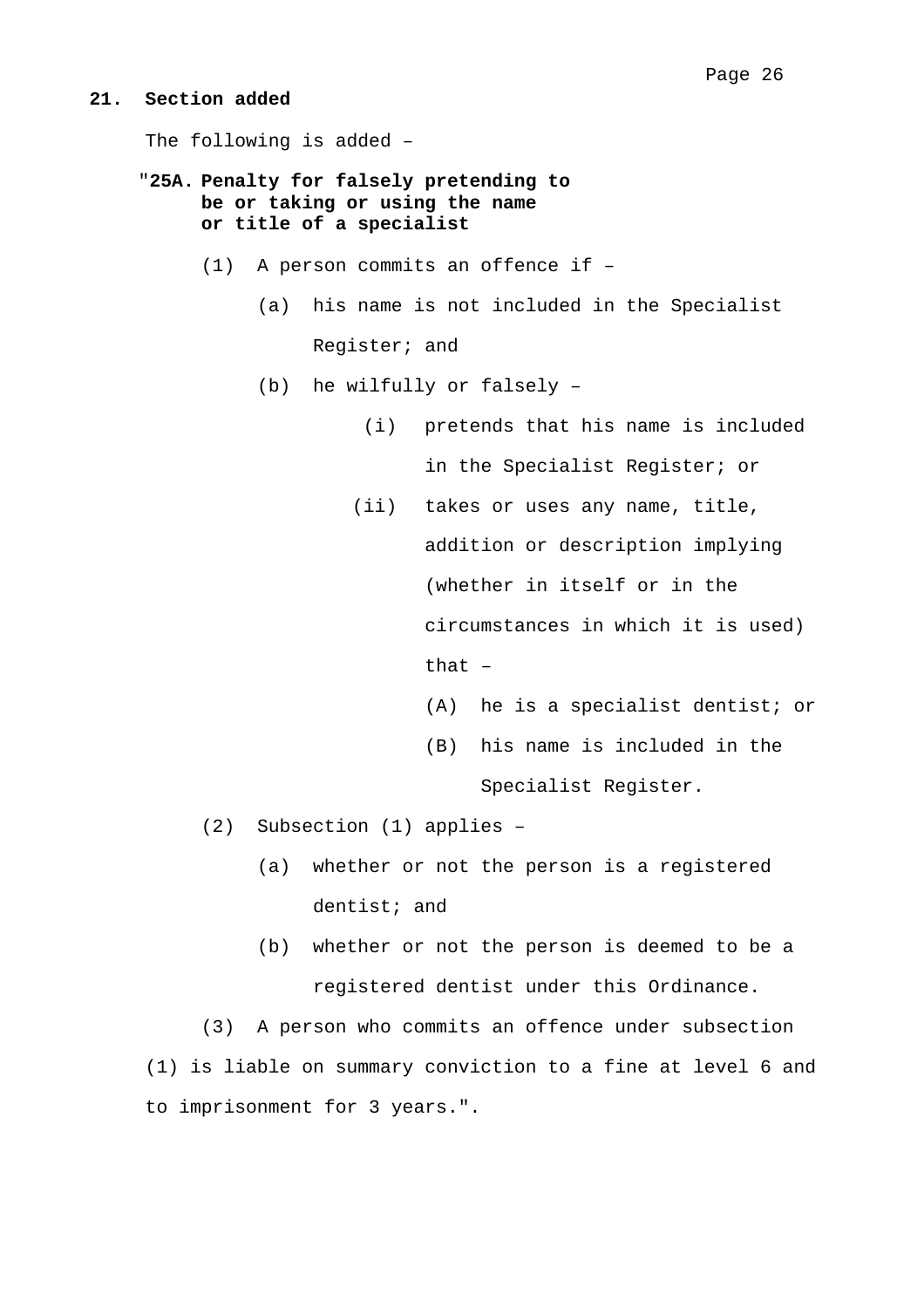#### **21. Section added**

The following is added –

- "**25A. Penalty for falsely pretending to be or taking or using the name or title of a specialist**
	- (1) A person commits an offence if
		- (a) his name is not included in the Specialist Register; and
		- (b) he wilfully or falsely
			- (i) pretends that his name is included in the Specialist Register; or
			- (ii) takes or uses any name, title, addition or description implying (whether in itself or in the circumstances in which it is used) that –
				- (A) he is a specialist dentist; or
				- (B) his name is included in the Specialist Register.
	- (2) Subsection (1) applies
		- (a) whether or not the person is a registered dentist; and
		- (b) whether or not the person is deemed to be a registered dentist under this Ordinance.

(3) A person who commits an offence under subsection (1) is liable on summary conviction to a fine at level 6 and to imprisonment for 3 years.".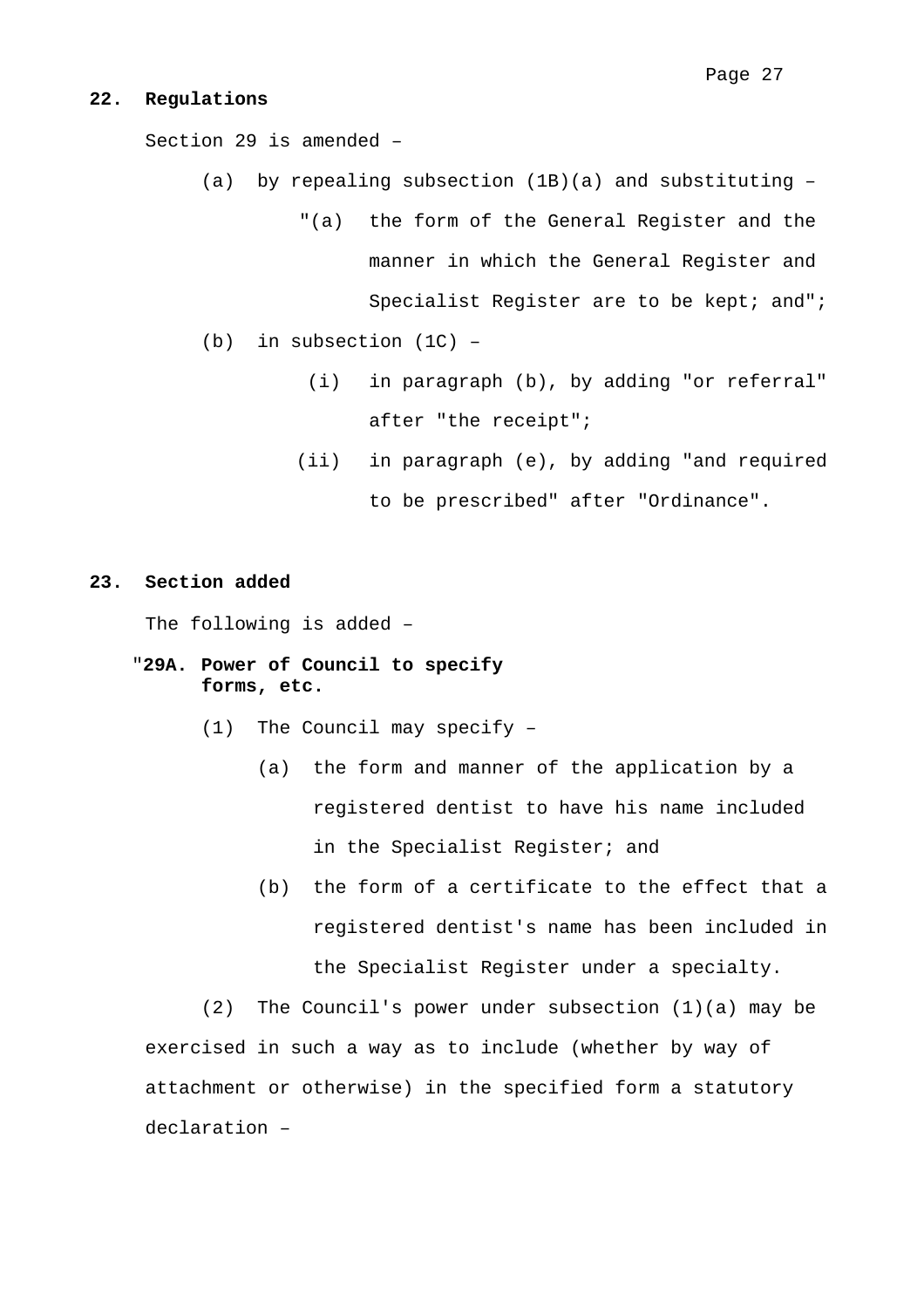#### **22. Regulations**

Section 29 is amended –

- (a) by repealing subsection  $(1B)(a)$  and substituting -
	- "(a) the form of the General Register and the manner in which the General Register and Specialist Register are to be kept; and";
- (b) in subsection (1C)
	- (i) in paragraph (b), by adding "or referral" after "the receipt";
	- (ii) in paragraph (e), by adding "and required to be prescribed" after "Ordinance".

#### **23. Section added**

The following is added –

- "**29A. Power of Council to specify forms, etc.** 
	- (1) The Council may specify
		- (a) the form and manner of the application by a registered dentist to have his name included in the Specialist Register; and
		- (b) the form of a certificate to the effect that a registered dentist's name has been included in the Specialist Register under a specialty.

(2) The Council's power under subsection (1)(a) may be exercised in such a way as to include (whether by way of attachment or otherwise) in the specified form a statutory declaration –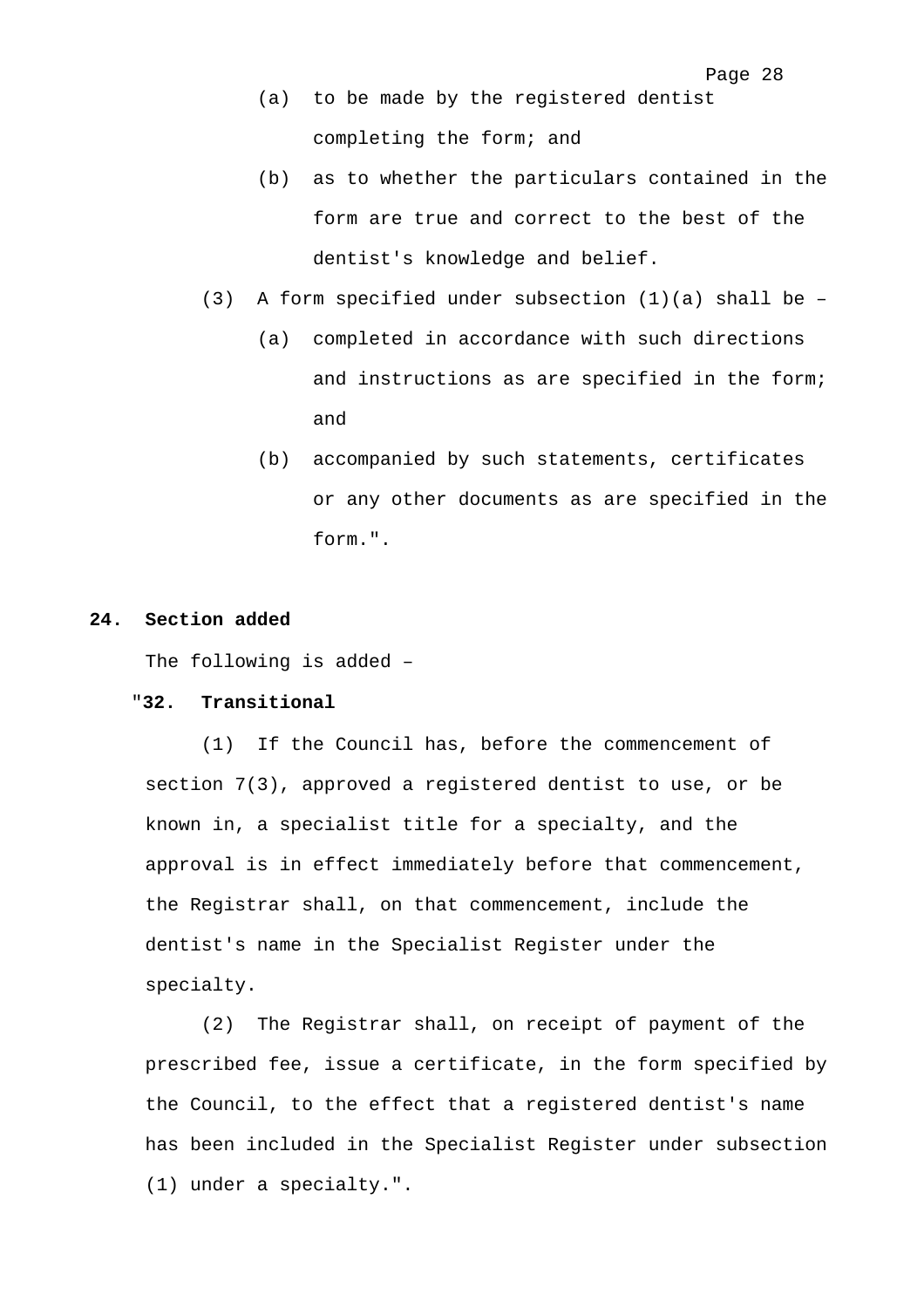- (a) to be made by the registered dentist completing the form; and
- (b) as to whether the particulars contained in the form are true and correct to the best of the dentist's knowledge and belief.
- (3) A form specified under subsection  $(1)(a)$  shall be -
	- (a) completed in accordance with such directions and instructions as are specified in the form; and
	- (b) accompanied by such statements, certificates or any other documents as are specified in the form.".

# **24. Section added**

The following is added –

#### "**32. Transitional**

(1) If the Council has, before the commencement of section 7(3), approved a registered dentist to use, or be known in, a specialist title for a specialty, and the approval is in effect immediately before that commencement, the Registrar shall, on that commencement, include the dentist's name in the Specialist Register under the specialty.

(2) The Registrar shall, on receipt of payment of the prescribed fee, issue a certificate, in the form specified by the Council, to the effect that a registered dentist's name has been included in the Specialist Register under subsection (1) under a specialty.".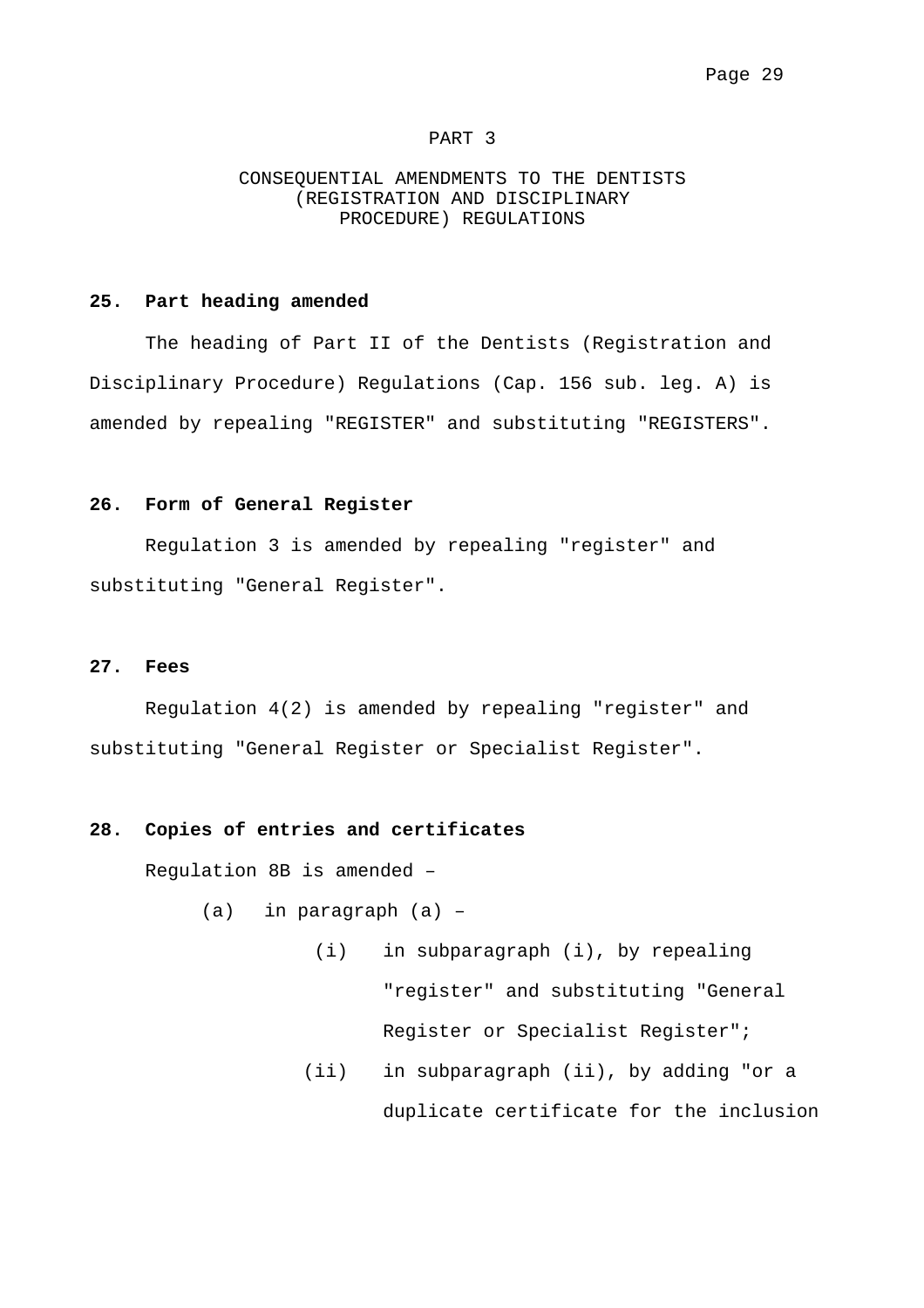#### PART 3

#### CONSEQUENTIAL AMENDMENTS TO THE DENTISTS (REGISTRATION AND DISCIPLINARY PROCEDURE) REGULATIONS

#### **25. Part heading amended**

The heading of Part II of the Dentists (Registration and Disciplinary Procedure) Regulations (Cap. 156 sub. leg. A) is amended by repealing "REGISTER" and substituting "REGISTERS".

#### **26. Form of General Register**

Regulation 3 is amended by repealing "register" and substituting "General Register".

#### **27. Fees**

Regulation 4(2) is amended by repealing "register" and substituting "General Register or Specialist Register".

#### **28. Copies of entries and certificates**

Regulation 8B is amended –

- (a) in paragraph (a)
	- (i) in subparagraph (i), by repealing "register" and substituting "General Register or Specialist Register";
	- (ii) in subparagraph (ii), by adding "or a duplicate certificate for the inclusion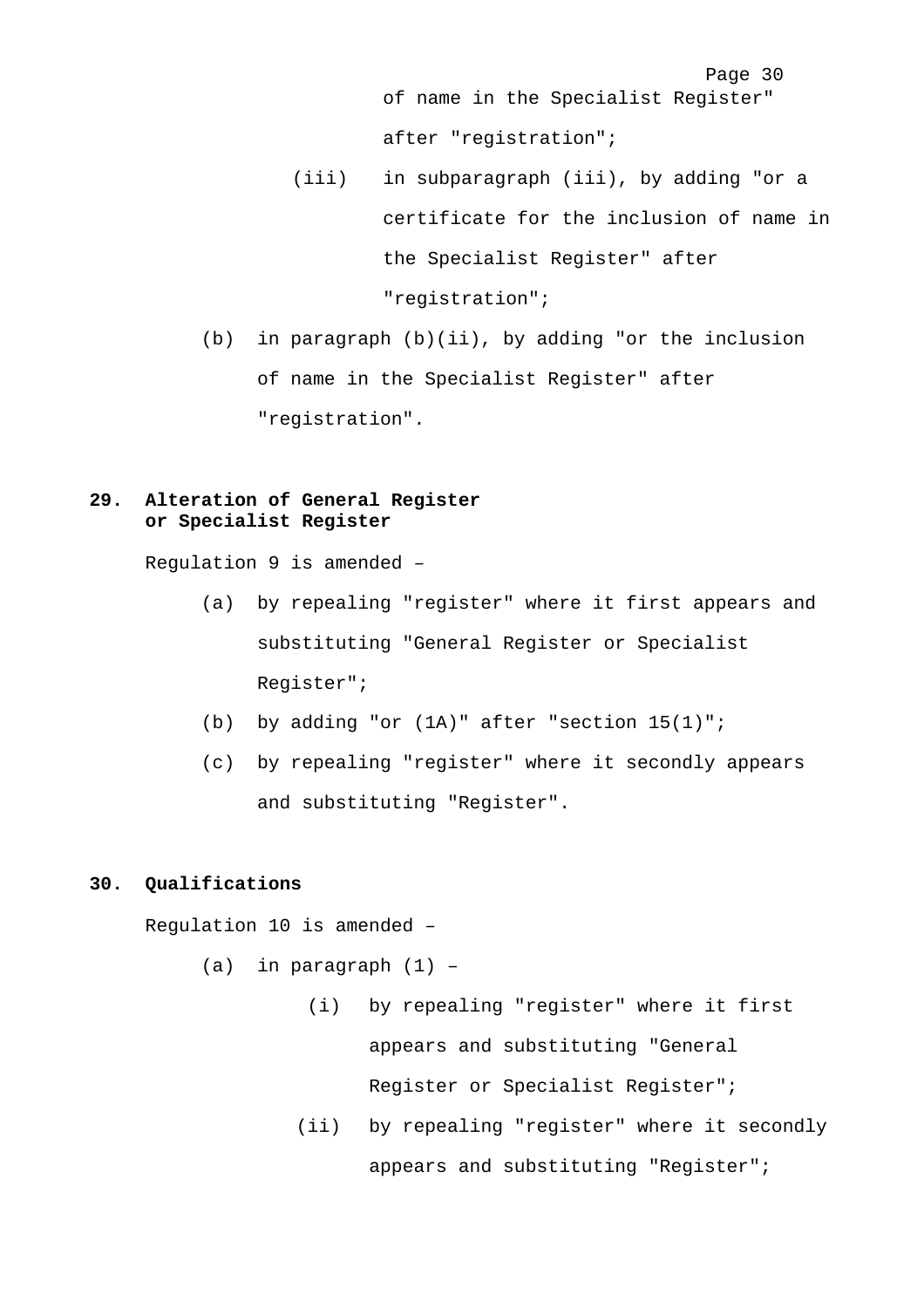of name in the Specialist Register" after "registration";

- (iii) in subparagraph (iii), by adding "or a certificate for the inclusion of name in the Specialist Register" after "registration";
- (b) in paragraph (b)(ii), by adding "or the inclusion of name in the Specialist Register" after "registration".

# **29. Alteration of General Register or Specialist Register**

Regulation 9 is amended –

- (a) by repealing "register" where it first appears and substituting "General Register or Specialist Register";
- (b) by adding "or (1A)" after "section 15(1)";
- (c) by repealing "register" where it secondly appears and substituting "Register".

#### **30. Qualifications**

Regulation 10 is amended –

(a) in paragraph (1) –

- (i) by repealing "register" where it first appears and substituting "General Register or Specialist Register";
- (ii) by repealing "register" where it secondly appears and substituting "Register";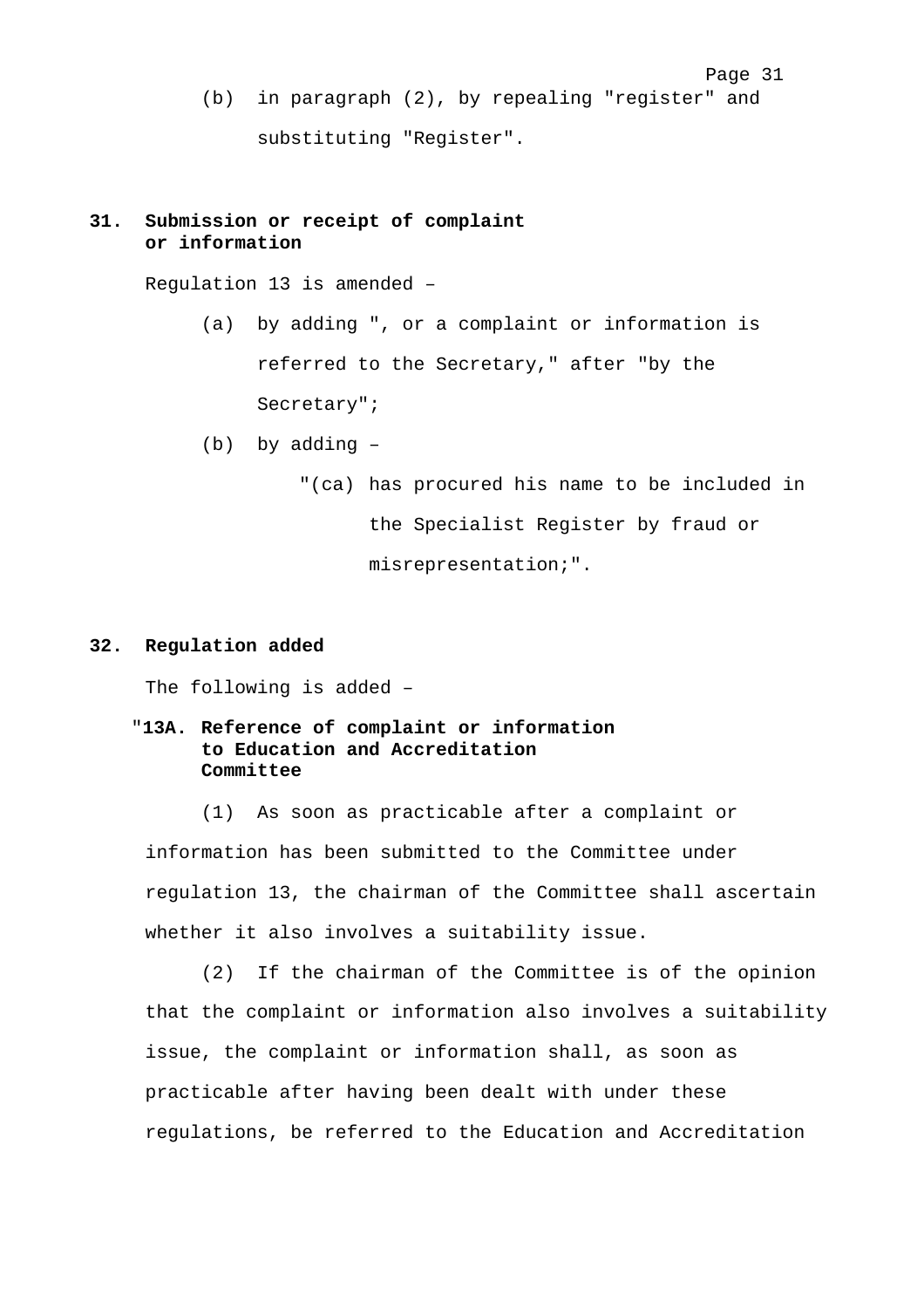Page 31 (b) in paragraph (2), by repealing "register" and substituting "Register".

# **31. Submission or receipt of complaint or information**

Regulation 13 is amended –

- (a) by adding ", or a complaint or information is referred to the Secretary," after "by the Secretary";
- (b) by adding
	- "(ca) has procured his name to be included in the Specialist Register by fraud or misrepresentation;".

#### **32. Regulation added**

The following is added –

# "**13A. Reference of complaint or information to Education and Accreditation Committee**

(1) As soon as practicable after a complaint or information has been submitted to the Committee under regulation 13, the chairman of the Committee shall ascertain whether it also involves a suitability issue.

(2) If the chairman of the Committee is of the opinion that the complaint or information also involves a suitability issue, the complaint or information shall, as soon as practicable after having been dealt with under these regulations, be referred to the Education and Accreditation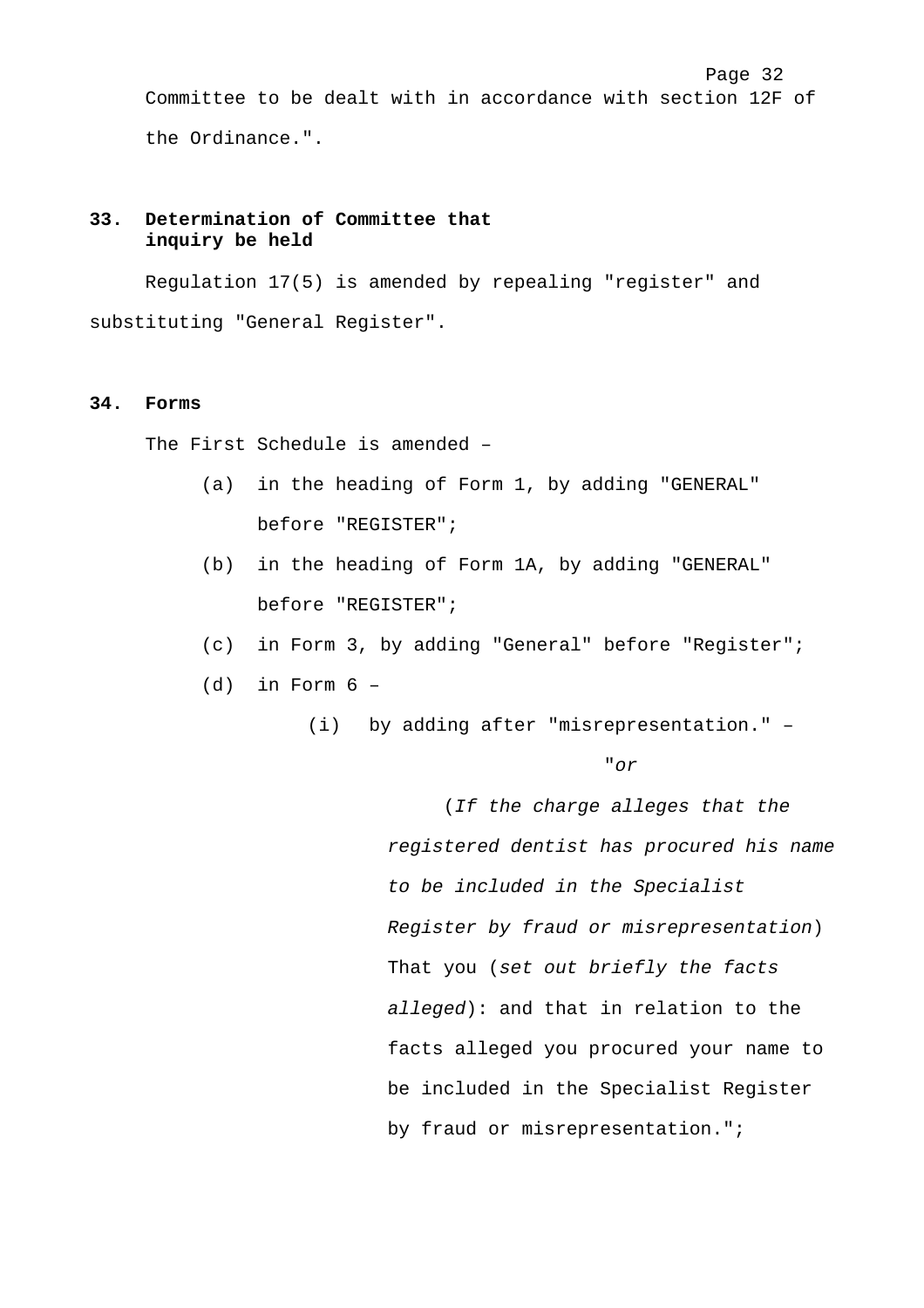Page 32 Committee to be dealt with in accordance with section 12F of the Ordinance.".

# **33. Determination of Committee that inquiry be held**

Regulation 17(5) is amended by repealing "register" and substituting "General Register".

#### **34. Forms**

The First Schedule is amended –

- (a) in the heading of Form 1, by adding "GENERAL" before "REGISTER";
- (b) in the heading of Form 1A, by adding "GENERAL" before "REGISTER";
- (c) in Form 3, by adding "General" before "Register";
- $(d)$  in Form  $6 -$ 
	- (i) by adding after "misrepresentation." –

"*or*

(*If the charge alleges that the registered dentist has procured his name to be included in the Specialist Register by fraud or misrepresentation*) That you (*set out briefly the facts alleged*): and that in relation to the facts alleged you procured your name to be included in the Specialist Register by fraud or misrepresentation.";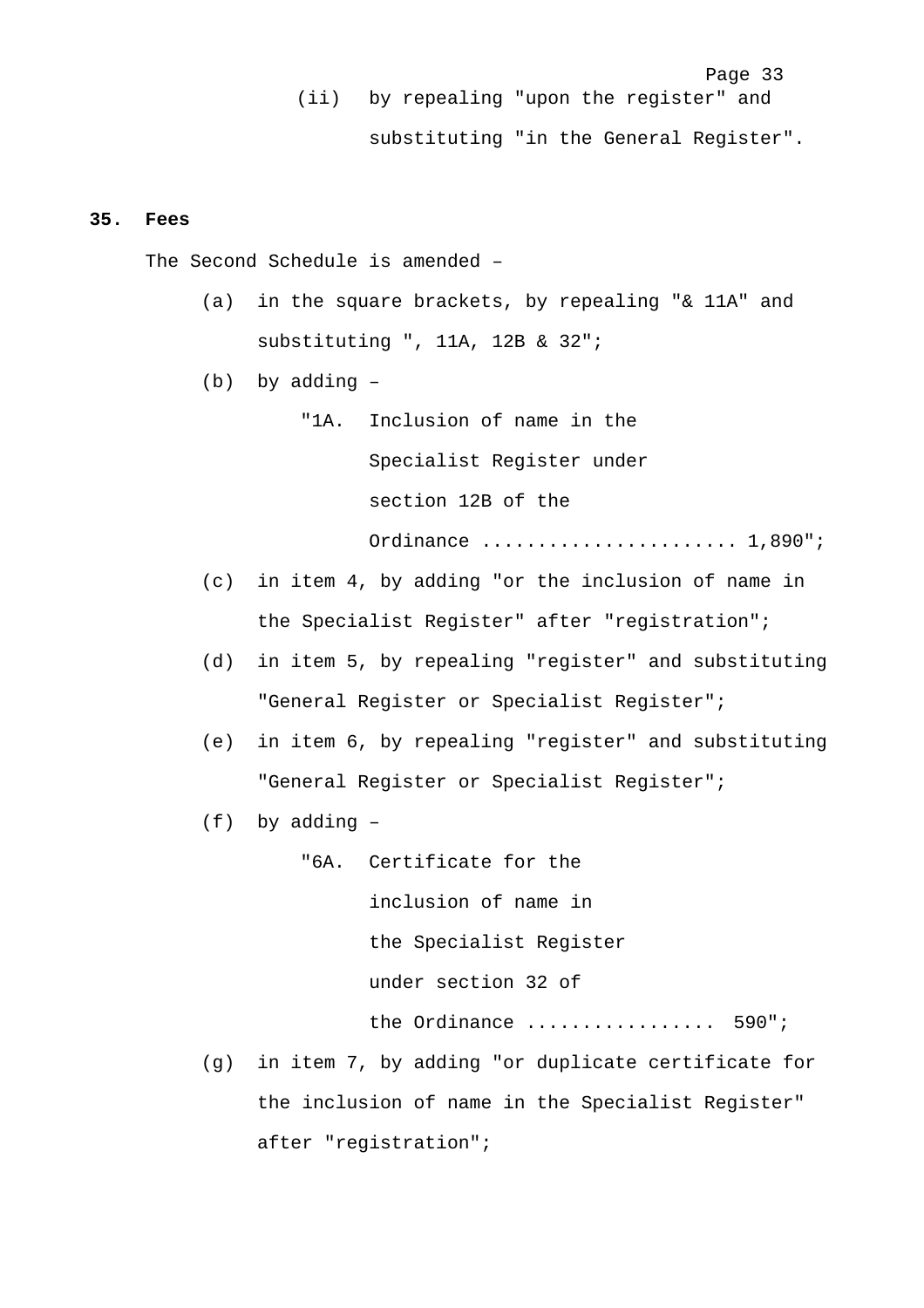Page 33 (ii) by repealing "upon the register" and substituting "in the General Register".

#### **35. Fees**

The Second Schedule is amended –

- (a) in the square brackets, by repealing "& 11A" and substituting ", 11A, 12B & 32";
- (b) by adding
	- "1A. Inclusion of name in the Specialist Register under section 12B of the Ordinance ....................... 1,890";
- (c) in item 4, by adding "or the inclusion of name in the Specialist Register" after "registration";
- (d) in item 5, by repealing "register" and substituting "General Register or Specialist Register";
- (e) in item 6, by repealing "register" and substituting "General Register or Specialist Register";
- (f) by adding –

"6A. Certificate for the inclusion of name in the Specialist Register under section 32 of the Ordinance .................... 590";

(g) in item 7, by adding "or duplicate certificate for the inclusion of name in the Specialist Register" after "registration";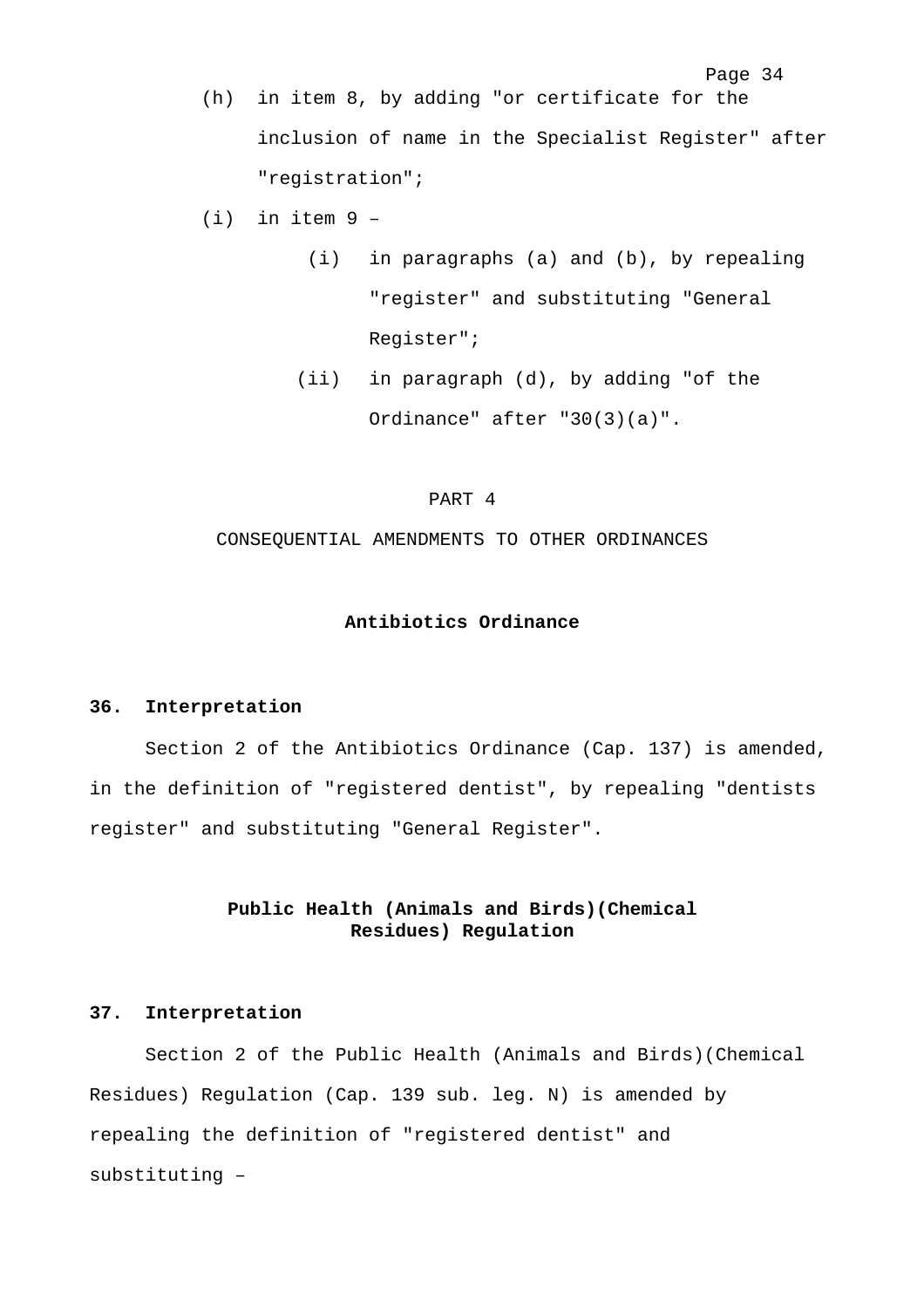- (h) in item 8, by adding "or certificate for the inclusion of name in the Specialist Register" after "registration";
- $(i)$  in item 9 -
	- (i) in paragraphs (a) and (b), by repealing "register" and substituting "General Register";

Page 34

 (ii) in paragraph (d), by adding "of the Ordinance" after "30(3)(a)".

#### PART 4

CONSEQUENTIAL AMENDMENTS TO OTHER ORDINANCES

#### **Antibiotics Ordinance**

#### **36. Interpretation**

Section 2 of the Antibiotics Ordinance (Cap. 137) is amended, in the definition of "registered dentist", by repealing "dentists register" and substituting "General Register".

# **Public Health (Animals and Birds)(Chemical Residues) Regulation**

### **37. Interpretation**

Section 2 of the Public Health (Animals and Birds)(Chemical Residues) Regulation (Cap. 139 sub. leg. N) is amended by repealing the definition of "registered dentist" and substituting –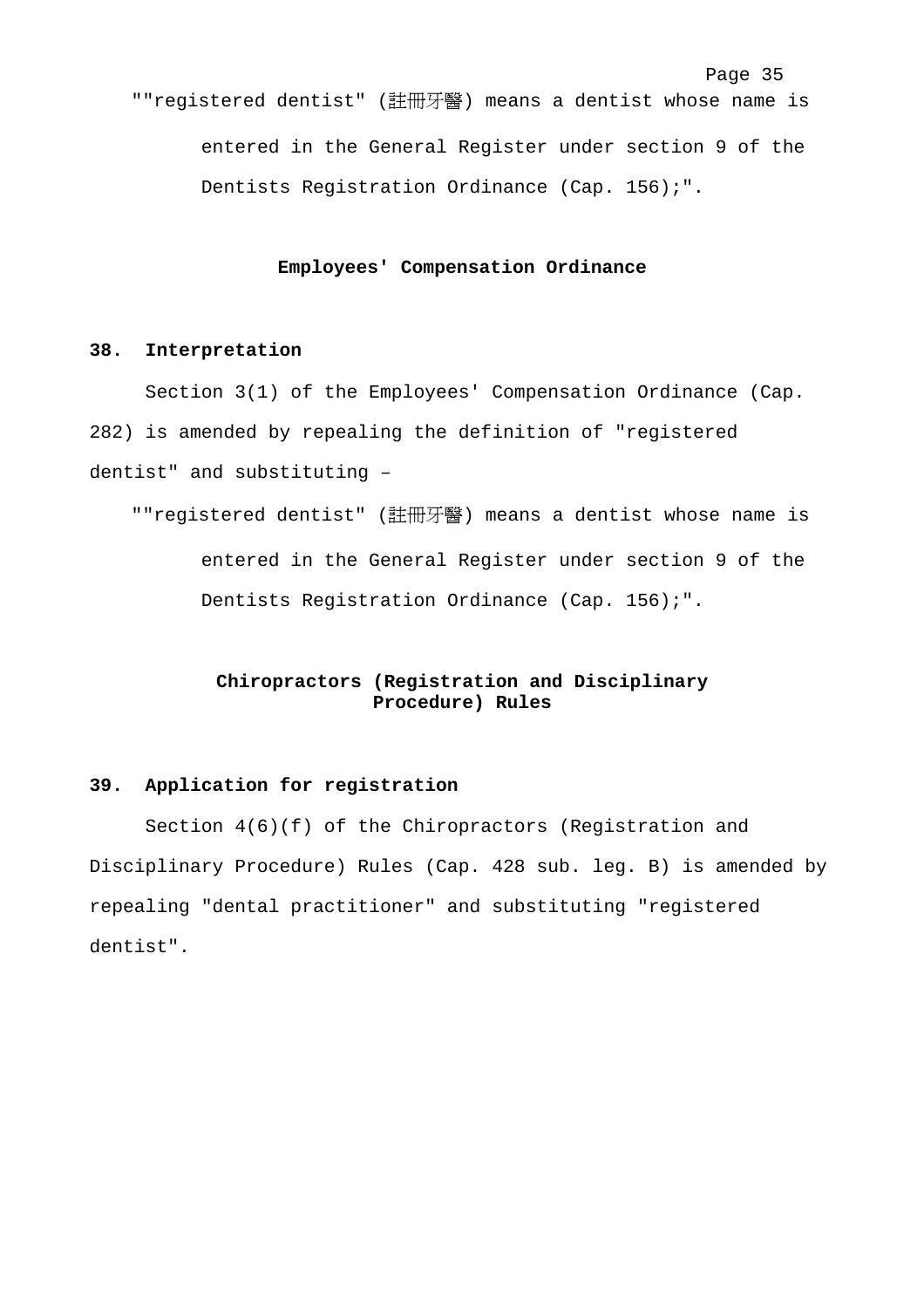#### **Employees' Compensation Ordinance**

# **38. Interpretation**

Section 3(1) of the Employees' Compensation Ordinance (Cap. 282) is amended by repealing the definition of "registered dentist" and substituting –

""registered dentist" (註冊牙醫) means a dentist whose name is entered in the General Register under section 9 of the Dentists Registration Ordinance (Cap. 156);".

# **Chiropractors (Registration and Disciplinary Procedure) Rules**

#### **39. Application for registration**

Section 4(6)(f) of the Chiropractors (Registration and Disciplinary Procedure) Rules (Cap. 428 sub. leg. B) is amended by repealing "dental practitioner" and substituting "registered dentist".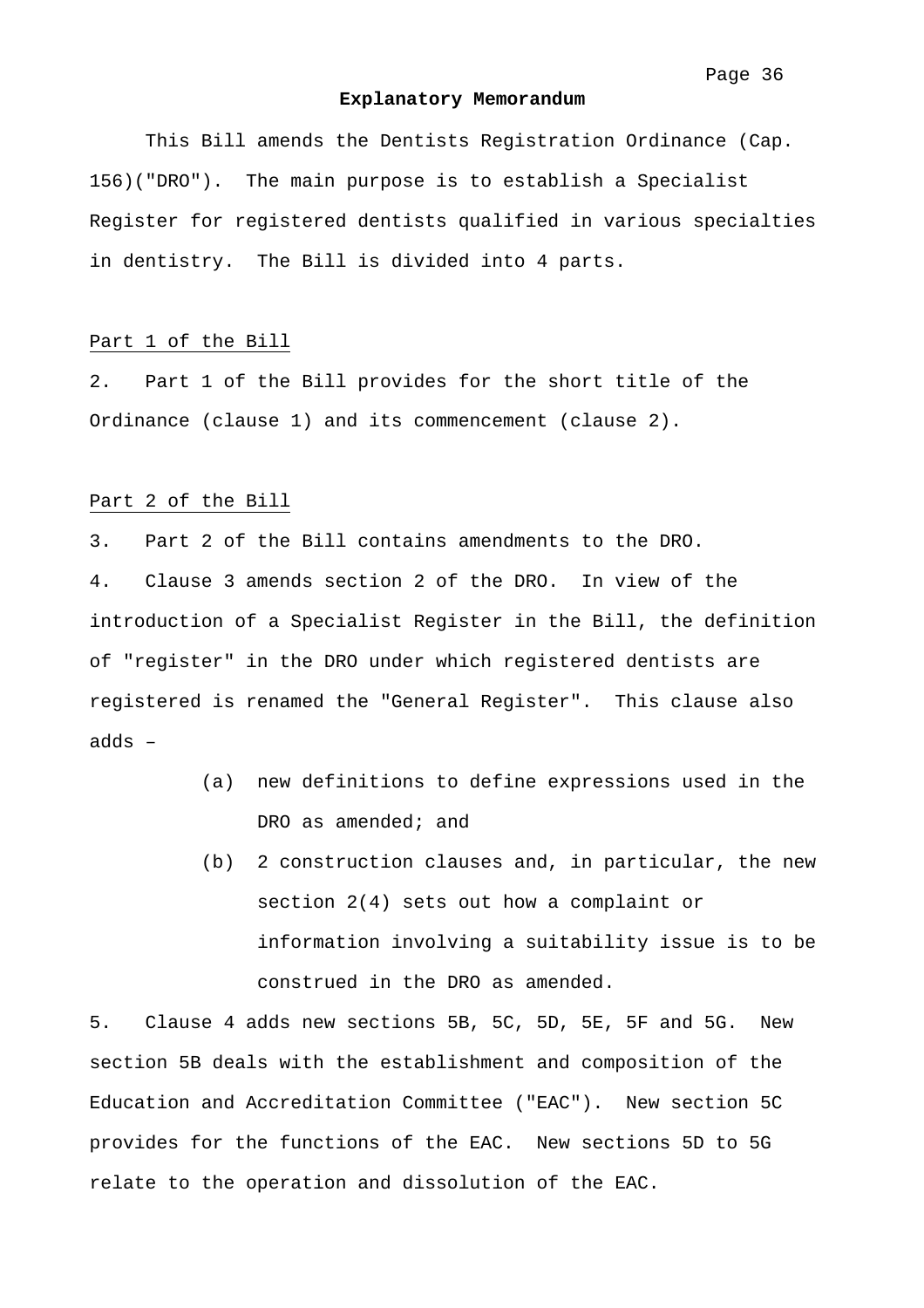#### **Explanatory Memorandum**

 This Bill amends the Dentists Registration Ordinance (Cap. 156)("DRO"). The main purpose is to establish a Specialist Register for registered dentists qualified in various specialties in dentistry. The Bill is divided into 4 parts.

#### Part 1 of the Bill

2. Part 1 of the Bill provides for the short title of the Ordinance (clause 1) and its commencement (clause 2).

#### Part 2 of the Bill

3. Part 2 of the Bill contains amendments to the DRO. 4. Clause 3 amends section 2 of the DRO. In view of the introduction of a Specialist Register in the Bill, the definition of "register" in the DRO under which registered dentists are registered is renamed the "General Register". This clause also adds –

- (a) new definitions to define expressions used in the DRO as amended; and
- (b) 2 construction clauses and, in particular, the new section 2(4) sets out how a complaint or information involving a suitability issue is to be construed in the DRO as amended.

5. Clause 4 adds new sections 5B, 5C, 5D, 5E, 5F and 5G. New section 5B deals with the establishment and composition of the Education and Accreditation Committee ("EAC"). New section 5C provides for the functions of the EAC. New sections 5D to 5G relate to the operation and dissolution of the EAC.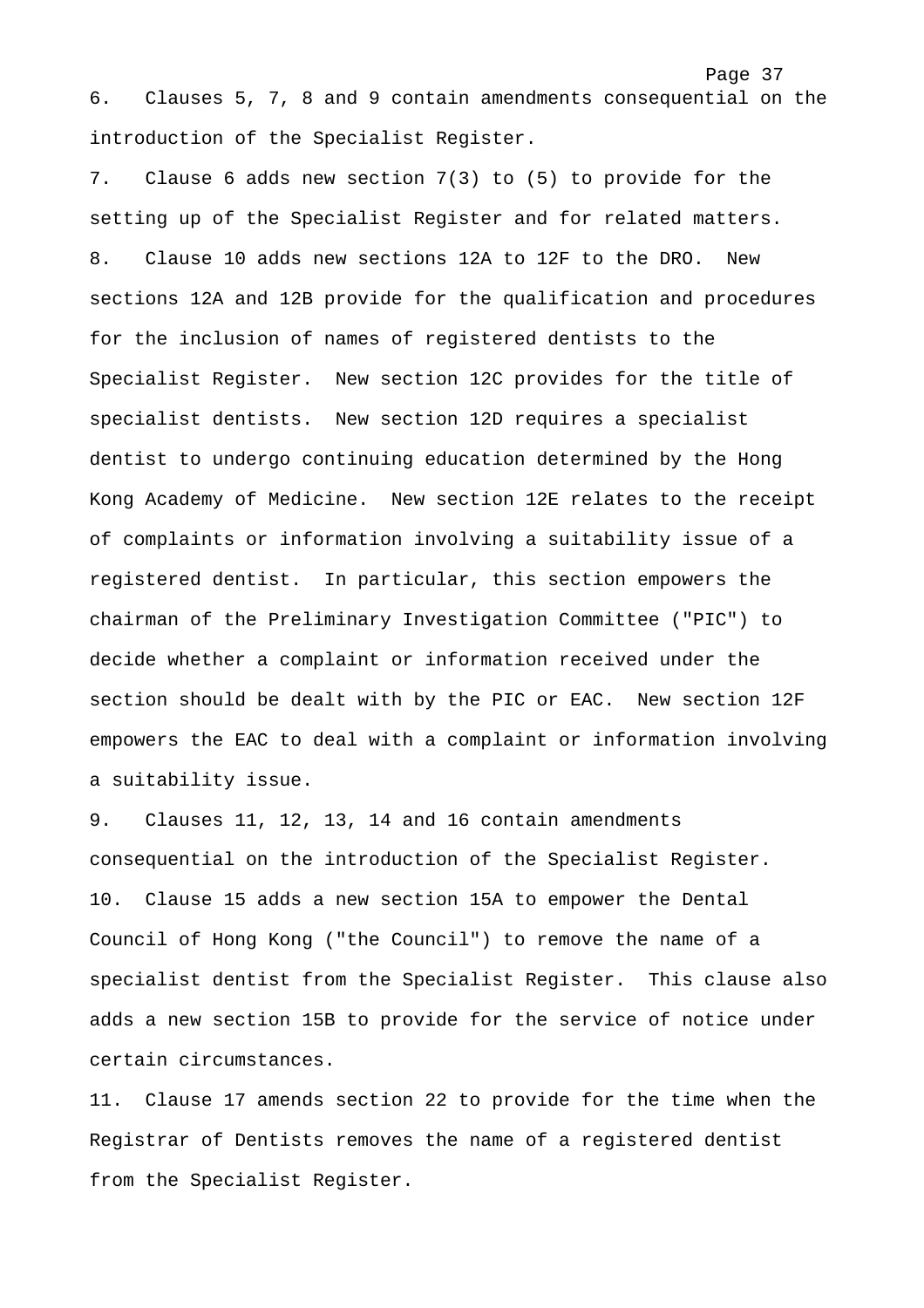6. Clauses 5, 7, 8 and 9 contain amendments consequential on the introduction of the Specialist Register.

Page 37

7. Clause 6 adds new section 7(3) to (5) to provide for the setting up of the Specialist Register and for related matters. 8. Clause 10 adds new sections 12A to 12F to the DRO. New sections 12A and 12B provide for the qualification and procedures for the inclusion of names of registered dentists to the Specialist Register. New section 12C provides for the title of specialist dentists. New section 12D requires a specialist dentist to undergo continuing education determined by the Hong Kong Academy of Medicine. New section 12E relates to the receipt of complaints or information involving a suitability issue of a registered dentist. In particular, this section empowers the chairman of the Preliminary Investigation Committee ("PIC") to decide whether a complaint or information received under the section should be dealt with by the PIC or EAC. New section 12F empowers the EAC to deal with a complaint or information involving a suitability issue.

9. Clauses 11, 12, 13, 14 and 16 contain amendments consequential on the introduction of the Specialist Register. 10. Clause 15 adds a new section 15A to empower the Dental Council of Hong Kong ("the Council") to remove the name of a specialist dentist from the Specialist Register. This clause also adds a new section 15B to provide for the service of notice under certain circumstances.

11. Clause 17 amends section 22 to provide for the time when the Registrar of Dentists removes the name of a registered dentist from the Specialist Register.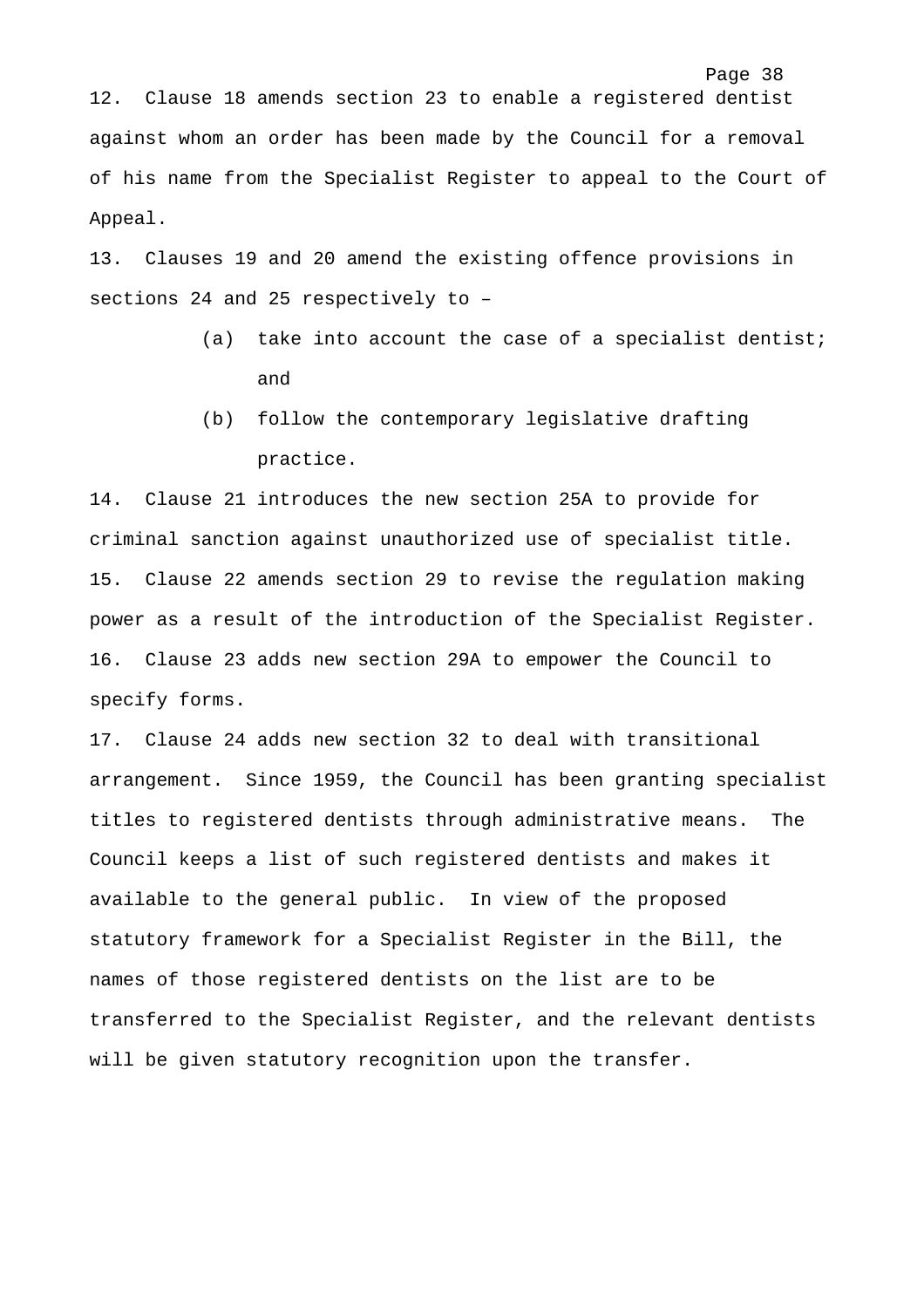12. Clause 18 amends section 23 to enable a registered dentist against whom an order has been made by the Council for a removal of his name from the Specialist Register to appeal to the Court of Appeal.

13. Clauses 19 and 20 amend the existing offence provisions in sections 24 and 25 respectively to –

> (a) take into account the case of a specialist dentist; and

Page 38

(b) follow the contemporary legislative drafting practice.

14. Clause 21 introduces the new section 25A to provide for criminal sanction against unauthorized use of specialist title. 15. Clause 22 amends section 29 to revise the regulation making power as a result of the introduction of the Specialist Register. 16. Clause 23 adds new section 29A to empower the Council to specify forms.

17. Clause 24 adds new section 32 to deal with transitional arrangement. Since 1959, the Council has been granting specialist titles to registered dentists through administrative means. The Council keeps a list of such registered dentists and makes it available to the general public. In view of the proposed statutory framework for a Specialist Register in the Bill, the names of those registered dentists on the list are to be transferred to the Specialist Register, and the relevant dentists will be given statutory recognition upon the transfer.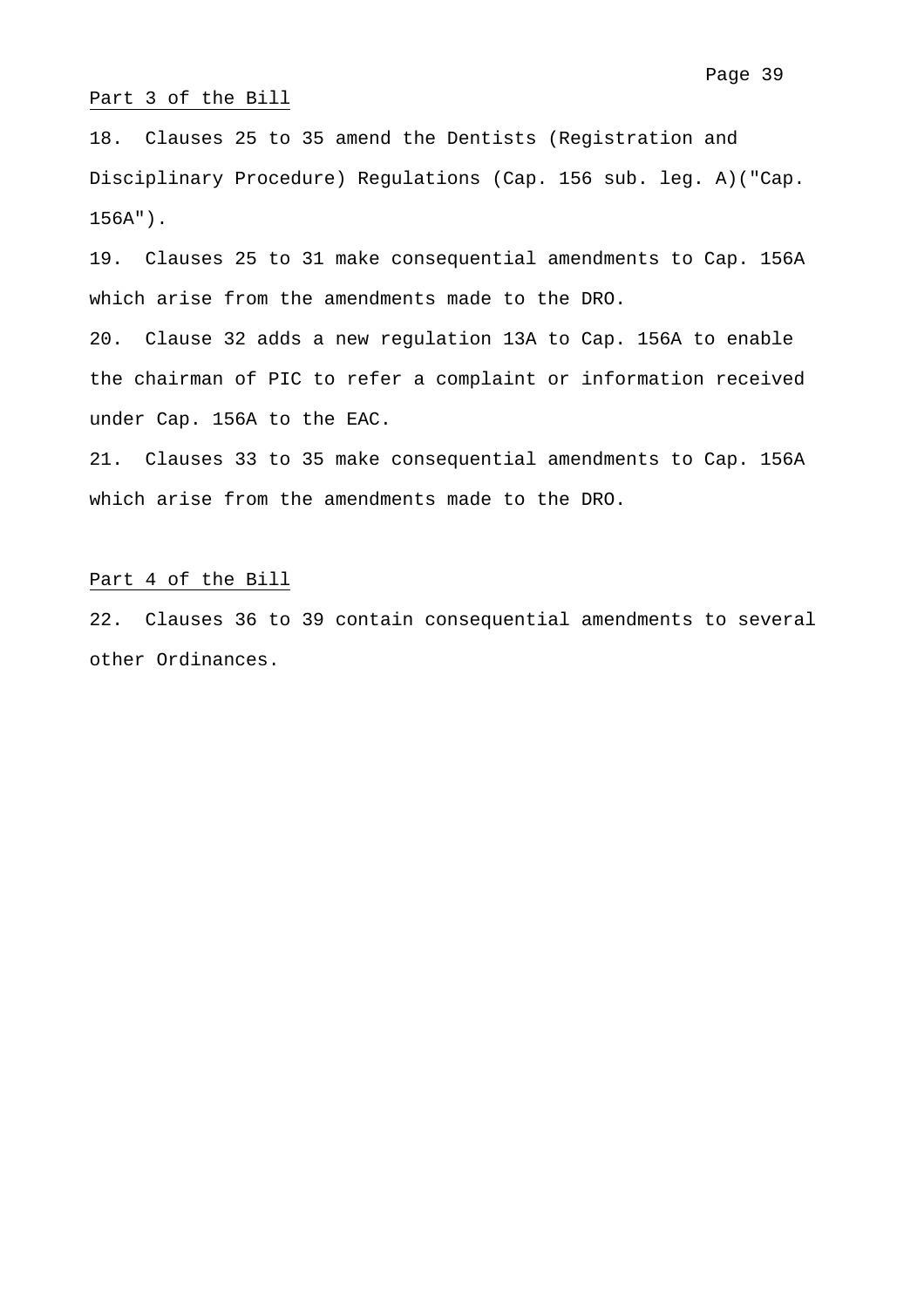#### Part 3 of the Bill

18. Clauses 25 to 35 amend the Dentists (Registration and Disciplinary Procedure) Regulations (Cap. 156 sub. leg. A)("Cap. 156A").

19. Clauses 25 to 31 make consequential amendments to Cap. 156A which arise from the amendments made to the DRO.

20. Clause 32 adds a new regulation 13A to Cap. 156A to enable the chairman of PIC to refer a complaint or information received under Cap. 156A to the EAC.

21. Clauses 33 to 35 make consequential amendments to Cap. 156A which arise from the amendments made to the DRO.

#### Part 4 of the Bill

22. Clauses 36 to 39 contain consequential amendments to several other Ordinances.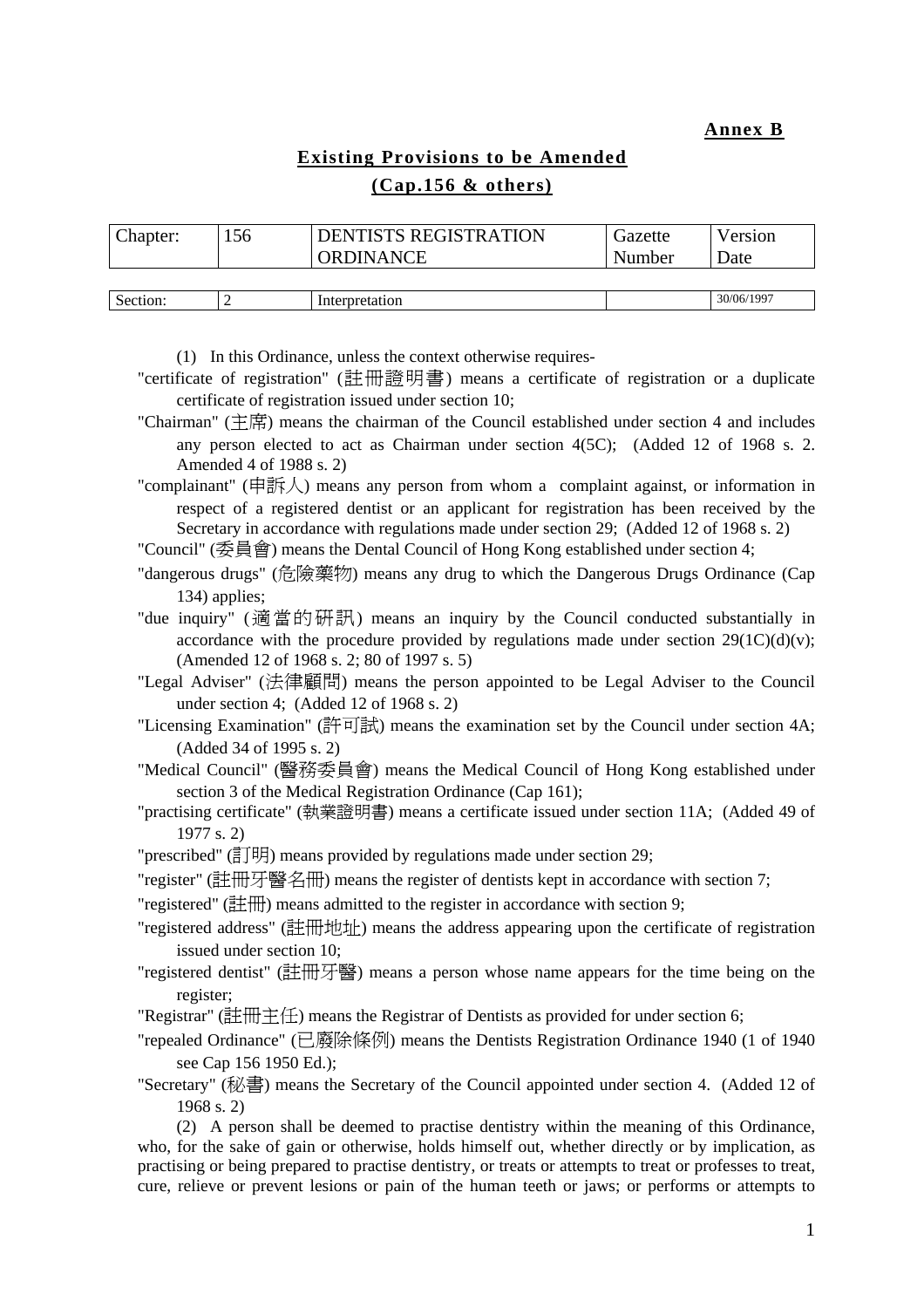**Annex B**

# **Existing Provisions to be Amended (Cap.156 & others)**

| Chapter: | 56 | <b>DENTISTS REGISTRATION</b> | Gazette | Version     |
|----------|----|------------------------------|---------|-------------|
|          |    | ORDINANCE                    | Number  | <b>Date</b> |
|          |    |                              |         |             |
| Section: |    | Interpretation               |         | 30/06/1997  |

(1) In this Ordinance, unless the context otherwise requires-

- "certificate of registration" (註冊證明書) means a certificate of registration or a duplicate certificate of registration issued under section 10;
- "Chairman" (主席) means the chairman of the Council established under section 4 and includes any person elected to act as Chairman under section 4(5C); (Added 12 of 1968 s. 2. Amended 4 of 1988 s. 2)
- "complainant" (申訴人) means any person from whom a complaint against, or information in respect of a registered dentist or an applicant for registration has been received by the Secretary in accordance with regulations made under section 29; (Added 12 of 1968 s. 2)

"Council" (委員會) means the Dental Council of Hong Kong established under section 4;

"dangerous drugs" (危險藥物) means any drug to which the Dangerous Drugs Ordinance (Cap 134) applies;

"due inquiry" (適當的研訊) means an inquiry by the Council conducted substantially in accordance with the procedure provided by regulations made under section  $29(1C)(d)(v)$ ; (Amended 12 of 1968 s. 2; 80 of 1997 s. 5)

"Legal Adviser" (法律顧問) means the person appointed to be Legal Adviser to the Council under section 4; (Added 12 of 1968 s. 2)

"Licensing Examination" (許可試) means the examination set by the Council under section 4A; (Added 34 of 1995 s. 2)

"Medical Council" (醫務委員會) means the Medical Council of Hong Kong established under section 3 of the Medical Registration Ordinance (Cap 161);

"practising certificate" (執業證明書) means a certificate issued under section 11A; (Added 49 of 1977 s. 2)

"prescribed" ( $\exists$  $\exists$ ][ $\exists$ ]) means provided by regulations made under section 29;

"register" (註冊牙醫名冊) means the register of dentists kept in accordance with section 7;

"registered" (註冊) means admitted to the register in accordance with section 9;

"registered address" (註冊地址) means the address appearing upon the certificate of registration issued under section 10;

"registered dentist" (註冊牙醫) means a person whose name appears for the time being on the register;

"Registrar" (註冊主任) means the Registrar of Dentists as provided for under section 6;

"repealed Ordinance" (已廢除條例) means the Dentists Registration Ordinance 1940 (1 of 1940 see Cap 156 1950 Ed.);

"Secretary" (秘書) means the Secretary of the Council appointed under section 4. (Added 12 of 1968 s. 2)

(2) A person shall be deemed to practise dentistry within the meaning of this Ordinance, who, for the sake of gain or otherwise, holds himself out, whether directly or by implication, as practising or being prepared to practise dentistry, or treats or attempts to treat or professes to treat, cure, relieve or prevent lesions or pain of the human teeth or jaws; or performs or attempts to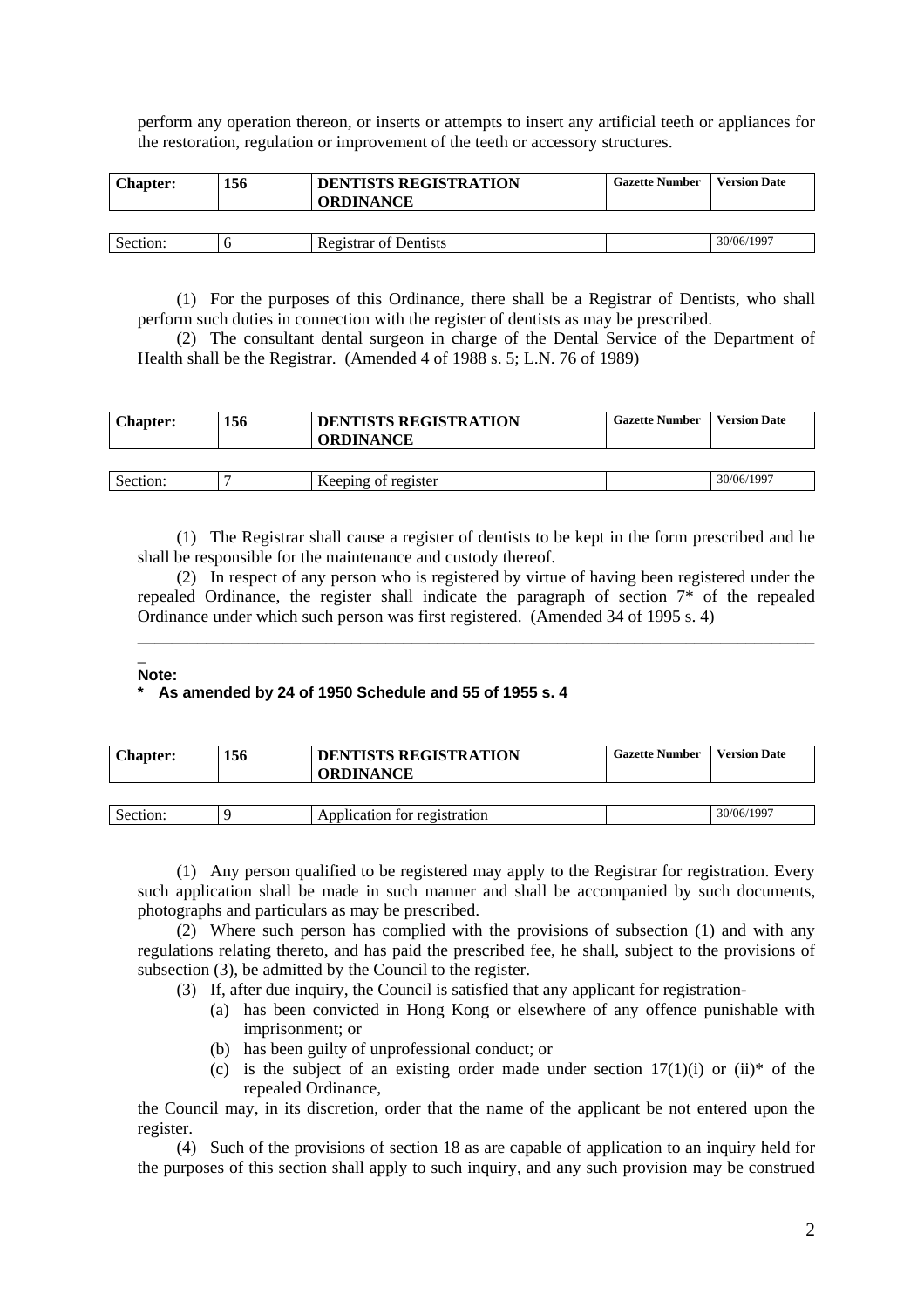perform any operation thereon, or inserts or attempts to insert any artificial teeth or appliances for the restoration, regulation or improvement of the teeth or accessory structures.

| <b>Chapter:</b> | 156 | <b>DENTISTS REGISTRATION</b><br><b>ORDINANCE</b> | <b>Gazette Number</b> | <b>Version Date</b> |
|-----------------|-----|--------------------------------------------------|-----------------------|---------------------|
|                 |     |                                                  |                       |                     |
| Section:        |     | <b>Registrar of Dentists</b>                     |                       | 30/06/1997          |

(1) For the purposes of this Ordinance, there shall be a Registrar of Dentists, who shall perform such duties in connection with the register of dentists as may be prescribed.

(2) The consultant dental surgeon in charge of the Dental Service of the Department of Health shall be the Registrar. (Amended 4 of 1988 s. 5; L.N. 76 of 1989)

| <b>Chapter:</b> | 156 | <b>DENTISTS REGISTRATION</b><br><b>ORDINANCE</b> | <b>Gazette Number</b> | <b>Version Date</b> |
|-----------------|-----|--------------------------------------------------|-----------------------|---------------------|
|                 |     |                                                  |                       |                     |
| Section:        |     | Keeping of register                              |                       | 30/06/1997          |

(1) The Registrar shall cause a register of dentists to be kept in the form prescribed and he shall be responsible for the maintenance and custody thereof.

(2) In respect of any person who is registered by virtue of having been registered under the repealed Ordinance, the register shall indicate the paragraph of section 7\* of the repealed Ordinance under which such person was first registered. (Amended 34 of 1995 s. 4)

\_\_\_\_\_\_\_\_\_\_\_\_\_\_\_\_\_\_\_\_\_\_\_\_\_\_\_\_\_\_\_\_\_\_\_\_\_\_\_\_\_\_\_\_\_\_\_\_\_\_\_\_\_\_\_\_\_\_\_\_\_\_\_\_\_\_\_\_\_\_\_\_\_\_\_\_\_\_\_

#### $\overline{\phantom{a}}$ **Note:**

### **\* As amended by 24 of 1950 Schedule and 55 of 1955 s. 4**

| <b>Chapter:</b> | 156 | <b>DENTISTS REGISTRATION</b><br><b>ORDINANCE</b> | <b>Gazette Number</b> | <b>Version Date</b> |
|-----------------|-----|--------------------------------------------------|-----------------------|---------------------|
|                 |     |                                                  |                       |                     |
| Section:        |     | Application for registration                     |                       | 30/06/1997          |

(1) Any person qualified to be registered may apply to the Registrar for registration. Every such application shall be made in such manner and shall be accompanied by such documents, photographs and particulars as may be prescribed.

(2) Where such person has complied with the provisions of subsection (1) and with any regulations relating thereto, and has paid the prescribed fee, he shall, subject to the provisions of subsection (3), be admitted by the Council to the register.

(3) If, after due inquiry, the Council is satisfied that any applicant for registration-

- (a) has been convicted in Hong Kong or elsewhere of any offence punishable with imprisonment; or
- (b) has been guilty of unprofessional conduct; or
- (c) is the subject of an existing order made under section  $17(1)(i)$  or  $(ii)*$  of the repealed Ordinance,

the Council may, in its discretion, order that the name of the applicant be not entered upon the register.

(4) Such of the provisions of section 18 as are capable of application to an inquiry held for the purposes of this section shall apply to such inquiry, and any such provision may be construed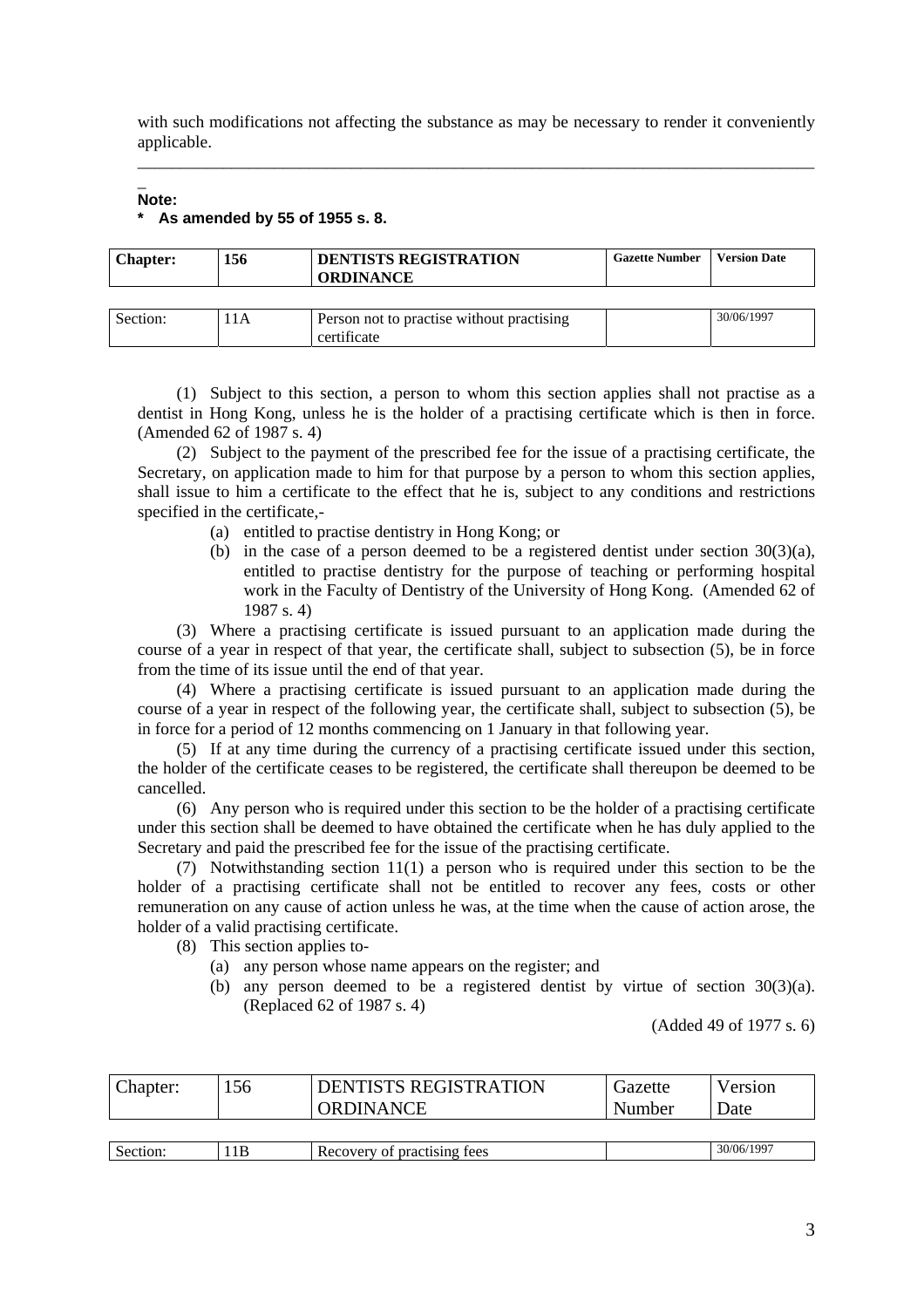with such modifications not affecting the substance as may be necessary to render it conveniently applicable. \_\_\_\_\_\_\_\_\_\_\_\_\_\_\_\_\_\_\_\_\_\_\_\_\_\_\_\_\_\_\_\_\_\_\_\_\_\_\_\_\_\_\_\_\_\_\_\_\_\_\_\_\_\_\_\_\_\_\_\_\_\_\_\_\_\_\_\_\_\_\_\_\_\_\_\_\_\_\_

### **Note: \* As amended by 55 of 1955 s. 8.**

 $\overline{\phantom{a}}$ 

| <b>Chapter:</b> | 156 | <b>DENTISTS REGISTRATION</b><br><b>ORDINANCE</b> | <b>Gazette Number</b> | <b>Version Date</b> |
|-----------------|-----|--------------------------------------------------|-----------------------|---------------------|
|                 |     |                                                  |                       |                     |
| Section:        | 1A  | Person not to practise without practising        |                       | 30/06/1997          |

(1) Subject to this section, a person to whom this section applies shall not practise as a dentist in Hong Kong, unless he is the holder of a practising certificate which is then in force. (Amended 62 of 1987 s. 4)

(2) Subject to the payment of the prescribed fee for the issue of a practising certificate, the Secretary, on application made to him for that purpose by a person to whom this section applies, shall issue to him a certificate to the effect that he is, subject to any conditions and restrictions specified in the certificate,-

(a) entitled to practise dentistry in Hong Kong; or

certificate

(b) in the case of a person deemed to be a registered dentist under section 30(3)(a), entitled to practise dentistry for the purpose of teaching or performing hospital work in the Faculty of Dentistry of the University of Hong Kong. (Amended 62 of 1987 s. 4)

(3) Where a practising certificate is issued pursuant to an application made during the course of a year in respect of that year, the certificate shall, subject to subsection (5), be in force from the time of its issue until the end of that year.

(4) Where a practising certificate is issued pursuant to an application made during the course of a year in respect of the following year, the certificate shall, subject to subsection (5), be in force for a period of 12 months commencing on 1 January in that following year.

(5) If at any time during the currency of a practising certificate issued under this section, the holder of the certificate ceases to be registered, the certificate shall thereupon be deemed to be cancelled.

(6) Any person who is required under this section to be the holder of a practising certificate under this section shall be deemed to have obtained the certificate when he has duly applied to the Secretary and paid the prescribed fee for the issue of the practising certificate.

(7) Notwithstanding section 11(1) a person who is required under this section to be the holder of a practising certificate shall not be entitled to recover any fees, costs or other remuneration on any cause of action unless he was, at the time when the cause of action arose, the holder of a valid practising certificate.

- (8) This section applies to-
	- (a) any person whose name appears on the register; and
	- (b) any person deemed to be a registered dentist by virtue of section 30(3)(a). (Replaced 62 of 1987 s. 4)

(Added 49 of 1977 s. 6)

| Chapter: | 156 | <b>DENTISTS REGISTRATION</b><br><b>ORDINANCE</b> | Gazette<br>Number | Version<br>Date |
|----------|-----|--------------------------------------------------|-------------------|-----------------|
|          |     |                                                  |                   |                 |
| Section: | 1B  | Recovery of practising fees                      |                   | 30/06/1997      |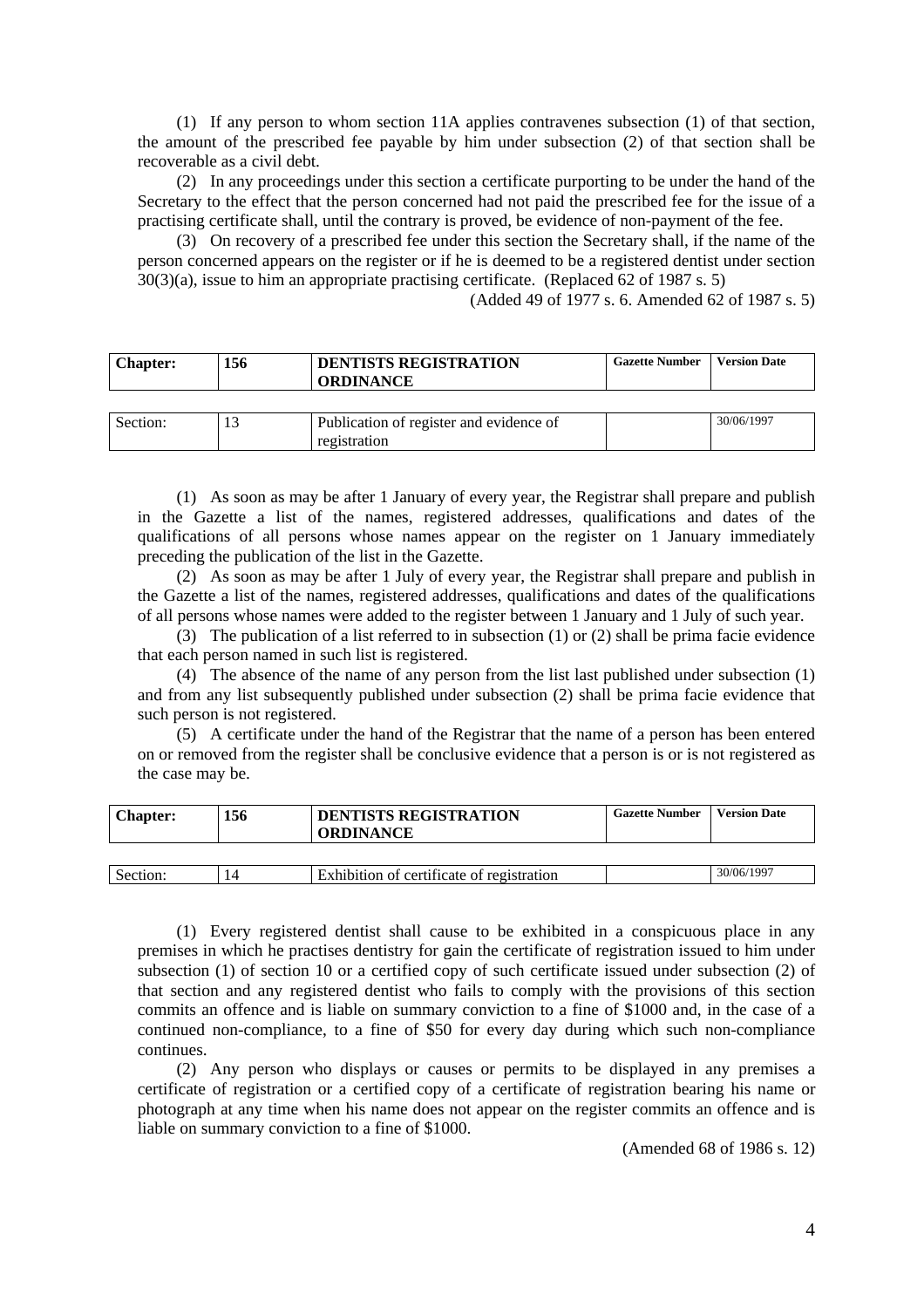(1) If any person to whom section 11A applies contravenes subsection (1) of that section, the amount of the prescribed fee payable by him under subsection (2) of that section shall be recoverable as a civil debt.

(2) In any proceedings under this section a certificate purporting to be under the hand of the Secretary to the effect that the person concerned had not paid the prescribed fee for the issue of a practising certificate shall, until the contrary is proved, be evidence of non-payment of the fee.

(3) On recovery of a prescribed fee under this section the Secretary shall, if the name of the person concerned appears on the register or if he is deemed to be a registered dentist under section 30(3)(a), issue to him an appropriate practising certificate. (Replaced 62 of 1987 s. 5)

(Added 49 of 1977 s. 6. Amended 62 of 1987 s. 5)

| 156 | <b>DENTISTS REGISTRATION</b>            | <b>Gazette Number</b>            | <b>Version Date</b> |
|-----|-----------------------------------------|----------------------------------|---------------------|
|     |                                         |                                  |                     |
|     | Publication of register and evidence of |                                  | 30/06/1997          |
|     |                                         | <b>ORDINANCE</b><br>registration |                     |

(1) As soon as may be after 1 January of every year, the Registrar shall prepare and publish in the Gazette a list of the names, registered addresses, qualifications and dates of the qualifications of all persons whose names appear on the register on 1 January immediately preceding the publication of the list in the Gazette.

(2) As soon as may be after 1 July of every year, the Registrar shall prepare and publish in the Gazette a list of the names, registered addresses, qualifications and dates of the qualifications of all persons whose names were added to the register between 1 January and 1 July of such year.

(3) The publication of a list referred to in subsection (1) or (2) shall be prima facie evidence that each person named in such list is registered.

(4) The absence of the name of any person from the list last published under subsection (1) and from any list subsequently published under subsection (2) shall be prima facie evidence that such person is not registered.

(5) A certificate under the hand of the Registrar that the name of a person has been entered on or removed from the register shall be conclusive evidence that a person is or is not registered as the case may be.

| <b>Chapter:</b> | 156 | <b>DENTISTS REGISTRATION</b><br><b>ORDINANCE</b> | <b>Gazette Number</b> | <b>Version Date</b> |
|-----------------|-----|--------------------------------------------------|-----------------------|---------------------|
|                 |     |                                                  |                       |                     |
| Section:        |     | Exhibition of certificate of registration        |                       | 30/06/1997          |

(1) Every registered dentist shall cause to be exhibited in a conspicuous place in any premises in which he practises dentistry for gain the certificate of registration issued to him under subsection (1) of section 10 or a certified copy of such certificate issued under subsection (2) of that section and any registered dentist who fails to comply with the provisions of this section commits an offence and is liable on summary conviction to a fine of \$1000 and, in the case of a continued non-compliance, to a fine of \$50 for every day during which such non-compliance continues.

(2) Any person who displays or causes or permits to be displayed in any premises a certificate of registration or a certified copy of a certificate of registration bearing his name or photograph at any time when his name does not appear on the register commits an offence and is liable on summary conviction to a fine of \$1000.

(Amended 68 of 1986 s. 12)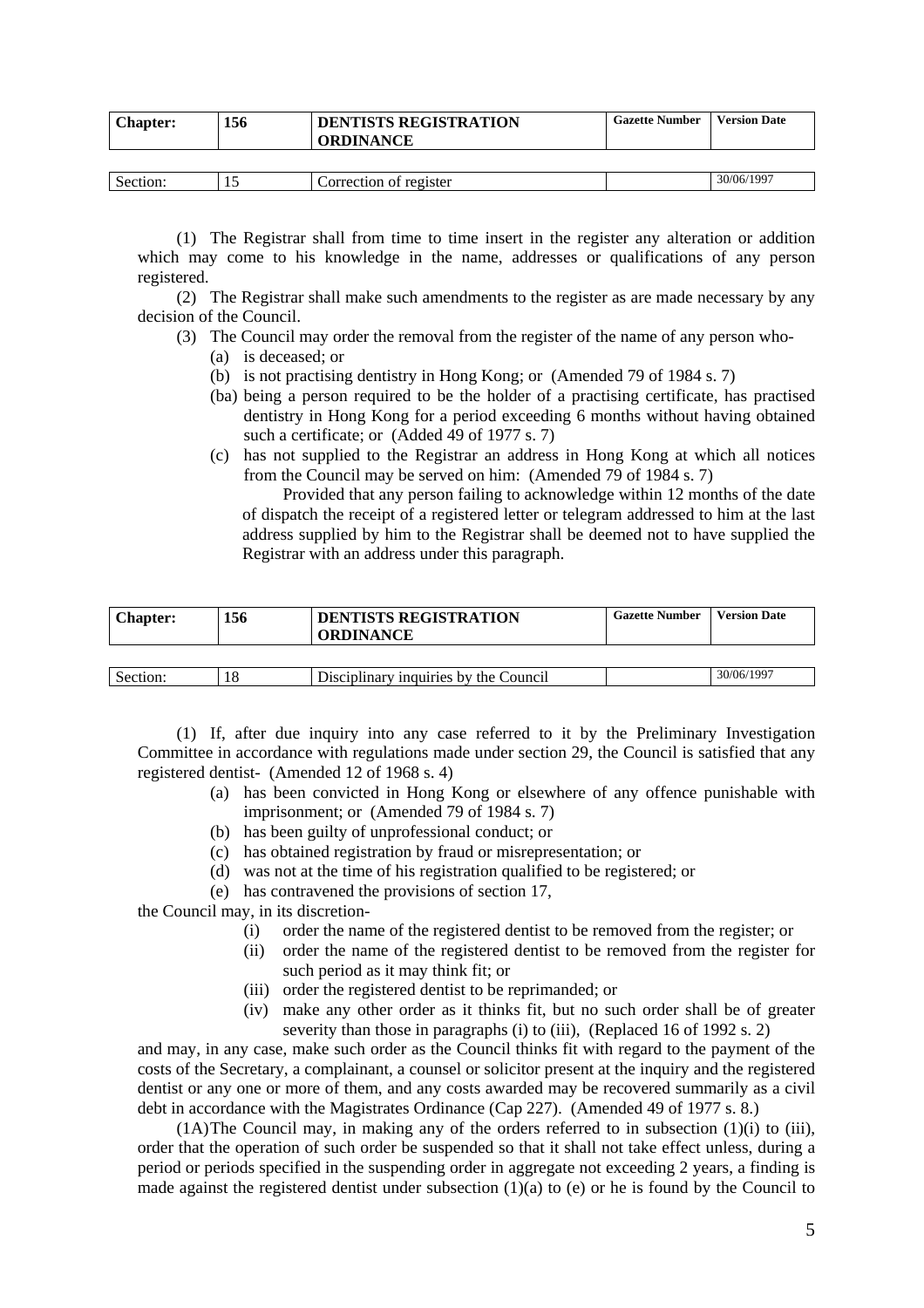| <b>Chapter:</b> | 156 | <b>DENTISTS REGISTRATION</b><br><b>ORDINANCE</b> | <b>Gazette Number</b> | <b>Version Date</b> |
|-----------------|-----|--------------------------------------------------|-----------------------|---------------------|
|                 |     |                                                  |                       |                     |
| Section:        |     | Correction of register                           |                       | 30/06/1997          |

(1) The Registrar shall from time to time insert in the register any alteration or addition which may come to his knowledge in the name, addresses or qualifications of any person registered.

(2) The Registrar shall make such amendments to the register as are made necessary by any decision of the Council.

- (3) The Council may order the removal from the register of the name of any person who-
	- (a) is deceased; or
	- (b) is not practising dentistry in Hong Kong; or (Amended 79 of 1984 s. 7)
	- (ba) being a person required to be the holder of a practising certificate, has practised dentistry in Hong Kong for a period exceeding 6 months without having obtained such a certificate; or (Added 49 of 1977 s. 7)
	- (c) has not supplied to the Registrar an address in Hong Kong at which all notices from the Council may be served on him: (Amended 79 of 1984 s. 7)

Provided that any person failing to acknowledge within 12 months of the date of dispatch the receipt of a registered letter or telegram addressed to him at the last address supplied by him to the Registrar shall be deemed not to have supplied the Registrar with an address under this paragraph.

| <b>Chapter:</b> | 156 | <b>DENTISTS REGISTRATION</b><br><b>ORDINANCE</b> | <b>Gazette Number</b> | <b>Version Date</b> |
|-----------------|-----|--------------------------------------------------|-----------------------|---------------------|
|                 |     |                                                  |                       |                     |
| Section:        |     | Disciplinary inquiries by the Council            |                       | 30/06/1997          |

(1) If, after due inquiry into any case referred to it by the Preliminary Investigation Committee in accordance with regulations made under section 29, the Council is satisfied that any registered dentist- (Amended 12 of 1968 s. 4)

- (a) has been convicted in Hong Kong or elsewhere of any offence punishable with imprisonment; or (Amended 79 of 1984 s. 7)
- (b) has been guilty of unprofessional conduct; or
- (c) has obtained registration by fraud or misrepresentation; or
- (d) was not at the time of his registration qualified to be registered; or
- (e) has contravened the provisions of section 17,

the Council may, in its discretion-

- (i) order the name of the registered dentist to be removed from the register; or
- (ii) order the name of the registered dentist to be removed from the register for such period as it may think fit; or
- (iii) order the registered dentist to be reprimanded; or
- (iv) make any other order as it thinks fit, but no such order shall be of greater severity than those in paragraphs (i) to (iii), (Replaced 16 of 1992 s. 2)

and may, in any case, make such order as the Council thinks fit with regard to the payment of the costs of the Secretary, a complainant, a counsel or solicitor present at the inquiry and the registered dentist or any one or more of them, and any costs awarded may be recovered summarily as a civil debt in accordance with the Magistrates Ordinance (Cap 227). (Amended 49 of 1977 s. 8.)

 $(1A)$  The Council may, in making any of the orders referred to in subsection  $(1)(i)$  to  $(iii)$ , order that the operation of such order be suspended so that it shall not take effect unless, during a period or periods specified in the suspending order in aggregate not exceeding 2 years, a finding is made against the registered dentist under subsection  $(1)(a)$  to (e) or he is found by the Council to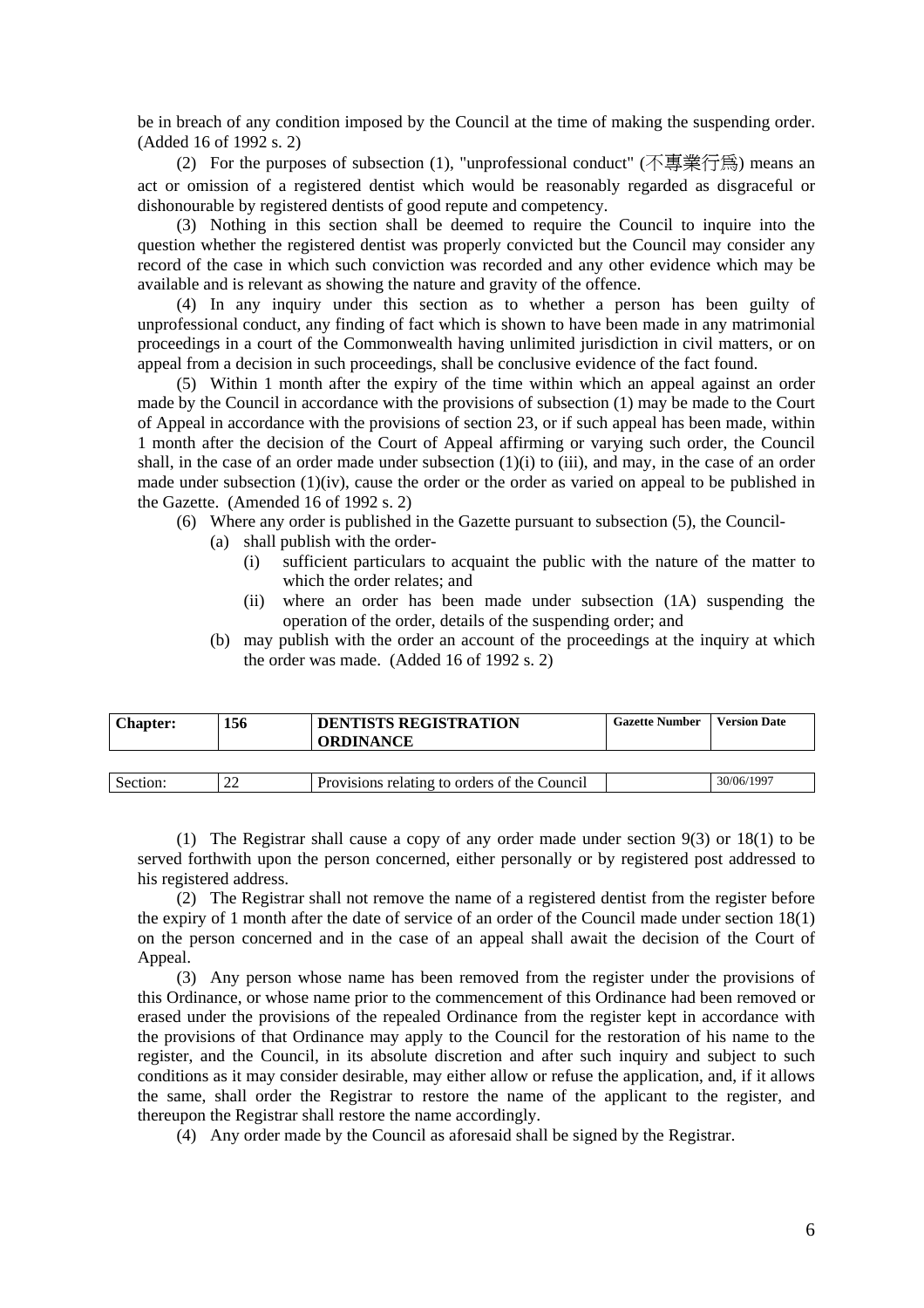be in breach of any condition imposed by the Council at the time of making the suspending order. (Added 16 of 1992 s. 2)

(2) For the purposes of subsection (1), "unprofessional conduct" (不專業行為) means an act or omission of a registered dentist which would be reasonably regarded as disgraceful or dishonourable by registered dentists of good repute and competency.

(3) Nothing in this section shall be deemed to require the Council to inquire into the question whether the registered dentist was properly convicted but the Council may consider any record of the case in which such conviction was recorded and any other evidence which may be available and is relevant as showing the nature and gravity of the offence.

(4) In any inquiry under this section as to whether a person has been guilty of unprofessional conduct, any finding of fact which is shown to have been made in any matrimonial proceedings in a court of the Commonwealth having unlimited jurisdiction in civil matters, or on appeal from a decision in such proceedings, shall be conclusive evidence of the fact found.

(5) Within 1 month after the expiry of the time within which an appeal against an order made by the Council in accordance with the provisions of subsection (1) may be made to the Court of Appeal in accordance with the provisions of section 23, or if such appeal has been made, within 1 month after the decision of the Court of Appeal affirming or varying such order, the Council shall, in the case of an order made under subsection  $(1)(i)$  to  $(iii)$ , and may, in the case of an order made under subsection (1)(iv), cause the order or the order as varied on appeal to be published in the Gazette. (Amended 16 of 1992 s. 2)

- (6) Where any order is published in the Gazette pursuant to subsection (5), the Council-
	- (a) shall publish with the order-
		- (i) sufficient particulars to acquaint the public with the nature of the matter to which the order relates; and
		- (ii) where an order has been made under subsection (1A) suspending the operation of the order, details of the suspending order; and
	- (b) may publish with the order an account of the proceedings at the inquiry at which the order was made. (Added 16 of 1992 s. 2)

| <b>Chapter:</b> | 156 | <b>DENTISTS REGISTRATION</b><br><b>ORDINANCE</b> | <b>Gazette Number</b> | <b>Version Date</b> |
|-----------------|-----|--------------------------------------------------|-----------------------|---------------------|
|                 |     |                                                  |                       |                     |
| Section:        |     | Provisions relating to orders of the Council     |                       | 30/06/1997          |

(1) The Registrar shall cause a copy of any order made under section 9(3) or 18(1) to be served forthwith upon the person concerned, either personally or by registered post addressed to his registered address.

(2) The Registrar shall not remove the name of a registered dentist from the register before the expiry of 1 month after the date of service of an order of the Council made under section 18(1) on the person concerned and in the case of an appeal shall await the decision of the Court of Appeal.

(3) Any person whose name has been removed from the register under the provisions of this Ordinance, or whose name prior to the commencement of this Ordinance had been removed or erased under the provisions of the repealed Ordinance from the register kept in accordance with the provisions of that Ordinance may apply to the Council for the restoration of his name to the register, and the Council, in its absolute discretion and after such inquiry and subject to such conditions as it may consider desirable, may either allow or refuse the application, and, if it allows the same, shall order the Registrar to restore the name of the applicant to the register, and thereupon the Registrar shall restore the name accordingly.

(4) Any order made by the Council as aforesaid shall be signed by the Registrar.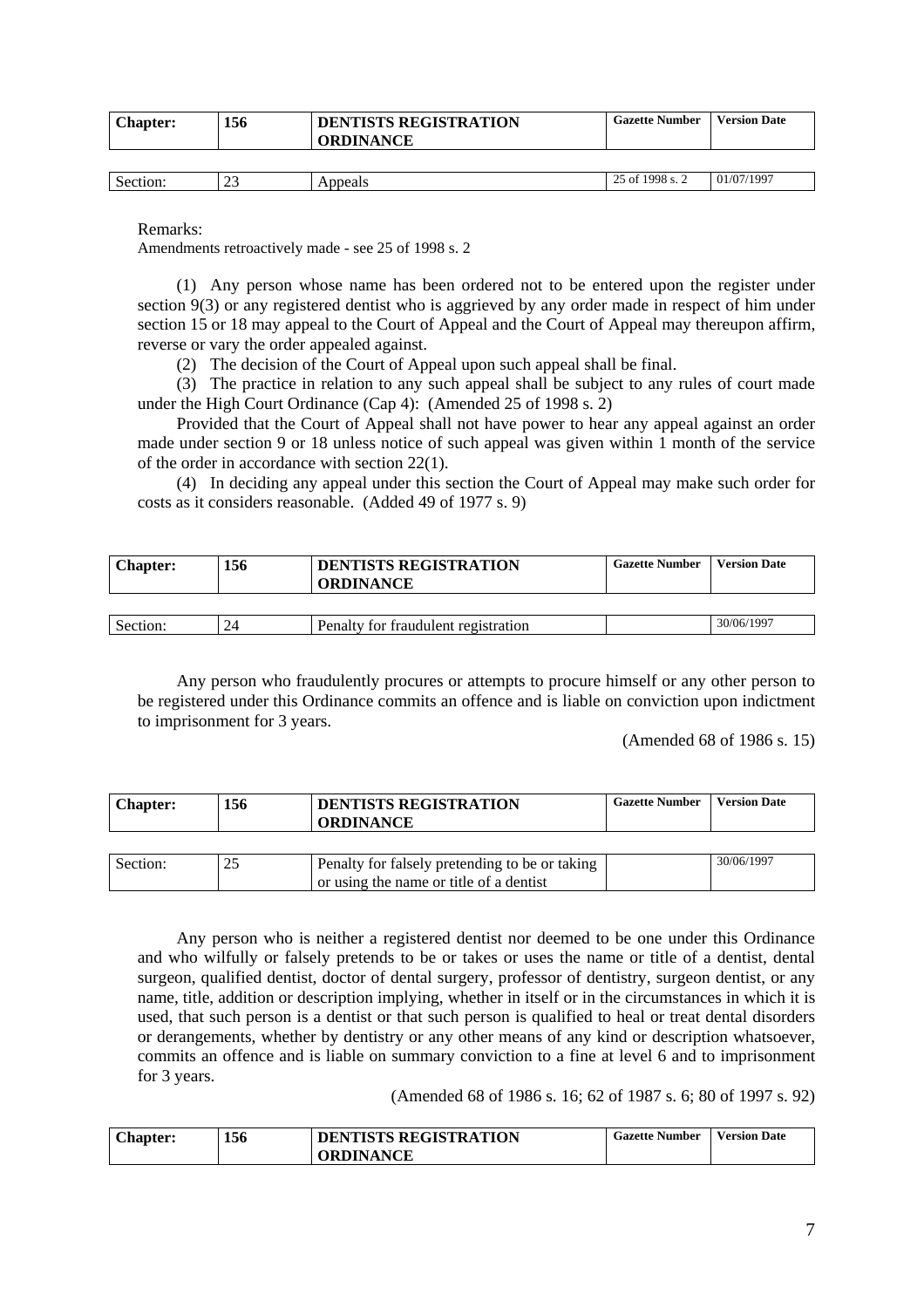| <b>Chapter:</b> | 156             | <b>DENTISTS REGISTRATION</b><br><b>ORDINANCE</b> | <b>Gazette Number</b> | <b>Version Date</b> |
|-----------------|-----------------|--------------------------------------------------|-----------------------|---------------------|
|                 |                 |                                                  |                       |                     |
| Section:        | າາ<br><u>L.</u> | Appeals                                          | 25 of 1998 s. 2       | 01/07/1997          |

Remarks:

Amendments retroactively made - see 25 of 1998 s. 2

(1) Any person whose name has been ordered not to be entered upon the register under section 9(3) or any registered dentist who is aggrieved by any order made in respect of him under section 15 or 18 may appeal to the Court of Appeal and the Court of Appeal may thereupon affirm, reverse or vary the order appealed against.

(2) The decision of the Court of Appeal upon such appeal shall be final.

(3) The practice in relation to any such appeal shall be subject to any rules of court made under the High Court Ordinance (Cap 4): (Amended 25 of 1998 s. 2)

Provided that the Court of Appeal shall not have power to hear any appeal against an order made under section 9 or 18 unless notice of such appeal was given within 1 month of the service of the order in accordance with section 22(1).

(4) In deciding any appeal under this section the Court of Appeal may make such order for costs as it considers reasonable. (Added 49 of 1977 s. 9)

| <b>Chapter:</b> | 156                  | <b>DENTISTS REGISTRATION</b><br><b>ORDINANCE</b> | <b>Gazette Number</b> | <b>Version Date</b> |
|-----------------|----------------------|--------------------------------------------------|-----------------------|---------------------|
|                 |                      |                                                  |                       |                     |
| Section:        | $\gamma_{\varDelta}$ | Penalty for fraudulent registration              |                       | 30/06/1997          |

Any person who fraudulently procures or attempts to procure himself or any other person to be registered under this Ordinance commits an offence and is liable on conviction upon indictment to imprisonment for 3 years.

(Amended 68 of 1986 s. 15)

| <b>Chapter:</b> | 156 | <b>DENTISTS REGISTRATION</b><br><b>ORDINANCE</b>                                          | <b>Gazette Number</b> | <b>Version Date</b> |
|-----------------|-----|-------------------------------------------------------------------------------------------|-----------------------|---------------------|
|                 |     |                                                                                           |                       |                     |
| Section:        |     | Penalty for falsely pretending to be or taking<br>or using the name or title of a dentist |                       | 30/06/1997          |

Any person who is neither a registered dentist nor deemed to be one under this Ordinance and who wilfully or falsely pretends to be or takes or uses the name or title of a dentist, dental surgeon, qualified dentist, doctor of dental surgery, professor of dentistry, surgeon dentist, or any name, title, addition or description implying, whether in itself or in the circumstances in which it is used, that such person is a dentist or that such person is qualified to heal or treat dental disorders or derangements, whether by dentistry or any other means of any kind or description whatsoever, commits an offence and is liable on summary conviction to a fine at level 6 and to imprisonment for 3 years.

(Amended 68 of 1986 s. 16; 62 of 1987 s. 6; 80 of 1997 s. 92)

| <b>Chapter:</b> | 156 | <b>DENTISTS REGISTRATION</b> | <b>Gazette Number</b> | <b>Version Date</b> |
|-----------------|-----|------------------------------|-----------------------|---------------------|
|                 |     | <b>ORDINANCE</b>             |                       |                     |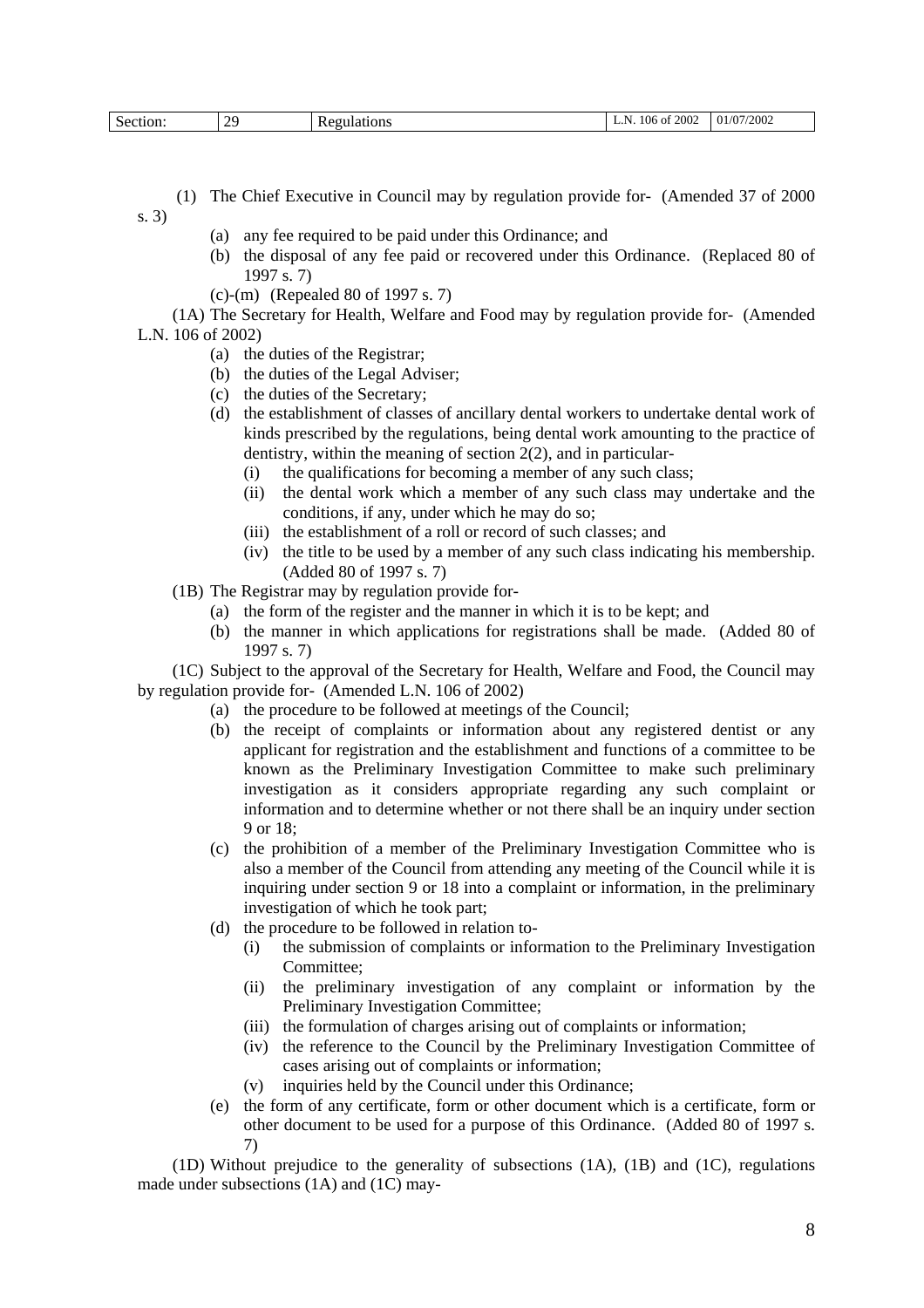| $\gamma$<br>Section:<br>- | <b>Regulations</b><br>nu. | 2002<br>$106$ of<br>n.<br>. | 01/07/2002 |
|---------------------------|---------------------------|-----------------------------|------------|
|---------------------------|---------------------------|-----------------------------|------------|

- (1) The Chief Executive in Council may by regulation provide for- (Amended 37 of 2000 s. 3)
	- (a) any fee required to be paid under this Ordinance; and
	- (b) the disposal of any fee paid or recovered under this Ordinance. (Replaced 80 of 1997 s. 7)
	- (c)-(m) (Repealed 80 of 1997 s. 7)

(1A) The Secretary for Health, Welfare and Food may by regulation provide for- (Amended L.N. 106 of 2002)

- (a) the duties of the Registrar;
- (b) the duties of the Legal Adviser;
- (c) the duties of the Secretary;
- (d) the establishment of classes of ancillary dental workers to undertake dental work of kinds prescribed by the regulations, being dental work amounting to the practice of dentistry, within the meaning of section 2(2), and in particular-
	- (i) the qualifications for becoming a member of any such class;
	- (ii) the dental work which a member of any such class may undertake and the conditions, if any, under which he may do so;
	- (iii) the establishment of a roll or record of such classes; and
	- (iv) the title to be used by a member of any such class indicating his membership. (Added 80 of 1997 s. 7)
- (1B) The Registrar may by regulation provide for-
	- (a) the form of the register and the manner in which it is to be kept; and
	- (b) the manner in which applications for registrations shall be made. (Added 80 of 1997 s. 7)

(1C) Subject to the approval of the Secretary for Health, Welfare and Food, the Council may by regulation provide for- (Amended L.N. 106 of 2002)

- (a) the procedure to be followed at meetings of the Council;
- (b) the receipt of complaints or information about any registered dentist or any applicant for registration and the establishment and functions of a committee to be known as the Preliminary Investigation Committee to make such preliminary investigation as it considers appropriate regarding any such complaint or information and to determine whether or not there shall be an inquiry under section 9 or 18;
- (c) the prohibition of a member of the Preliminary Investigation Committee who is also a member of the Council from attending any meeting of the Council while it is inquiring under section 9 or 18 into a complaint or information, in the preliminary investigation of which he took part;
- (d) the procedure to be followed in relation to-
	- (i) the submission of complaints or information to the Preliminary Investigation Committee;
	- (ii) the preliminary investigation of any complaint or information by the Preliminary Investigation Committee;
	- (iii) the formulation of charges arising out of complaints or information;
	- (iv) the reference to the Council by the Preliminary Investigation Committee of cases arising out of complaints or information;
	- (v) inquiries held by the Council under this Ordinance;
- (e) the form of any certificate, form or other document which is a certificate, form or other document to be used for a purpose of this Ordinance. (Added 80 of 1997 s. 7)

(1D) Without prejudice to the generality of subsections (1A), (1B) and (1C), regulations made under subsections (1A) and (1C) may-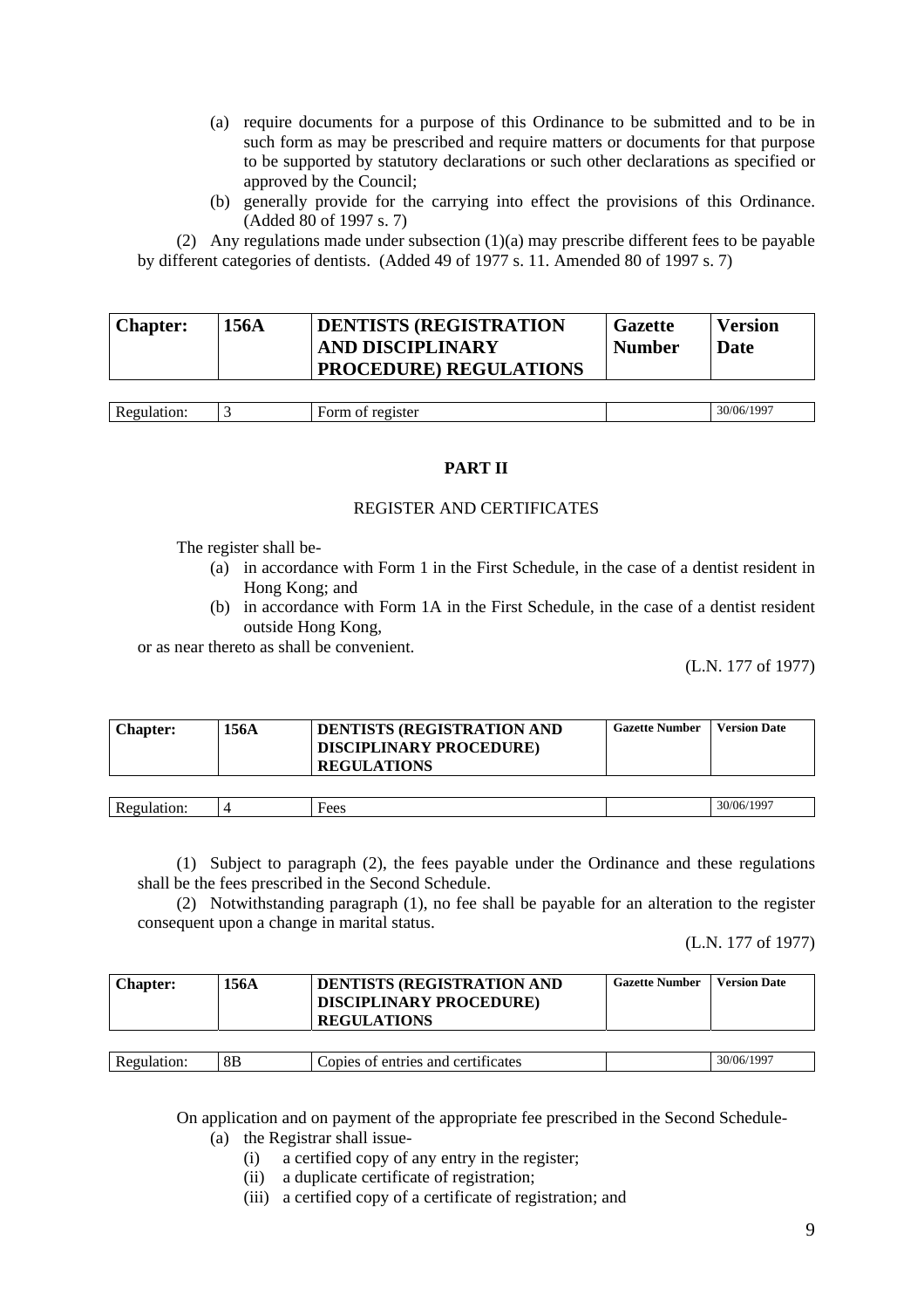- (a) require documents for a purpose of this Ordinance to be submitted and to be in such form as may be prescribed and require matters or documents for that purpose to be supported by statutory declarations or such other declarations as specified or approved by the Council;
- (b) generally provide for the carrying into effect the provisions of this Ordinance. (Added 80 of 1997 s. 7)

(2) Any regulations made under subsection (1)(a) may prescribe different fees to be payable by different categories of dentists. (Added 49 of 1977 s. 11. Amended 80 of 1997 s. 7)

| <b>DENTISTS (REGISTRATION</b><br><b>Chapter:</b><br>156A<br><b>AND DISCIPLINARY</b><br><b>PROCEDURE) REGULATIONS</b> | <b>Gazette</b><br><b>Number</b> | <b>Version</b><br>Date |
|----------------------------------------------------------------------------------------------------------------------|---------------------------------|------------------------|
|----------------------------------------------------------------------------------------------------------------------|---------------------------------|------------------------|

| $\mathbf{R}$ |  | $\sim$ $\sim$ $\sim$<br>. ao:<br>30/06 |
|--------------|--|----------------------------------------|
|              |  |                                        |

### **PART II**

# REGISTER AND CERTIFICATES

The register shall be-

- (a) in accordance with Form 1 in the First Schedule, in the case of a dentist resident in Hong Kong; and
- (b) in accordance with Form 1A in the First Schedule, in the case of a dentist resident outside Hong Kong,

or as near thereto as shall be convenient.

(L.N. 177 of 1977)

| <b>Chapter:</b> | 156A | <b>DENTISTS (REGISTRATION AND</b><br><b>DISCIPLINARY PROCEDURE)</b><br><b>REGULATIONS</b> | <b>Gazette Number</b> | <b>Version Date</b> |
|-----------------|------|-------------------------------------------------------------------------------------------|-----------------------|---------------------|
|                 |      |                                                                                           |                       |                     |
| Regulation:     |      | Fees                                                                                      |                       | 30/06/1997          |

(1) Subject to paragraph (2), the fees payable under the Ordinance and these regulations shall be the fees prescribed in the Second Schedule.

(2) Notwithstanding paragraph (1), no fee shall be payable for an alteration to the register consequent upon a change in marital status.

(L.N. 177 of 1977)

| <b>Chapter:</b> | 156A           | <b>DENTISTS (REGISTRATION AND</b><br><b>DISCIPLINARY PROCEDURE)</b><br><b>REGULATIONS</b> | <b>Gazette Number</b> | <b>Version Date</b> |
|-----------------|----------------|-------------------------------------------------------------------------------------------|-----------------------|---------------------|
|                 |                |                                                                                           |                       |                     |
| Regulation:     | 8 <sub>B</sub> | Copies of entries and certificates                                                        |                       | 30/06/1997          |

On application and on payment of the appropriate fee prescribed in the Second Schedule-

(a) the Registrar shall issue-

- (i) a certified copy of any entry in the register;
- (ii) a duplicate certificate of registration;
- (iii) a certified copy of a certificate of registration; and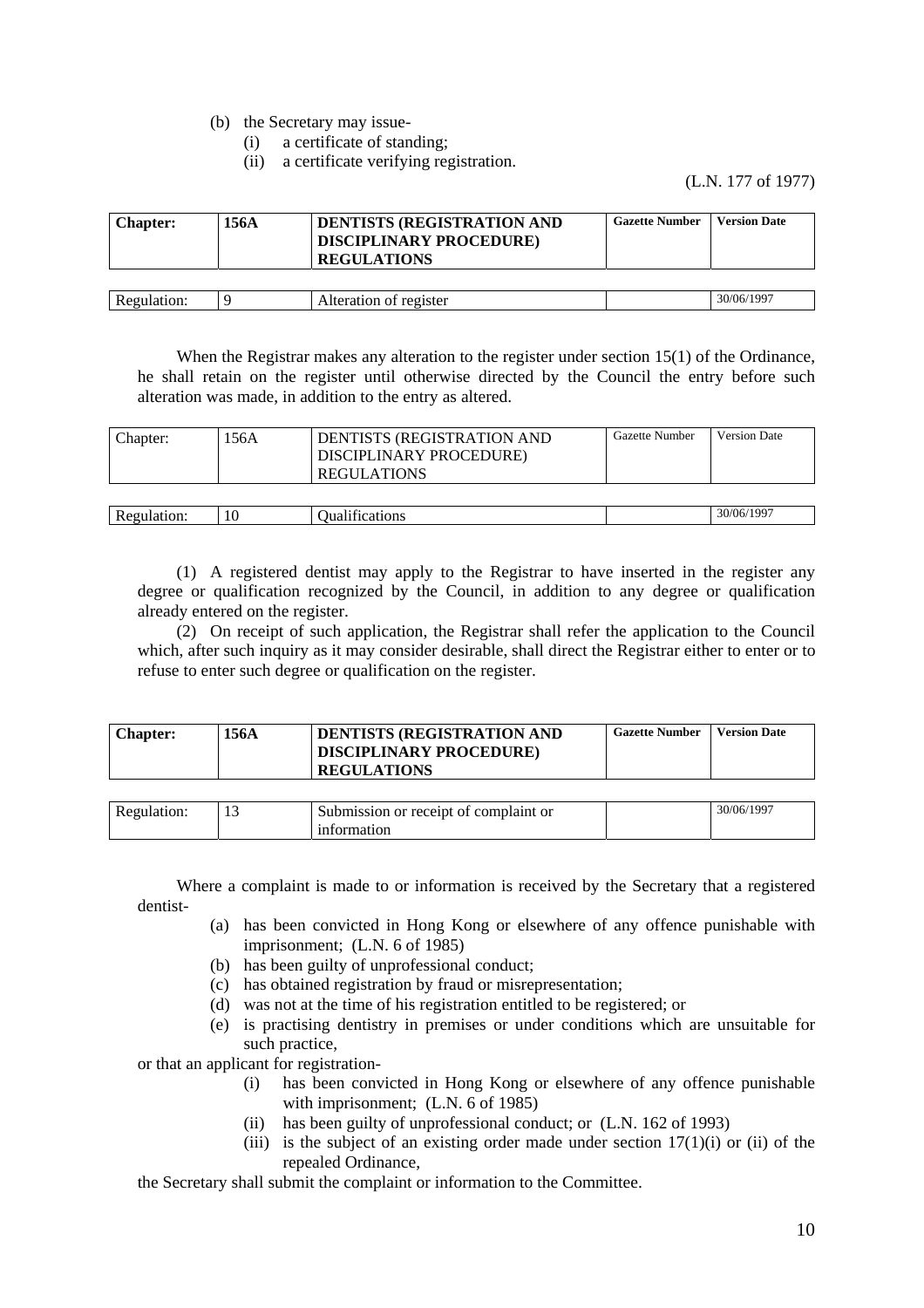(b) the Secretary may issue-

- (i) a certificate of standing;
- (ii) a certificate verifying registration.

(L.N. 177 of 1977)

| <b>Chapter:</b> | 156A | <b>DENTISTS (REGISTRATION AND</b><br><b>DISCIPLINARY PROCEDURE)</b><br><b>REGULATIONS</b> | <b>Gazette Number</b> | <b>Version Date</b> |
|-----------------|------|-------------------------------------------------------------------------------------------|-----------------------|---------------------|
|                 |      |                                                                                           |                       |                     |
| Regulation:     | Q    | Alteration of register                                                                    |                       | 30/06/1997          |

When the Registrar makes any alteration to the register under section 15(1) of the Ordinance, he shall retain on the register until otherwise directed by the Council the entry before such alteration was made, in addition to the entry as altered.

| Chapter:    | .56A | DENTISTS (REGISTRATION AND<br>DISCIPLINARY PROCEDURE)<br><b>REGULATIONS</b> | Gazette Number | <b>Version Date</b> |
|-------------|------|-----------------------------------------------------------------------------|----------------|---------------------|
| Regulation: | 10   | Oualifications                                                              |                | 30/06/1997          |

(1) A registered dentist may apply to the Registrar to have inserted in the register any degree or qualification recognized by the Council, in addition to any degree or qualification already entered on the register.

(2) On receipt of such application, the Registrar shall refer the application to the Council which, after such inquiry as it may consider desirable, shall direct the Registrar either to enter or to refuse to enter such degree or qualification on the register.

| <b>Chapter:</b> | 156A | DENTISTS (REGISTRATION AND<br><b>DISCIPLINARY PROCEDURE)</b> | <b>Gazette Number</b> | <b>Version Date</b> |
|-----------------|------|--------------------------------------------------------------|-----------------------|---------------------|
|                 |      | <b>REGULATIONS</b>                                           |                       |                     |

| RAGU<br>uation. | <br>$\sim$<br>Submission or receipt of complaint or | 6/1997<br>30/06/ |
|-----------------|-----------------------------------------------------|------------------|
|                 | rmation                                             |                  |

Where a complaint is made to or information is received by the Secretary that a registered dentist-

- (a) has been convicted in Hong Kong or elsewhere of any offence punishable with imprisonment; (L.N. 6 of 1985)
- (b) has been guilty of unprofessional conduct;
- (c) has obtained registration by fraud or misrepresentation;
- (d) was not at the time of his registration entitled to be registered; or
- (e) is practising dentistry in premises or under conditions which are unsuitable for such practice,

or that an applicant for registration-

- (i) has been convicted in Hong Kong or elsewhere of any offence punishable with imprisonment; (L.N. 6 of 1985)
- (ii) has been guilty of unprofessional conduct; or (L.N. 162 of 1993)
- (iii) is the subject of an existing order made under section  $17(1)(i)$  or (ii) of the repealed Ordinance,

the Secretary shall submit the complaint or information to the Committee.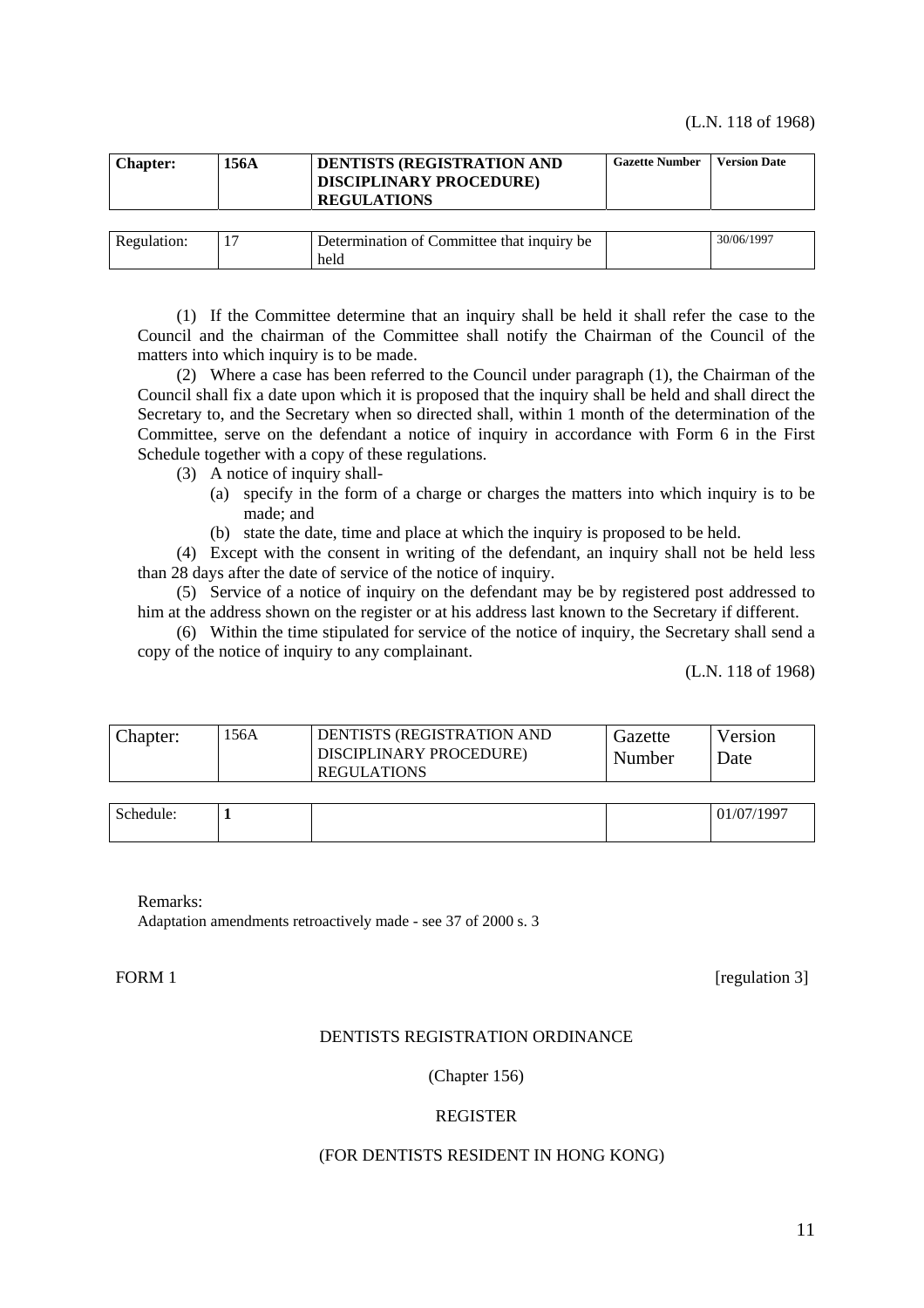| <b>Chapter:</b> | 156A | <b>DENTISTS (REGISTRATION AND</b><br><b>DISCIPLINARY PROCEDURE)</b><br><b>REGULATIONS</b> | <b>Gazette Number</b> | <b>Version Date</b> |
|-----------------|------|-------------------------------------------------------------------------------------------|-----------------------|---------------------|
|                 |      |                                                                                           |                       |                     |
| Regulation:     |      | Determination of Committee that inquiry be                                                |                       | 30/06/1997          |
|                 |      | held                                                                                      |                       |                     |

(1) If the Committee determine that an inquiry shall be held it shall refer the case to the Council and the chairman of the Committee shall notify the Chairman of the Council of the matters into which inquiry is to be made.

(2) Where a case has been referred to the Council under paragraph (1), the Chairman of the Council shall fix a date upon which it is proposed that the inquiry shall be held and shall direct the Secretary to, and the Secretary when so directed shall, within 1 month of the determination of the Committee, serve on the defendant a notice of inquiry in accordance with Form 6 in the First Schedule together with a copy of these regulations.

- (3) A notice of inquiry shall-
	- (a) specify in the form of a charge or charges the matters into which inquiry is to be made; and
	- (b) state the date, time and place at which the inquiry is proposed to be held.

(4) Except with the consent in writing of the defendant, an inquiry shall not be held less than 28 days after the date of service of the notice of inquiry.

(5) Service of a notice of inquiry on the defendant may be by registered post addressed to him at the address shown on the register or at his address last known to the Secretary if different.

(6) Within the time stipulated for service of the notice of inquiry, the Secretary shall send a copy of the notice of inquiry to any complainant.

(L.N. 118 of 1968)

| .56A<br>DENTISTS (REGISTRATION AND<br>Chapter:<br>DISCIPLINARY PROCEDURE)<br><b>REGULATIONS</b> | Gazette<br>Number | Version<br>Jate |
|-------------------------------------------------------------------------------------------------|-------------------|-----------------|
|-------------------------------------------------------------------------------------------------|-------------------|-----------------|

| Schedule:<br>. | - |  | 01/07/1997 |
|----------------|---|--|------------|
|                |   |  |            |

Remarks:

Adaptation amendments retroactively made - see 37 of 2000 s. 3

FORM 1 [regulation 3]

### DENTISTS REGISTRATION ORDINANCE

### (Chapter 156)

### REGISTER

#### (FOR DENTISTS RESIDENT IN HONG KONG)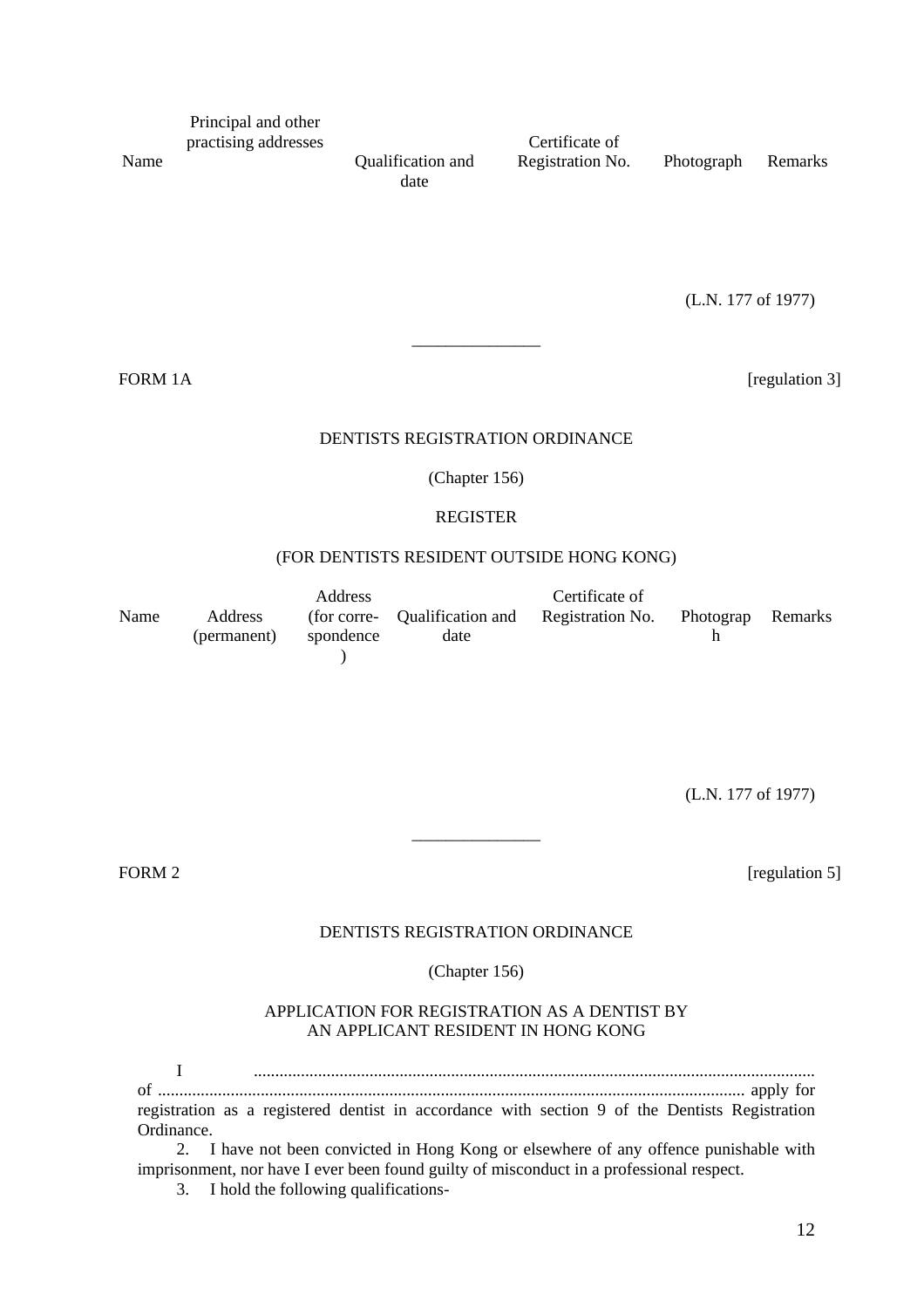Name Principal and other practising addresses Qualification and date Certificate of Registration No. Photograph Remarks

(L.N. 177 of 1977)

FORM 1A [regulation 3]

### DENTISTS REGISTRATION ORDINANCE

\_\_\_\_\_\_\_\_\_\_\_\_\_\_\_

(Chapter 156)

### REGISTER

# (FOR DENTISTS RESIDENT OUTSIDE HONG KONG)

|      |             | Address   |                                                | Certificate of |                   |  |
|------|-------------|-----------|------------------------------------------------|----------------|-------------------|--|
| Name | Address     |           | (for corre- Qualification and Registration No. |                | Photograp Remarks |  |
|      | (permanent) | spondence | date                                           |                |                   |  |
|      |             |           |                                                |                |                   |  |

(L.N. 177 of 1977)

FORM 2 [regulation 5]

# DENTISTS REGISTRATION ORDINANCE

\_\_\_\_\_\_\_\_\_\_\_\_\_\_\_

(Chapter 156)

# APPLICATION FOR REGISTRATION AS A DENTIST BY AN APPLICANT RESIDENT IN HONG KONG

I ................................................................................................................................... of ......................................................................................................................................... apply for registration as a registered dentist in accordance with section 9 of the Dentists Registration Ordinance.

2. I have not been convicted in Hong Kong or elsewhere of any offence punishable with imprisonment, nor have I ever been found guilty of misconduct in a professional respect.

3. I hold the following qualifications-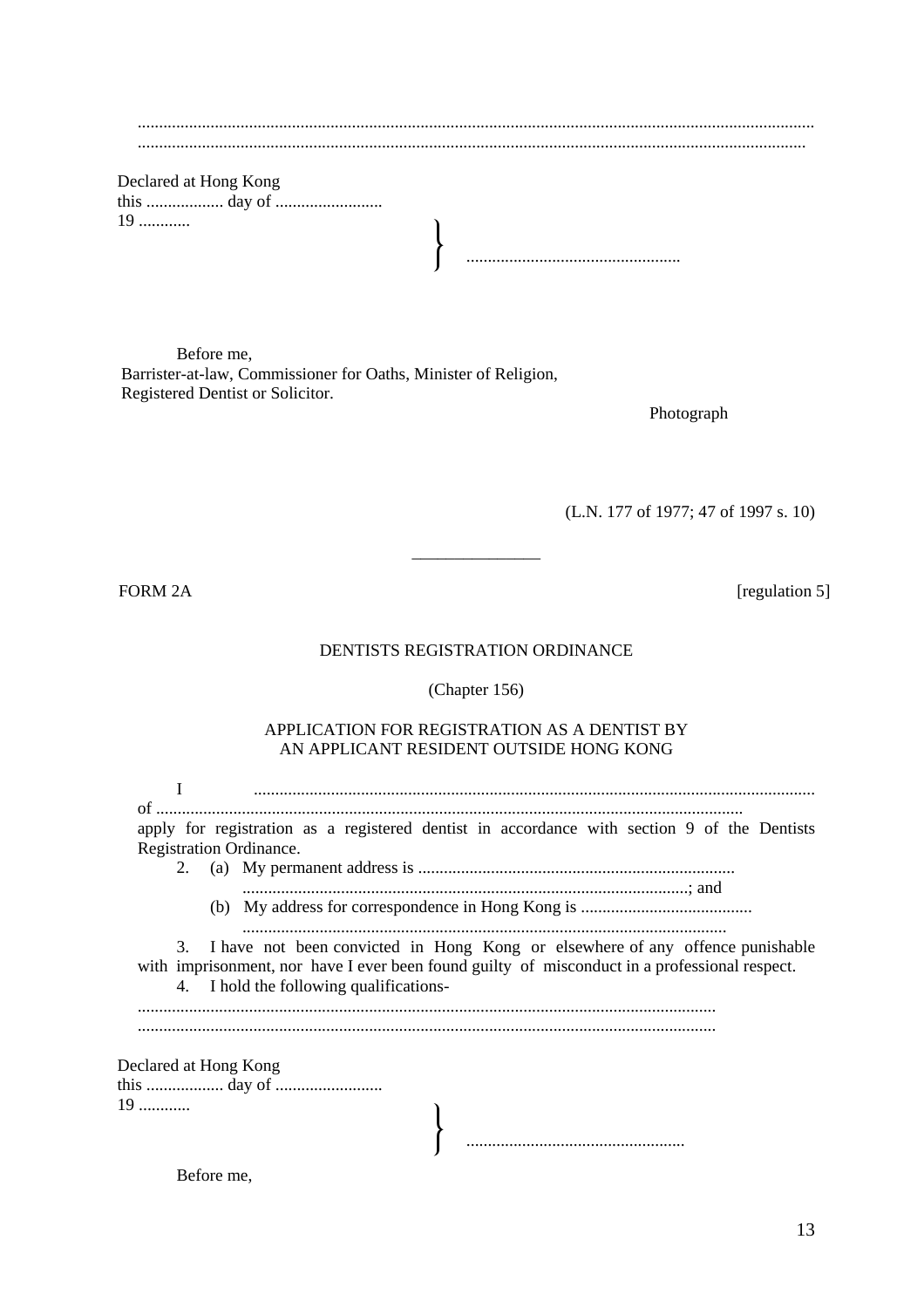| 19 |  |
|----|--|
|    |  |

Before me, Barrister-at-law, Commissioner for Oaths, Minister of Religion, Registered Dentist or Solicitor.

Photograph

(L.N. 177 of 1977; 47 of 1997 s. 10)

FORM 2A [regulation 5]

### DENTISTS REGISTRATION ORDINANCE

\_\_\_\_\_\_\_\_\_\_\_\_\_\_\_

(Chapter 156)

# APPLICATION FOR REGISTRATION AS A DENTIST BY AN APPLICANT RESIDENT OUTSIDE HONG KONG

| of.                           |                                                                                                                                                                                                                              |
|-------------------------------|------------------------------------------------------------------------------------------------------------------------------------------------------------------------------------------------------------------------------|
|                               | apply for registration as a registered dentist in accordance with section 9 of the Dentists<br>Registration Ordinance.                                                                                                       |
|                               |                                                                                                                                                                                                                              |
|                               |                                                                                                                                                                                                                              |
|                               | 3. I have not been convicted in Hong Kong or elsewhere of any offence punishable<br>with imprisonment, nor have I ever been found guilty of misconduct in a professional respect.<br>4. I hold the following qualifications- |
| Declared at Hong Kong<br>$19$ |                                                                                                                                                                                                                              |

Before me,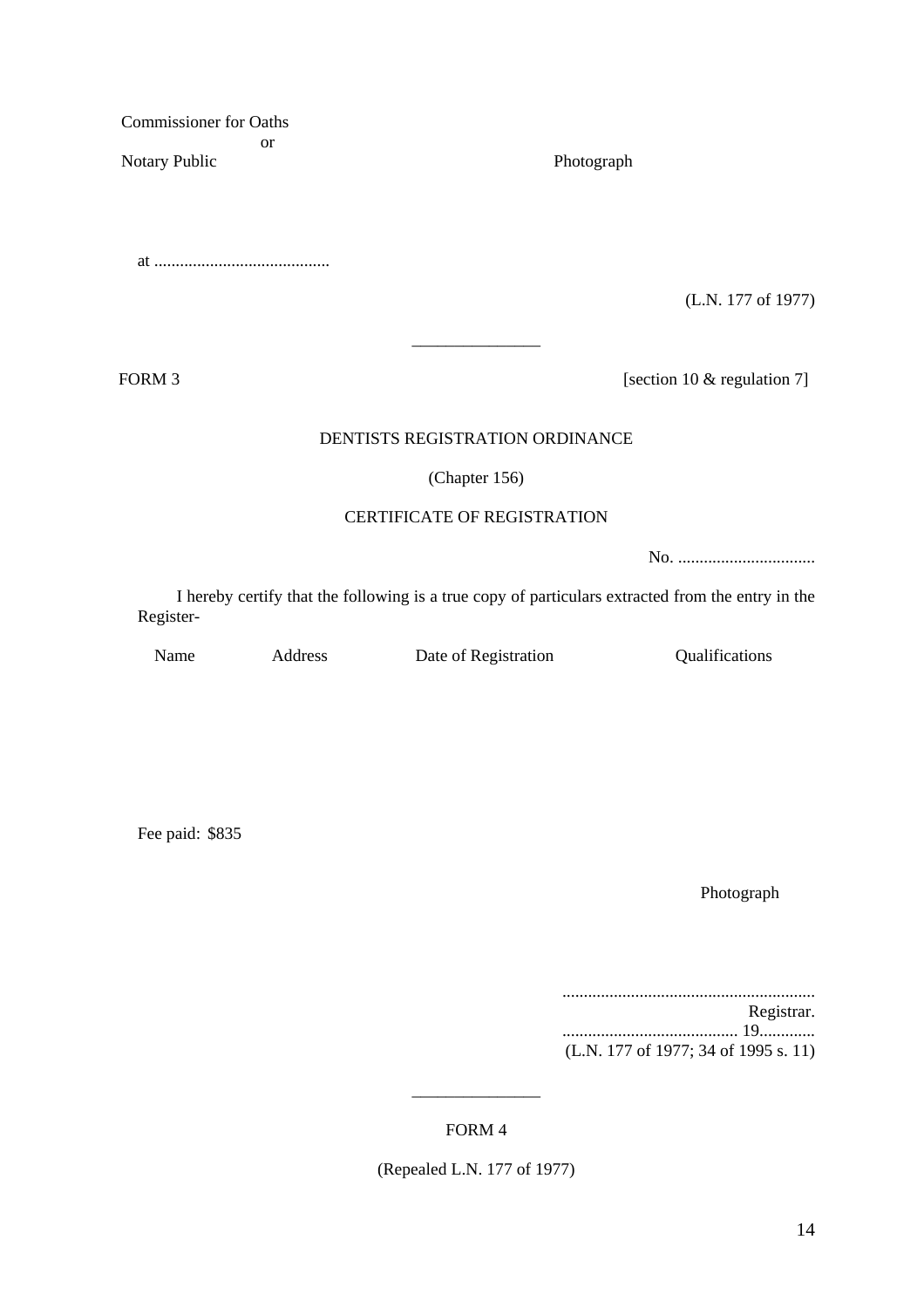Commissioner for Oaths or Notary Public Photograph

at .........................................

(L.N. 177 of 1977)

FORM 3 [section 10 & regulation 7]

# DENTISTS REGISTRATION ORDINANCE

\_\_\_\_\_\_\_\_\_\_\_\_\_\_\_

# (Chapter 156)

### CERTIFICATE OF REGISTRATION

No. ................................

I hereby certify that the following is a true copy of particulars extracted from the entry in the Register-

Name Address Date of Registration Qualifications

Fee paid: \$835

Photograph

........................................................... Registrar.

......................................... 19............. (L.N. 177 of 1977; 34 of 1995 s. 11)

# FORM 4

\_\_\_\_\_\_\_\_\_\_\_\_\_\_\_

(Repealed L.N. 177 of 1977)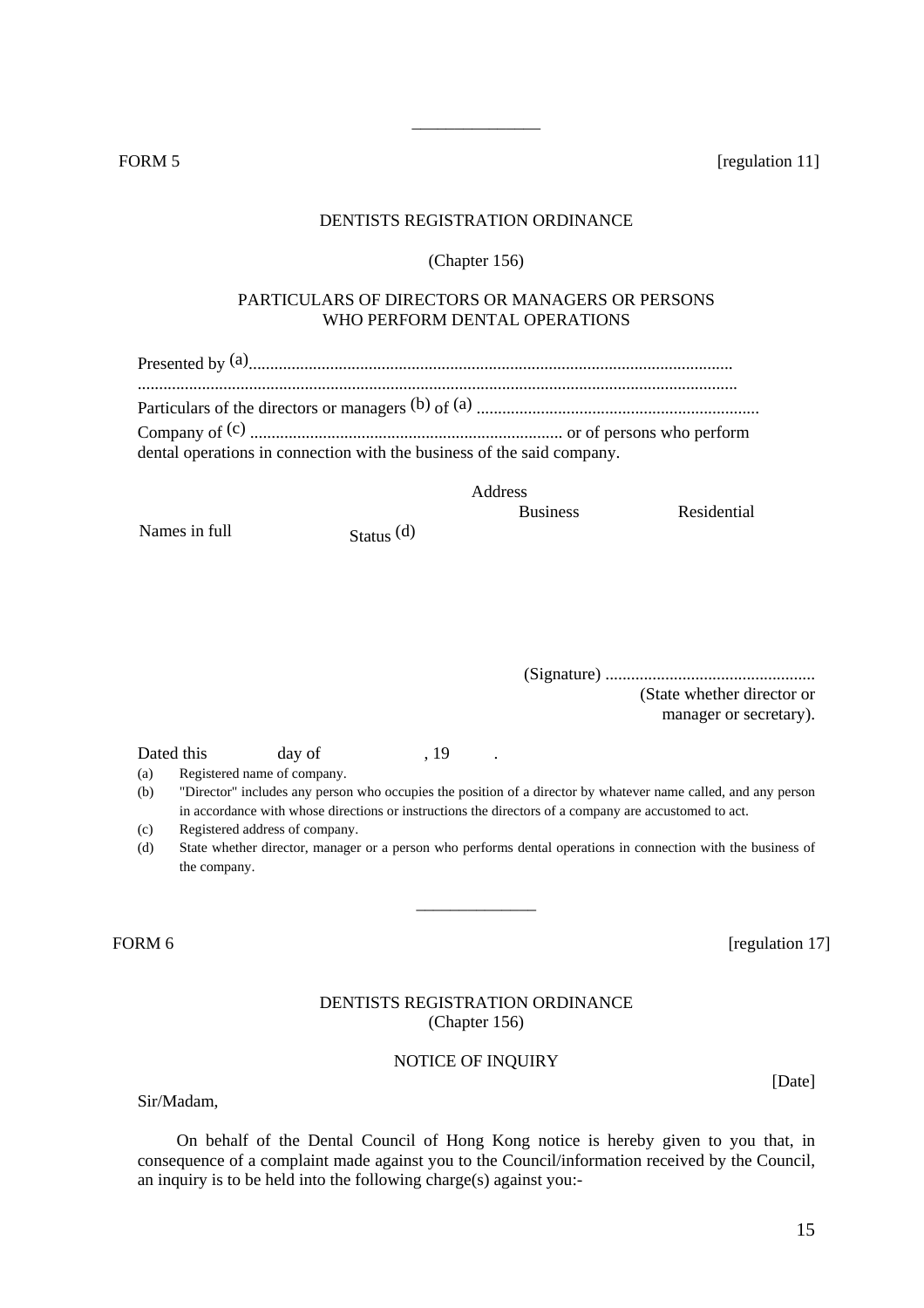FORM 5 [regulation 11]

#### DENTISTS REGISTRATION ORDINANCE

\_\_\_\_\_\_\_\_\_\_\_\_\_\_\_

#### (Chapter 156)

# PARTICULARS OF DIRECTORS OR MANAGERS OR PERSONS WHO PERFORM DENTAL OPERATIONS

| dental operations in connection with the business of the said company. |  |
|------------------------------------------------------------------------|--|

Address

Business Residential

Names in full Status (d)

(Signature) ................................................. (State whether director or manager or secretary).

Dated this day of , 19 .

- (a) Registered name of company.
- (b) "Director" includes any person who occupies the position of a director by whatever name called, and any person in accordance with whose directions or instructions the directors of a company are accustomed to act.
- (c) Registered address of company.
- (d) State whether director, manager or a person who performs dental operations in connection with the business of the company.

\_\_\_\_\_\_\_\_\_\_\_\_\_\_

FORM 6 [regulation 17]

# DENTISTS REGISTRATION ORDINANCE (Chapter 156)

# NOTICE OF INQUIRY

Sir/Madam,

On behalf of the Dental Council of Hong Kong notice is hereby given to you that, in consequence of a complaint made against you to the Council/information received by the Council, an inquiry is to be held into the following charge(s) against you:-

15

[Date]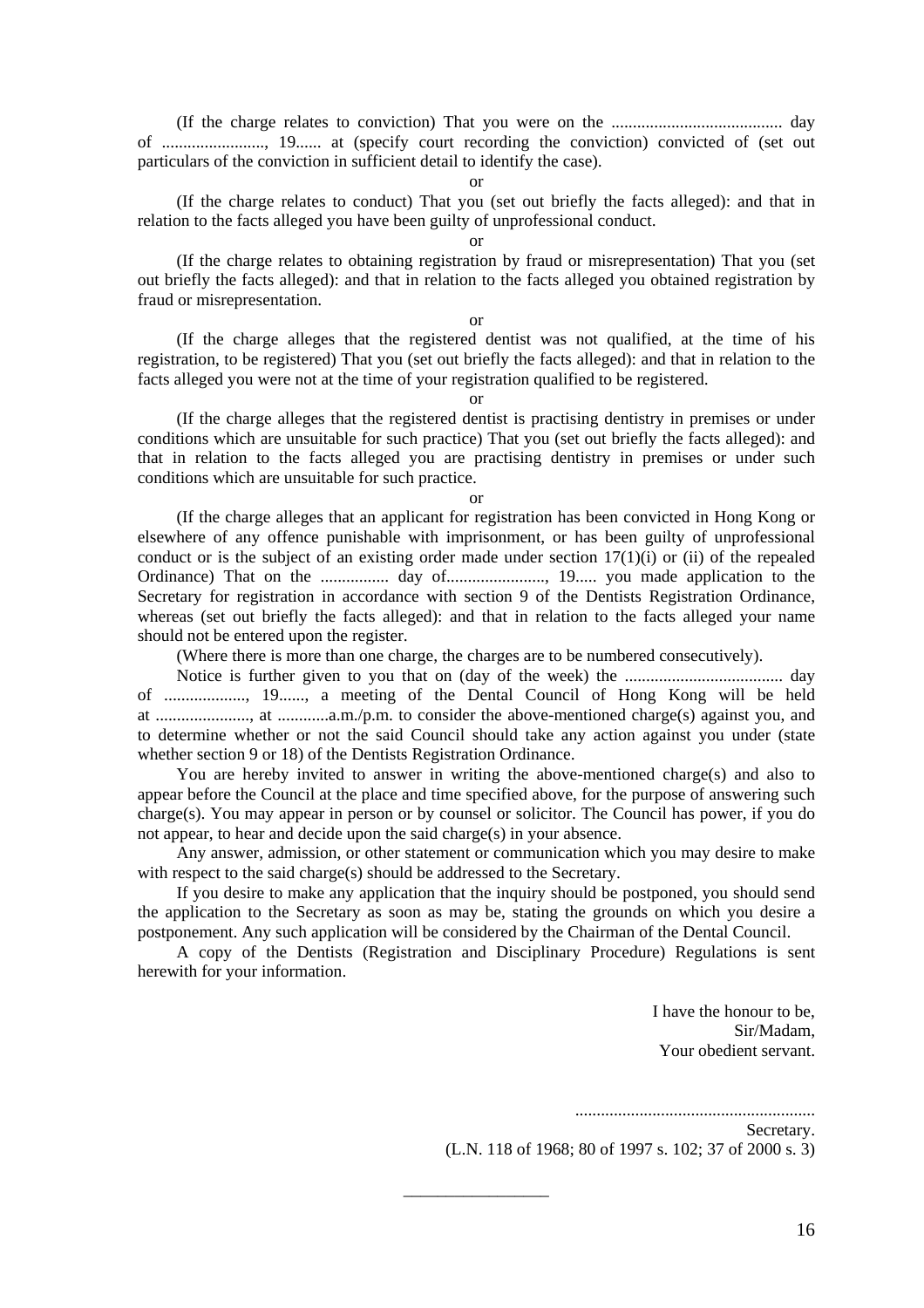(If the charge relates to conviction) That you were on the ........................................ day of ........................, 19...... at (specify court recording the conviction) convicted of (set out particulars of the conviction in sufficient detail to identify the case).

# or

(If the charge relates to conduct) That you (set out briefly the facts alleged): and that in relation to the facts alleged you have been guilty of unprofessional conduct.

or

(If the charge relates to obtaining registration by fraud or misrepresentation) That you (set out briefly the facts alleged): and that in relation to the facts alleged you obtained registration by fraud or misrepresentation.

#### or

(If the charge alleges that the registered dentist was not qualified, at the time of his registration, to be registered) That you (set out briefly the facts alleged): and that in relation to the facts alleged you were not at the time of your registration qualified to be registered.

or

(If the charge alleges that the registered dentist is practising dentistry in premises or under conditions which are unsuitable for such practice) That you (set out briefly the facts alleged): and that in relation to the facts alleged you are practising dentistry in premises or under such conditions which are unsuitable for such practice.

or

(If the charge alleges that an applicant for registration has been convicted in Hong Kong or elsewhere of any offence punishable with imprisonment, or has been guilty of unprofessional conduct or is the subject of an existing order made under section  $17(1)(i)$  or (ii) of the repealed Ordinance) That on the ................ day of......................., 19..... you made application to the Secretary for registration in accordance with section 9 of the Dentists Registration Ordinance, whereas (set out briefly the facts alleged): and that in relation to the facts alleged your name should not be entered upon the register.

(Where there is more than one charge, the charges are to be numbered consecutively).

Notice is further given to you that on (day of the week) the ..................................... day of ..................., 19......, a meeting of the Dental Council of Hong Kong will be held at ......................, at ............a.m./p.m. to consider the above-mentioned charge(s) against you, and to determine whether or not the said Council should take any action against you under (state whether section 9 or 18) of the Dentists Registration Ordinance.

You are hereby invited to answer in writing the above-mentioned charge(s) and also to appear before the Council at the place and time specified above, for the purpose of answering such charge(s). You may appear in person or by counsel or solicitor. The Council has power, if you do not appear, to hear and decide upon the said charge(s) in your absence.

Any answer, admission, or other statement or communication which you may desire to make with respect to the said charge(s) should be addressed to the Secretary.

If you desire to make any application that the inquiry should be postponed, you should send the application to the Secretary as soon as may be, stating the grounds on which you desire a postponement. Any such application will be considered by the Chairman of the Dental Council.

A copy of the Dentists (Registration and Disciplinary Procedure) Regulations is sent herewith for your information.

\_\_\_\_\_\_\_\_\_\_\_\_\_\_\_\_\_

I have the honour to be, Sir/Madam, Your obedient servant.

........................................................

#### Secretary.

(L.N. 118 of 1968; 80 of 1997 s. 102; 37 of 2000 s. 3)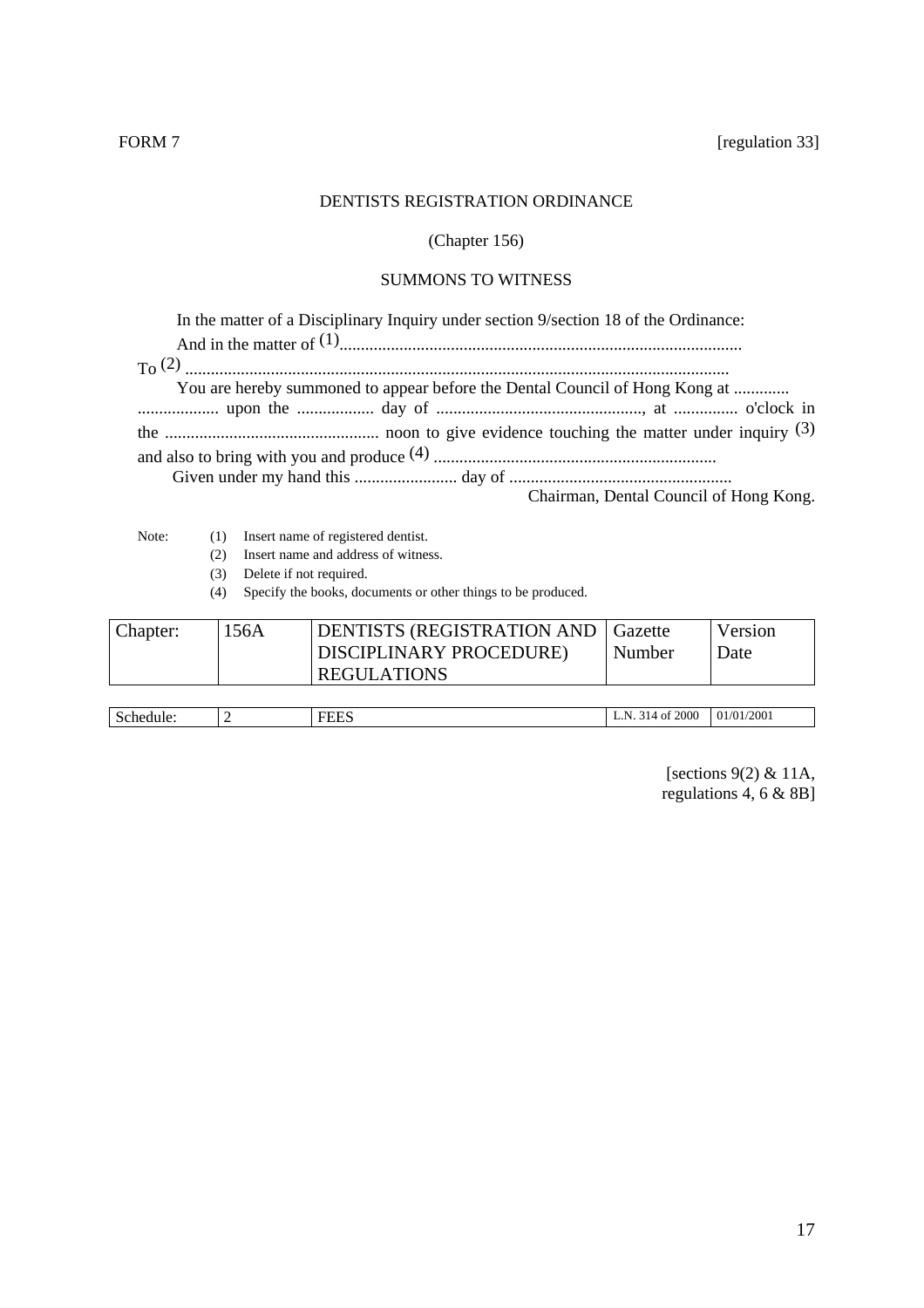# DENTISTS REGISTRATION ORDINANCE

# (Chapter 156)

# SUMMONS TO WITNESS

| In the matter of a Disciplinary Inquiry under section 9/section 18 of the Ordinance: |
|--------------------------------------------------------------------------------------|
|                                                                                      |
|                                                                                      |
| You are hereby summoned to appear before the Dental Council of Hong Kong at          |
|                                                                                      |
|                                                                                      |
|                                                                                      |
| Chairman, Dental Council of Hong Kong.                                               |

- Note: (1) Insert name of registered dentist.
	- (2) Insert name and address of witness.
	- (3) Delete if not required.

(4) Specify the books, documents or other things to be produced.

| Chapter: | 156A | <b>DENTISTS (REGISTRATION AND Gazette)</b> |        | Version |
|----------|------|--------------------------------------------|--------|---------|
|          |      | DISCIPLINARY PROCEDURE)                    | Number | Date    |
|          |      | <b>REGULATIONS</b>                         |        |         |
|          |      |                                            |        |         |

| Ñ |  | 000<br>N | /2001<br>70 T<br>$^{\prime\prime}$ |
|---|--|----------|------------------------------------|
|   |  |          |                                    |

[sections 9(2) & 11A, regulations  $4, 6 & 8B$ ]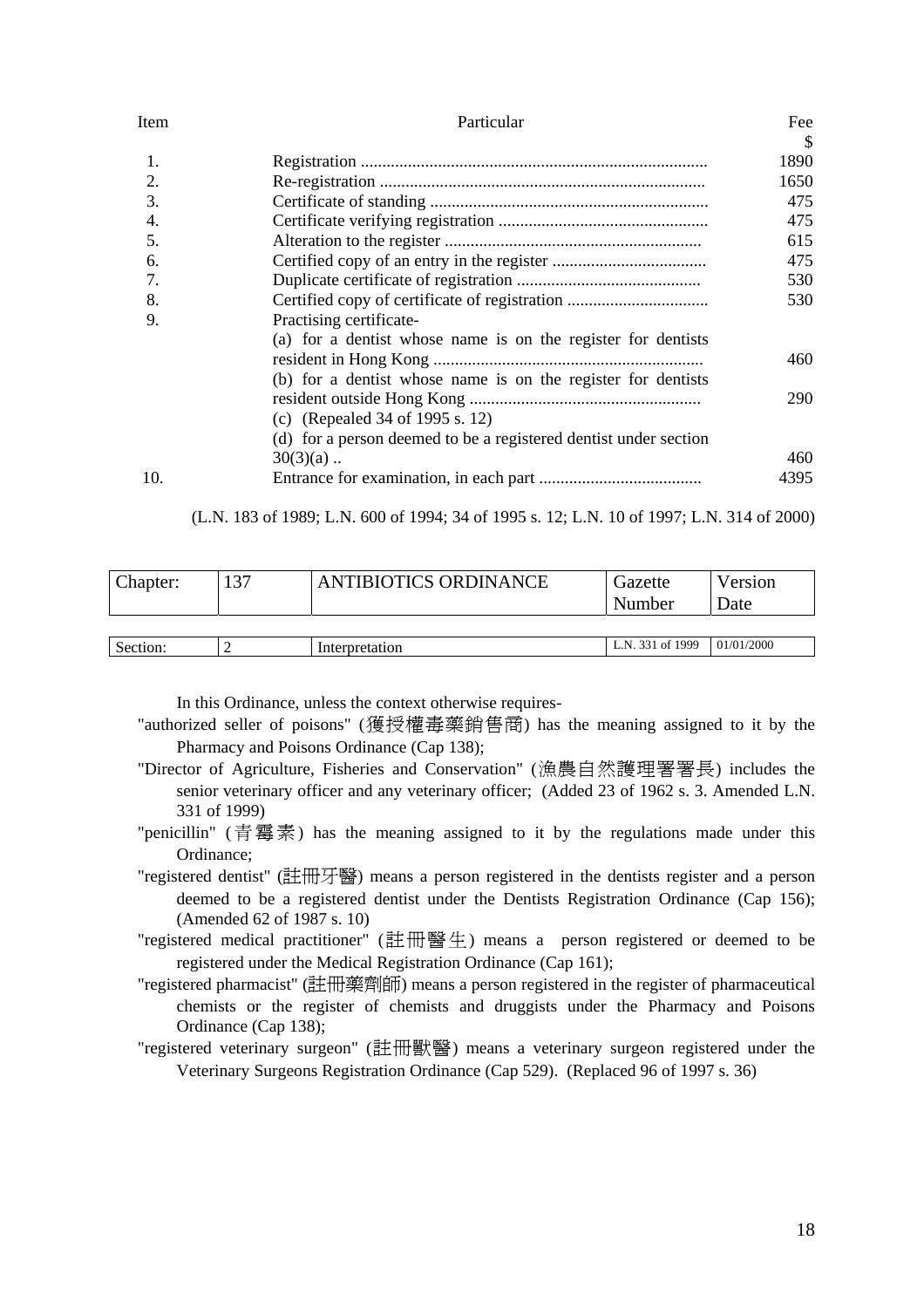| Item | Particular                                                       |               |
|------|------------------------------------------------------------------|---------------|
|      |                                                                  | <sup>\$</sup> |
| 1.   |                                                                  | 1890          |
| 2.   |                                                                  | 1650          |
| 3.   |                                                                  | 475           |
| 4.   |                                                                  | 475           |
| .5.  |                                                                  | 615           |
| 6.   |                                                                  | 475           |
| 7.   |                                                                  | 530           |
| 8.   |                                                                  | 530           |
| 9.   | Practising certificate-                                          |               |
|      | (a) for a dentist whose name is on the register for dentists     |               |
|      |                                                                  | 460           |
|      | (b) for a dentist whose name is on the register for dentists     |               |
|      |                                                                  | 290           |
|      | (c) (Repealed 34 of 1995 s. 12)                                  |               |
|      | (d) for a person deemed to be a registered dentist under section |               |
|      | $30(3)(a)$                                                       | 460           |
| 10.  |                                                                  | 4395          |

(L.N. 183 of 1989; L.N. 600 of 1994; 34 of 1995 s. 12; L.N. 10 of 1997; L.N. 314 of 2000)

| Chapter: | 137 | ANTIBIOTICS ORDINANCE | Gazette<br>Number | Version<br><b>Date</b> |
|----------|-----|-----------------------|-------------------|------------------------|
|          |     |                       |                   |                        |
| Section: |     | Interpretation        | L.N. 331 of 1999  | 01/01/2000             |

In this Ordinance, unless the context otherwise requires-

- "authorized seller of poisons" (獲授權毒藥銷售商) has the meaning assigned to it by the Pharmacy and Poisons Ordinance (Cap 138);
- "Director of Agriculture, Fisheries and Conservation" (漁農自然護理署署長) includes the senior veterinary officer and any veterinary officer; (Added 23 of 1962 s. 3. Amended L.N. 331 of 1999)
- "penicillin" (青霉素) has the meaning assigned to it by the regulations made under this Ordinance;
- "registered dentist" (註冊牙醫) means a person registered in the dentists register and a person deemed to be a registered dentist under the Dentists Registration Ordinance (Cap 156); (Amended 62 of 1987 s. 10)
- "registered medical practitioner" (註冊醫生) means a person registered or deemed to be registered under the Medical Registration Ordinance (Cap 161);
- "registered pharmacist" (註冊藥劑師) means a person registered in the register of pharmaceutical chemists or the register of chemists and druggists under the Pharmacy and Poisons Ordinance (Cap 138);
- "registered veterinary surgeon" (註冊獸醫) means a veterinary surgeon registered under the Veterinary Surgeons Registration Ordinance (Cap 529). (Replaced 96 of 1997 s. 36)

18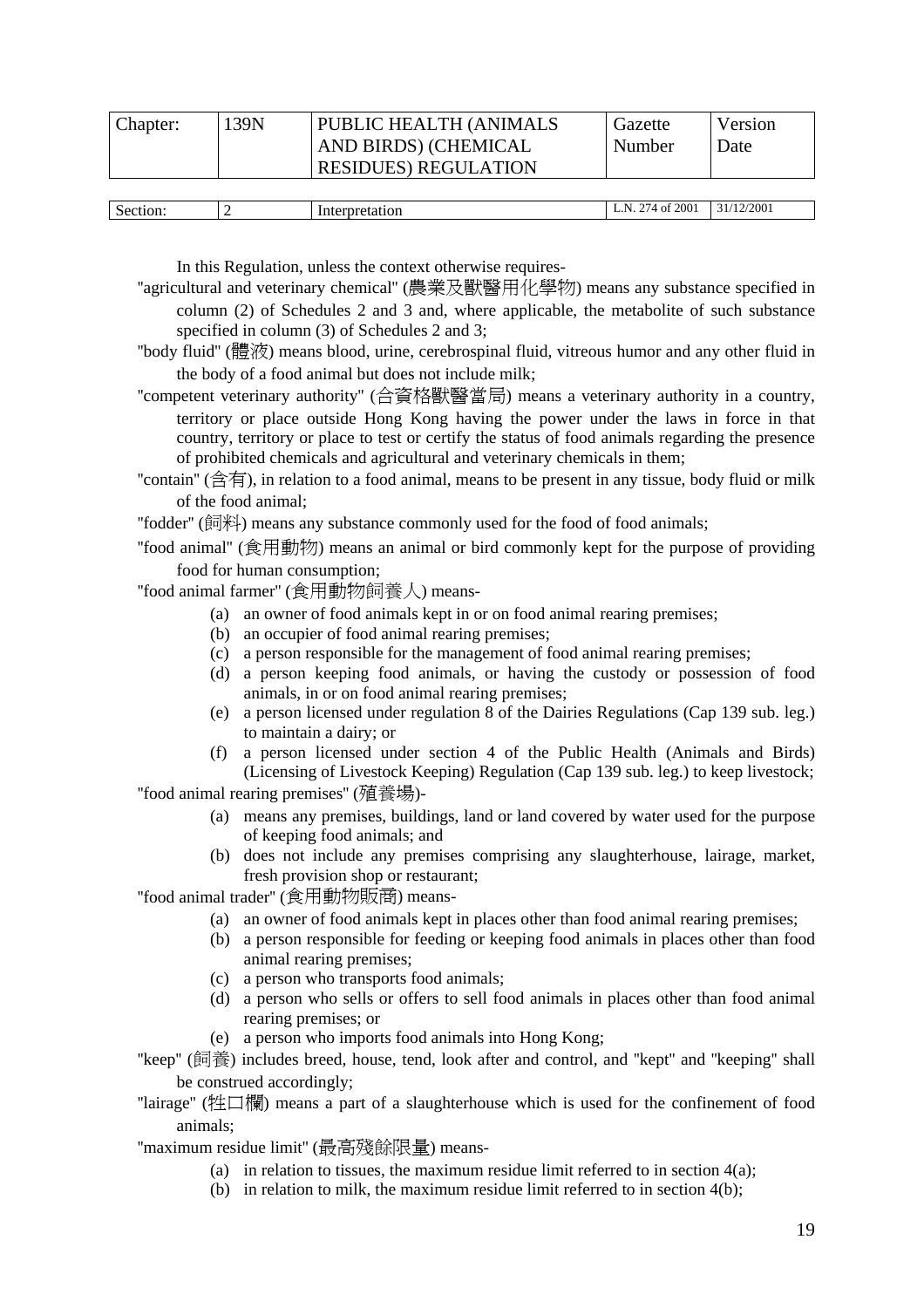| Chapter: | 139N | <b>PUBLIC HEALTH (ANIMALS)</b> | Gazette | Version |
|----------|------|--------------------------------|---------|---------|
|          |      | AND BIRDS) (CHEMICAL           | Number  | Date    |
|          |      | <b>RESIDUES) REGULATION</b>    |         |         |
|          |      |                                |         |         |

| Section: | Interpretation | f 2001<br>274.<br>N<br>' of<br>.<br>$\sim$ 1 | 31/12/2001 |
|----------|----------------|----------------------------------------------|------------|
|          |                |                                              |            |

In this Regulation, unless the context otherwise requires-

- ''agricultural and veterinary chemical'' (農業及獸醫用化學物) means any substance specified in column (2) of Schedules 2 and 3 and, where applicable, the metabolite of such substance specified in column (3) of Schedules 2 and 3;
- ''body fluid'' (體液) means blood, urine, cerebrospinal fluid, vitreous humor and any other fluid in the body of a food animal but does not include milk;
- ''competent veterinary authority'' (合資格獸醫當局) means a veterinary authority in a country, territory or place outside Hong Kong having the power under the laws in force in that country, territory or place to test or certify the status of food animals regarding the presence of prohibited chemicals and agricultural and veterinary chemicals in them;
- ''contain'' (含有), in relation to a food animal, means to be present in any tissue, body fluid or milk of the food animal;

''fodder'' (飼料) means any substance commonly used for the food of food animals;

''food animal'' (食用動物) means an animal or bird commonly kept for the purpose of providing food for human consumption;

''food animal farmer'' (食用動物飼養人) means-

- (a) an owner of food animals kept in or on food animal rearing premises;
- (b) an occupier of food animal rearing premises;
- (c) a person responsible for the management of food animal rearing premises;
- (d) a person keeping food animals, or having the custody or possession of food animals, in or on food animal rearing premises;
- (e) a person licensed under regulation 8 of the Dairies Regulations (Cap 139 sub. leg.) to maintain a dairy; or
- (f) a person licensed under section 4 of the Public Health (Animals and Birds) (Licensing of Livestock Keeping) Regulation (Cap 139 sub. leg.) to keep livestock;

''food animal rearing premises'' (殖養場)-

- (a) means any premises, buildings, land or land covered by water used for the purpose of keeping food animals; and
- (b) does not include any premises comprising any slaughterhouse, lairage, market, fresh provision shop or restaurant;

''food animal trader'' (食用動物販商) means-

- (a) an owner of food animals kept in places other than food animal rearing premises;
- (b) a person responsible for feeding or keeping food animals in places other than food animal rearing premises;
- (c) a person who transports food animals;
- (d) a person who sells or offers to sell food animals in places other than food animal rearing premises; or
- (e) a person who imports food animals into Hong Kong;
- "keep" (飼養) includes breed, house, tend, look after and control, and "kept" and "keeping" shall be construed accordingly;
- ''lairage'' (牲口欄) means a part of a slaughterhouse which is used for the confinement of food animals;

''maximum residue limit'' (最高殘餘限量) means-

- (a) in relation to tissues, the maximum residue limit referred to in section  $4(a)$ ;
- (b) in relation to milk, the maximum residue limit referred to in section 4(b);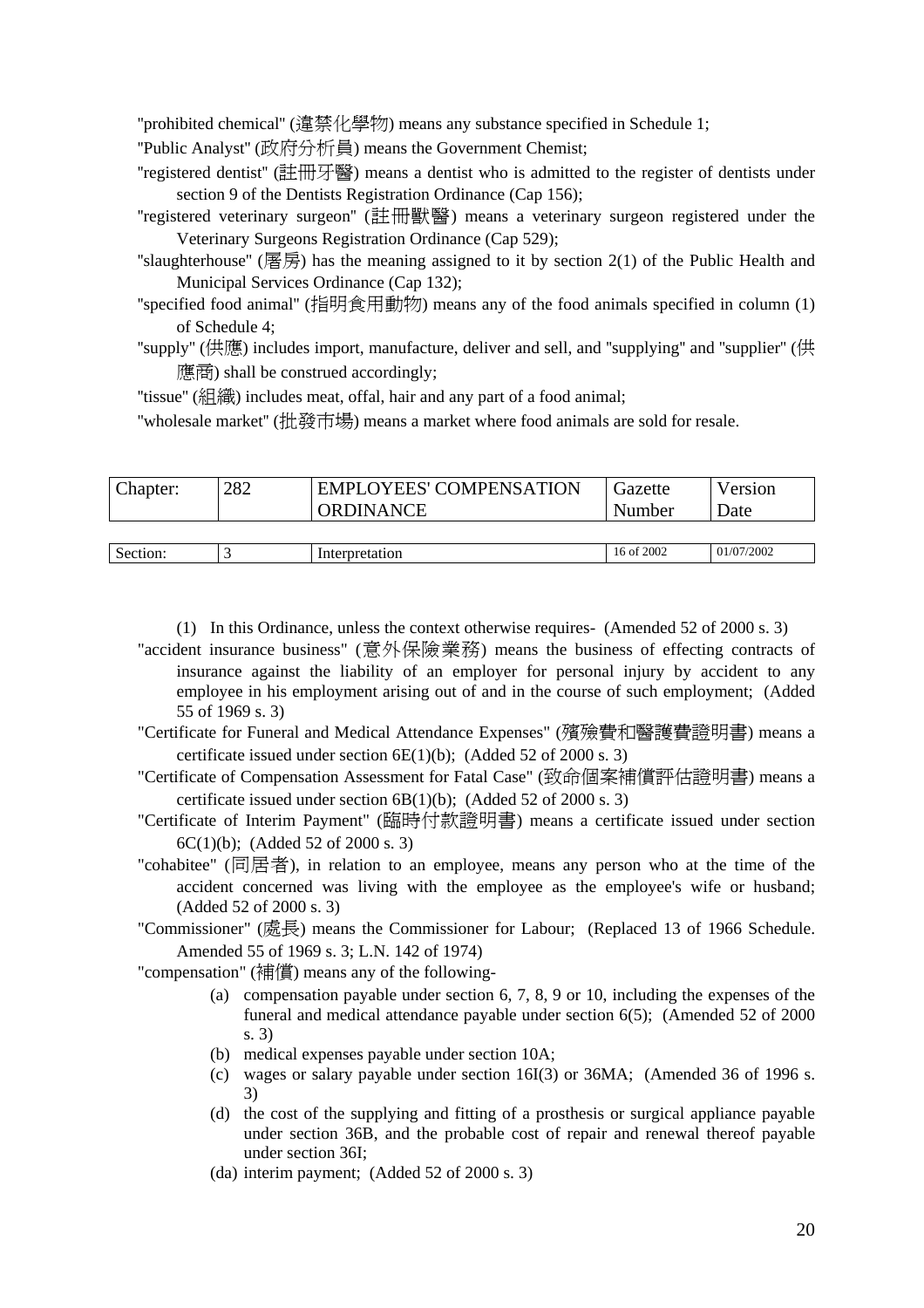''prohibited chemical'' (違禁化學物) means any substance specified in Schedule 1;

- ''Public Analyst'' (政府分析員) means the Government Chemist;
- ''registered dentist'' (註冊牙醫) means a dentist who is admitted to the register of dentists under section 9 of the Dentists Registration Ordinance (Cap 156);
- ''registered veterinary surgeon'' (註冊獸醫) means a veterinary surgeon registered under the Veterinary Surgeons Registration Ordinance (Cap 529);
- "slaughterhouse" (屠房) has the meaning assigned to it by section  $2(1)$  of the Public Health and Municipal Services Ordinance (Cap 132);
- ''specified food animal'' (指明食用動物) means any of the food animals specified in column (1) of Schedule 4;
- ''supply'' (供應) includes import, manufacture, deliver and sell, and ''supplying'' and ''supplier'' (供 應商) shall be construed accordingly;

''tissue'' (組織) includes meat, offal, hair and any part of a food animal;

''wholesale market'' (批發市場) means a market where food animals are sold for resale.

| Chapter: | 282 | <b>EMPLOYEES' COMPENSATION</b><br><b>ORDINANCE</b> | Gazette<br>Number | Version<br><b>Date</b> |
|----------|-----|----------------------------------------------------|-------------------|------------------------|
|          |     |                                                    |                   |                        |
| Section: |     | Interpretation                                     | 16 of 2002        | 01/07/2002             |

(1) In this Ordinance, unless the context otherwise requires- (Amended 52 of 2000 s. 3)

- "accident insurance business" (意外保險業務) means the business of effecting contracts of insurance against the liability of an employer for personal injury by accident to any employee in his employment arising out of and in the course of such employment; (Added 55 of 1969 s. 3)
- "Certificate for Funeral and Medical Attendance Expenses" (殯殮費和醫護費證明書) means a certificate issued under section 6E(1)(b); (Added 52 of 2000 s. 3)
- "Certificate of Compensation Assessment for Fatal Case" (致命個案補償評估證明書) means a certificate issued under section 6B(1)(b); (Added 52 of 2000 s. 3)
- "Certificate of Interim Payment" (臨時付款證明書) means a certificate issued under section 6C(1)(b); (Added 52 of 2000 s. 3)
- "cohabitee" (同居者), in relation to an employee, means any person who at the time of the accident concerned was living with the employee as the employee's wife or husband; (Added 52 of 2000 s. 3)
- "Commissioner" (處長) means the Commissioner for Labour; (Replaced 13 of 1966 Schedule. Amended 55 of 1969 s. 3; L.N. 142 of 1974)

"compensation" (補償) means any of the following-

- (a) compensation payable under section 6, 7, 8, 9 or 10, including the expenses of the funeral and medical attendance payable under section 6(5); (Amended 52 of 2000 s. 3)
- (b) medical expenses payable under section 10A;
- (c) wages or salary payable under section 16I(3) or 36MA; (Amended 36 of 1996 s. 3)
- (d) the cost of the supplying and fitting of a prosthesis or surgical appliance payable under section 36B, and the probable cost of repair and renewal thereof payable under section 36I;
- (da) interim payment; (Added 52 of 2000 s. 3)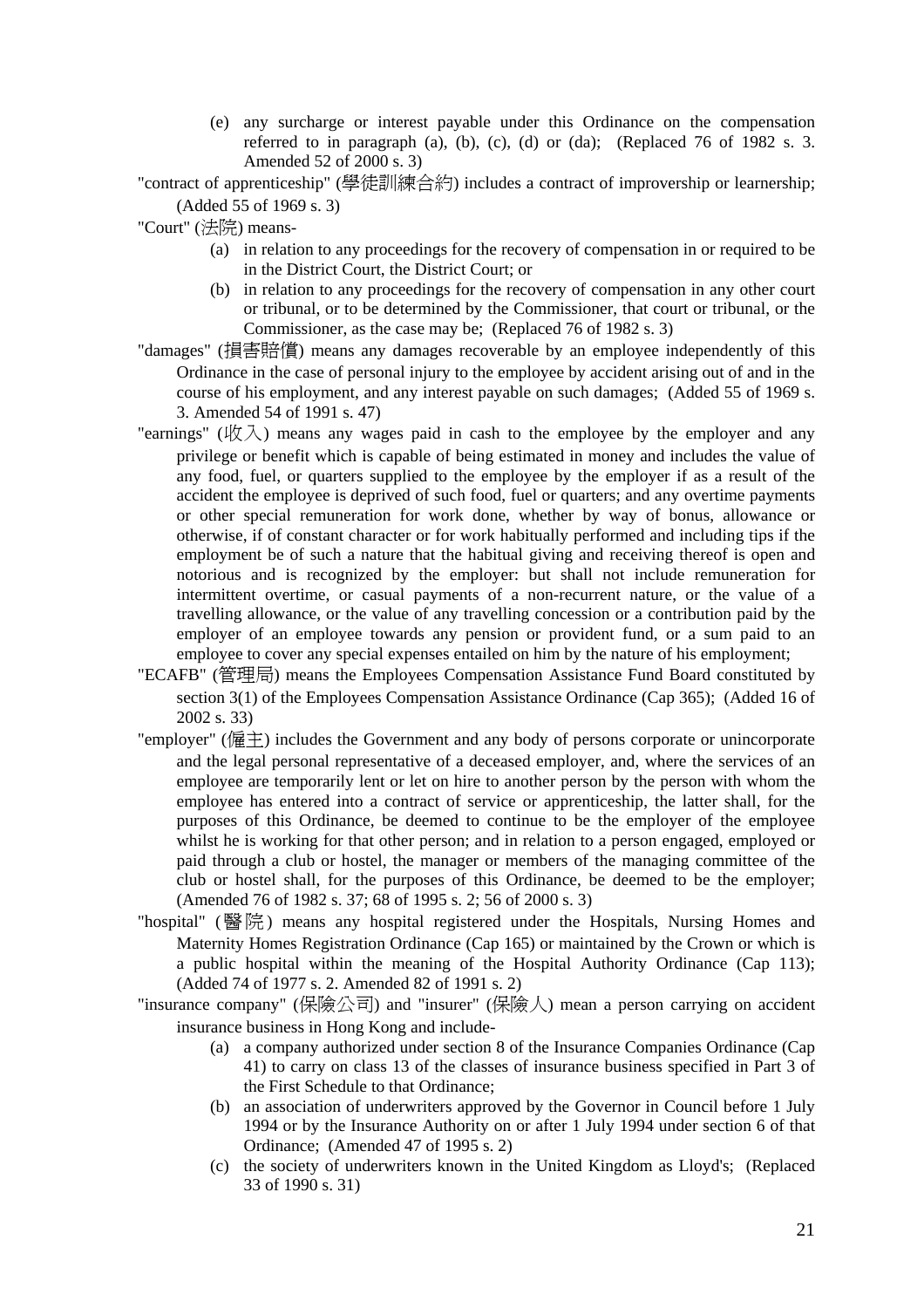(e) any surcharge or interest payable under this Ordinance on the compensation referred to in paragraph (a), (b), (c), (d) or (da); (Replaced 76 of 1982 s. 3. Amended 52 of 2000 s. 3)

"contract of apprenticeship" (學徒訓練合約) includes a contract of improvership or learnership; (Added 55 of 1969 s. 3)

"Court" (法院) means-

- (a) in relation to any proceedings for the recovery of compensation in or required to be in the District Court, the District Court; or
- (b) in relation to any proceedings for the recovery of compensation in any other court or tribunal, or to be determined by the Commissioner, that court or tribunal, or the Commissioner, as the case may be; (Replaced 76 of 1982 s. 3)
- "damages" (損害賠償) means any damages recoverable by an employee independently of this Ordinance in the case of personal injury to the employee by accident arising out of and in the course of his employment, and any interest payable on such damages; (Added 55 of 1969 s. 3. Amended 54 of 1991 s. 47)
- "earnings" (收入) means any wages paid in cash to the employee by the employer and any privilege or benefit which is capable of being estimated in money and includes the value of any food, fuel, or quarters supplied to the employee by the employer if as a result of the accident the employee is deprived of such food, fuel or quarters; and any overtime payments or other special remuneration for work done, whether by way of bonus, allowance or otherwise, if of constant character or for work habitually performed and including tips if the employment be of such a nature that the habitual giving and receiving thereof is open and notorious and is recognized by the employer: but shall not include remuneration for intermittent overtime, or casual payments of a non-recurrent nature, or the value of a travelling allowance, or the value of any travelling concession or a contribution paid by the employer of an employee towards any pension or provident fund, or a sum paid to an employee to cover any special expenses entailed on him by the nature of his employment;
- "ECAFB" (管理局) means the Employees Compensation Assistance Fund Board constituted by section 3(1) of the Employees Compensation Assistance Ordinance (Cap 365); (Added 16 of 2002 s. 33)
- "employer" (僱主) includes the Government and any body of persons corporate or unincorporate and the legal personal representative of a deceased employer, and, where the services of an employee are temporarily lent or let on hire to another person by the person with whom the employee has entered into a contract of service or apprenticeship, the latter shall, for the purposes of this Ordinance, be deemed to continue to be the employer of the employee whilst he is working for that other person; and in relation to a person engaged, employed or paid through a club or hostel, the manager or members of the managing committee of the club or hostel shall, for the purposes of this Ordinance, be deemed to be the employer; (Amended 76 of 1982 s. 37; 68 of 1995 s. 2; 56 of 2000 s. 3)
- "hospital" (醫院) means any hospital registered under the Hospitals, Nursing Homes and Maternity Homes Registration Ordinance (Cap 165) or maintained by the Crown or which is a public hospital within the meaning of the Hospital Authority Ordinance (Cap 113); (Added 74 of 1977 s. 2. Amended 82 of 1991 s. 2)
- "insurance company" (保險公司) and "insurer" (保險人) mean a person carrying on accident insurance business in Hong Kong and include-
	- (a) a company authorized under section 8 of the Insurance Companies Ordinance (Cap 41) to carry on class 13 of the classes of insurance business specified in Part 3 of the First Schedule to that Ordinance;
	- (b) an association of underwriters approved by the Governor in Council before 1 July 1994 or by the Insurance Authority on or after 1 July 1994 under section 6 of that Ordinance; (Amended 47 of 1995 s. 2)
	- (c) the society of underwriters known in the United Kingdom as Lloyd's; (Replaced 33 of 1990 s. 31)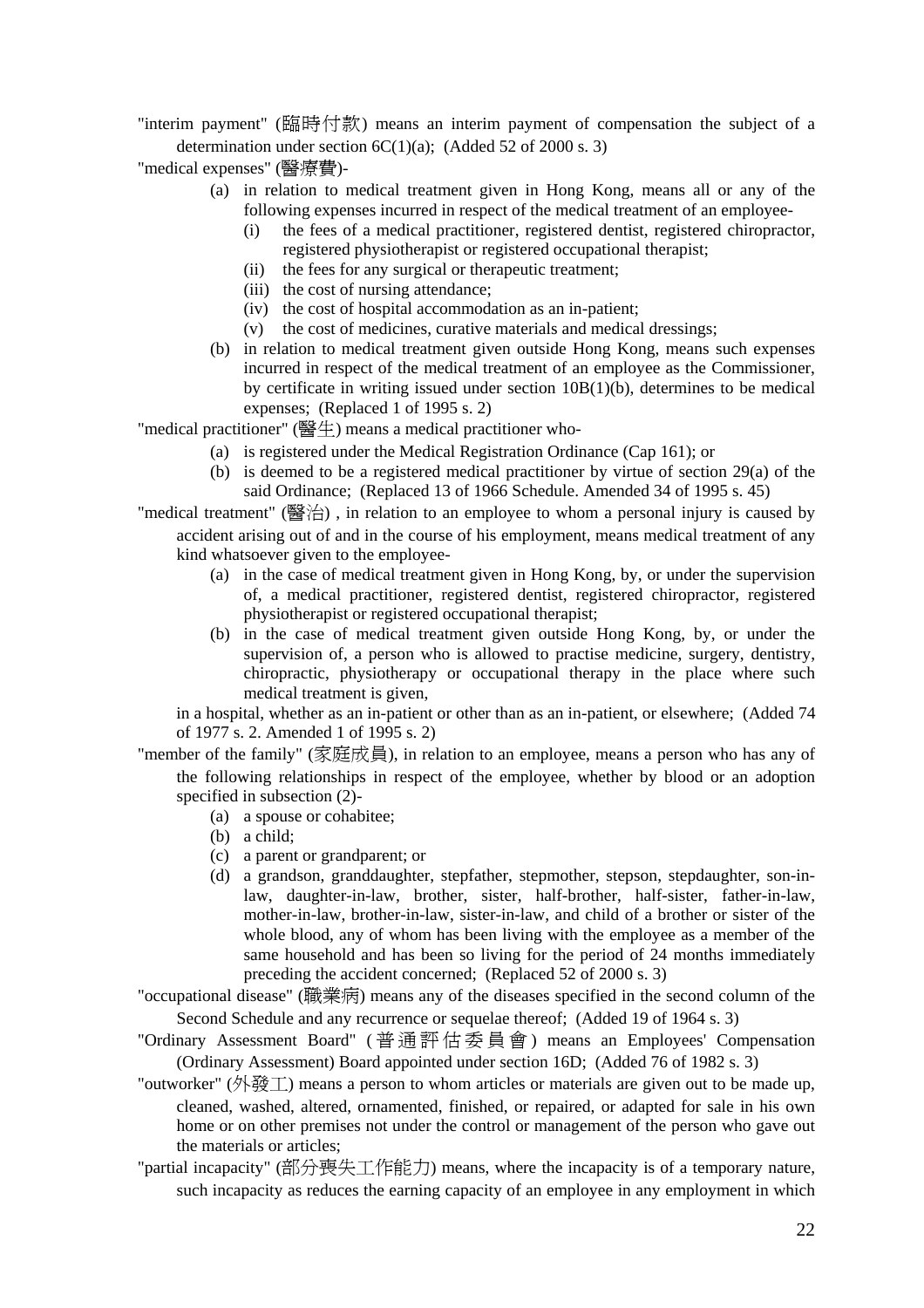"interim payment" (臨時付款) means an interim payment of compensation the subject of a determination under section  $6C(1)(a)$ ; (Added 52 of 2000 s. 3)

"medical expenses" (醫療費)-

- (a) in relation to medical treatment given in Hong Kong, means all or any of the following expenses incurred in respect of the medical treatment of an employee-
	- (i) the fees of a medical practitioner, registered dentist, registered chiropractor, registered physiotherapist or registered occupational therapist;
	- (ii) the fees for any surgical or therapeutic treatment;
	- (iii) the cost of nursing attendance;
	- (iv) the cost of hospital accommodation as an in-patient;
	- (v) the cost of medicines, curative materials and medical dressings;
- (b) in relation to medical treatment given outside Hong Kong, means such expenses incurred in respect of the medical treatment of an employee as the Commissioner, by certificate in writing issued under section 10B(1)(b), determines to be medical expenses; (Replaced 1 of 1995 s. 2)

"medical practitioner" (醫生) means a medical practitioner who-

- (a) is registered under the Medical Registration Ordinance (Cap 161); or
- (b) is deemed to be a registered medical practitioner by virtue of section 29(a) of the said Ordinance; (Replaced 13 of 1966 Schedule. Amended 34 of 1995 s. 45)
- "medical treatment" (醫治) , in relation to an employee to whom a personal injury is caused by accident arising out of and in the course of his employment, means medical treatment of any kind whatsoever given to the employee-
	- (a) in the case of medical treatment given in Hong Kong, by, or under the supervision of, a medical practitioner, registered dentist, registered chiropractor, registered physiotherapist or registered occupational therapist;
	- (b) in the case of medical treatment given outside Hong Kong, by, or under the supervision of, a person who is allowed to practise medicine, surgery, dentistry, chiropractic, physiotherapy or occupational therapy in the place where such medical treatment is given,

in a hospital, whether as an in-patient or other than as an in-patient, or elsewhere; (Added 74 of 1977 s. 2. Amended 1 of 1995 s. 2)

- "member of the family" (家庭成員), in relation to an employee, means a person who has any of the following relationships in respect of the employee, whether by blood or an adoption specified in subsection (2)-
	- (a) a spouse or cohabitee;
	- (b) a child;
	- (c) a parent or grandparent; or
	- (d) a grandson, granddaughter, stepfather, stepmother, stepson, stepdaughter, son-inlaw, daughter-in-law, brother, sister, half-brother, half-sister, father-in-law, mother-in-law, brother-in-law, sister-in-law, and child of a brother or sister of the whole blood, any of whom has been living with the employee as a member of the same household and has been so living for the period of 24 months immediately preceding the accident concerned; (Replaced 52 of 2000 s. 3)

"occupational disease" (職業病) means any of the diseases specified in the second column of the Second Schedule and any recurrence or sequelae thereof; (Added 19 of 1964 s. 3)

- "Ordinary Assessment Board" ( 普通評估委員會 ) means an Employees' Compensation (Ordinary Assessment) Board appointed under section 16D; (Added 76 of 1982 s. 3)
- "outworker" (外發工) means a person to whom articles or materials are given out to be made up, cleaned, washed, altered, ornamented, finished, or repaired, or adapted for sale in his own home or on other premises not under the control or management of the person who gave out the materials or articles;
- "partial incapacity" (部分喪失工作能力) means, where the incapacity is of a temporary nature, such incapacity as reduces the earning capacity of an employee in any employment in which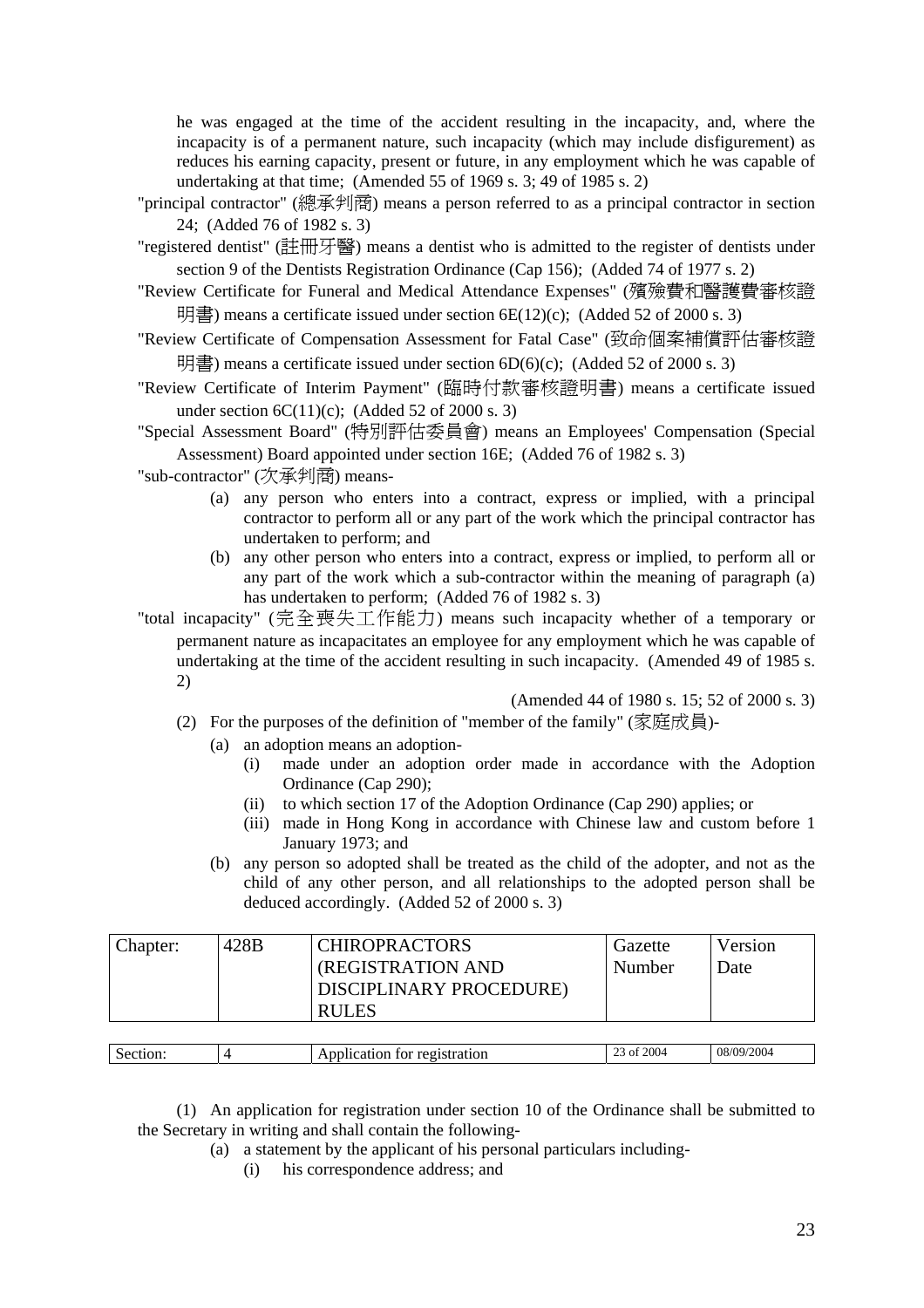he was engaged at the time of the accident resulting in the incapacity, and, where the incapacity is of a permanent nature, such incapacity (which may include disfigurement) as reduces his earning capacity, present or future, in any employment which he was capable of undertaking at that time; (Amended 55 of 1969 s. 3; 49 of 1985 s. 2)

- "principal contractor" (總承判商) means a person referred to as a principal contractor in section 24; (Added 76 of 1982 s. 3)
- "registered dentist" (註冊牙醫) means a dentist who is admitted to the register of dentists under section 9 of the Dentists Registration Ordinance (Cap 156); (Added 74 of 1977 s. 2)
- "Review Certificate for Funeral and Medical Attendance Expenses" (殯殮費和醫護費審核證 明書) means a certificate issued under section  $6E(12)(c)$ ; (Added 52 of 2000 s. 3)
- "Review Certificate of Compensation Assessment for Fatal Case" (致命個案補償評估審核證 明書) means a certificate issued under section  $6D(6)(c)$ ; (Added 52 of 2000 s. 3)
- "Review Certificate of Interim Payment" (臨時付款審核證明書) means a certificate issued under section  $6C(11)(c)$ ; (Added 52 of 2000 s. 3)
- "Special Assessment Board" (特別評估委員會) means an Employees' Compensation (Special Assessment) Board appointed under section 16E; (Added 76 of 1982 s. 3)

"sub-contractor" (次承判商) means-

- (a) any person who enters into a contract, express or implied, with a principal contractor to perform all or any part of the work which the principal contractor has undertaken to perform; and
- (b) any other person who enters into a contract, express or implied, to perform all or any part of the work which a sub-contractor within the meaning of paragraph (a) has undertaken to perform; (Added 76 of 1982 s. 3)
- "total incapacity" (完全喪失工作能力) means such incapacity whether of a temporary or permanent nature as incapacitates an employee for any employment which he was capable of undertaking at the time of the accident resulting in such incapacity. (Amended 49 of 1985 s. 2)

### (Amended 44 of 1980 s. 15; 52 of 2000 s. 3)

- (2) For the purposes of the definition of "member of the family" (家庭成員)-
	- (a) an adoption means an adoption-
		- (i) made under an adoption order made in accordance with the Adoption Ordinance (Cap 290);
		- (ii) to which section 17 of the Adoption Ordinance (Cap 290) applies; or
		- (iii) made in Hong Kong in accordance with Chinese law and custom before 1 January 1973; and
	- (b) any person so adopted shall be treated as the child of the adopter, and not as the child of any other person, and all relationships to the adopted person shall be deduced accordingly. (Added 52 of 2000 s. 3)

| Chapter: | 428B | <b>CHIROPRACTORS</b>     | Gazette | Version |
|----------|------|--------------------------|---------|---------|
|          |      | <b>(REGISTRATION AND</b> | Number  | Date    |
|          |      | DISCIPLINARY PROCEDURE)  |         |         |
|          |      | <b>RULES</b>             |         |         |
|          |      |                          |         |         |

| 2004<br>2004<br>08<br>٠ις.<br>$^{\prime}$<br>stration<br>$\sim$<br>וטו<br><br>0 I<br>.<br>. |  |  |  |
|---------------------------------------------------------------------------------------------|--|--|--|
|                                                                                             |  |  |  |

(1) An application for registration under section 10 of the Ordinance shall be submitted to the Secretary in writing and shall contain the following-

- (a) a statement by the applicant of his personal particulars including-
	- (i) his correspondence address; and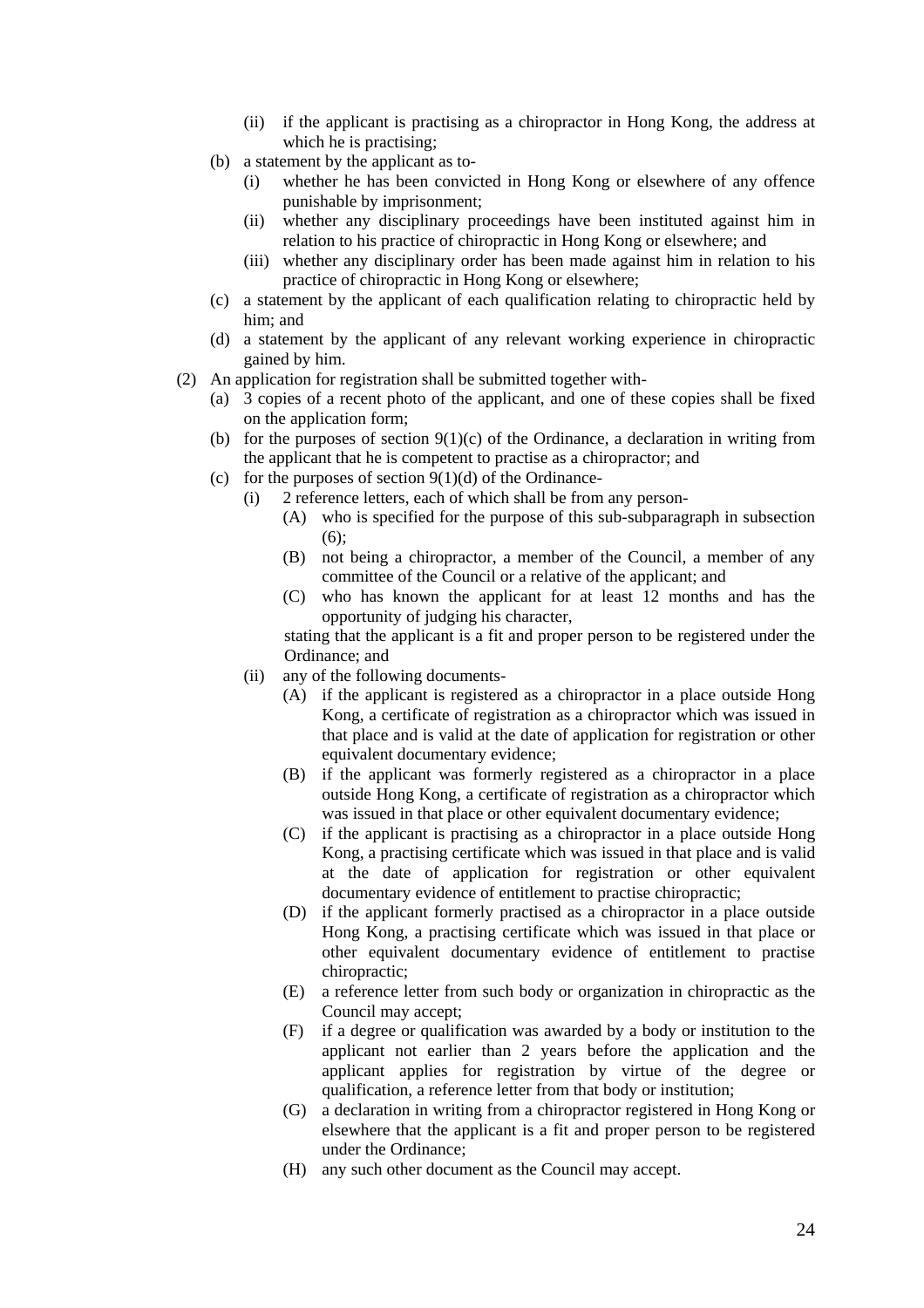- (ii) if the applicant is practising as a chiropractor in Hong Kong, the address at which he is practising;
- (b) a statement by the applicant as to-
	- (i) whether he has been convicted in Hong Kong or elsewhere of any offence punishable by imprisonment;
	- (ii) whether any disciplinary proceedings have been instituted against him in relation to his practice of chiropractic in Hong Kong or elsewhere; and
	- (iii) whether any disciplinary order has been made against him in relation to his practice of chiropractic in Hong Kong or elsewhere;
- (c) a statement by the applicant of each qualification relating to chiropractic held by him; and
- (d) a statement by the applicant of any relevant working experience in chiropractic gained by him.
- (2) An application for registration shall be submitted together with-
	- (a) 3 copies of a recent photo of the applicant, and one of these copies shall be fixed on the application form;
	- (b) for the purposes of section  $9(1)(c)$  of the Ordinance, a declaration in writing from the applicant that he is competent to practise as a chiropractor; and
	- (c) for the purposes of section  $9(1)(d)$  of the Ordinance-
		- (i) 2 reference letters, each of which shall be from any person-
			- (A) who is specified for the purpose of this sub-subparagraph in subsection  $(6)$ :
			- (B) not being a chiropractor, a member of the Council, a member of any committee of the Council or a relative of the applicant; and
			- (C) who has known the applicant for at least 12 months and has the opportunity of judging his character,

stating that the applicant is a fit and proper person to be registered under the Ordinance; and

- (ii) any of the following documents-
	- (A) if the applicant is registered as a chiropractor in a place outside Hong Kong, a certificate of registration as a chiropractor which was issued in that place and is valid at the date of application for registration or other equivalent documentary evidence;
	- (B) if the applicant was formerly registered as a chiropractor in a place outside Hong Kong, a certificate of registration as a chiropractor which was issued in that place or other equivalent documentary evidence;
	- (C) if the applicant is practising as a chiropractor in a place outside Hong Kong, a practising certificate which was issued in that place and is valid at the date of application for registration or other equivalent documentary evidence of entitlement to practise chiropractic;
	- (D) if the applicant formerly practised as a chiropractor in a place outside Hong Kong, a practising certificate which was issued in that place or other equivalent documentary evidence of entitlement to practise chiropractic;
	- (E) a reference letter from such body or organization in chiropractic as the Council may accept;
	- (F) if a degree or qualification was awarded by a body or institution to the applicant not earlier than 2 years before the application and the applicant applies for registration by virtue of the degree or qualification, a reference letter from that body or institution;
	- (G) a declaration in writing from a chiropractor registered in Hong Kong or elsewhere that the applicant is a fit and proper person to be registered under the Ordinance;
	- (H) any such other document as the Council may accept.